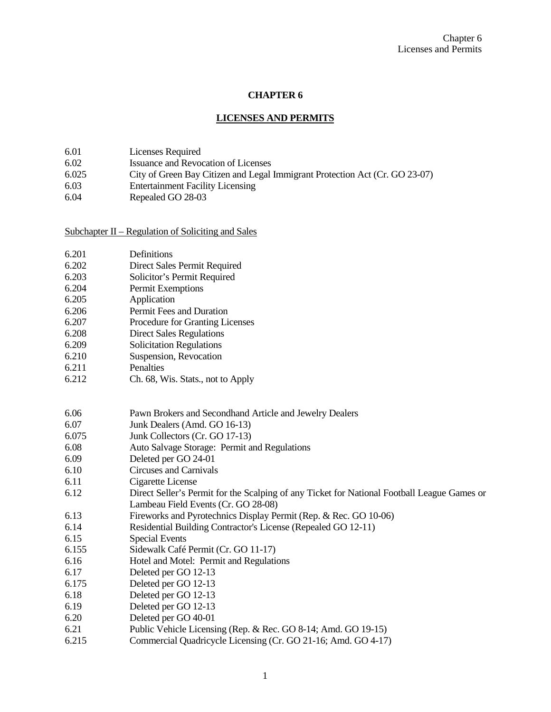# **CHAPTER 6**

## **LICENSES AND PERMITS**

- 6.01 Licenses Required<br>6.02 Issuance and Revoc
- 6.02 Issuance and Revocation of Licenses<br>6.025 City of Green Bay Citizen and Legal
- 6.025 City of Green Bay Citizen and Legal Immigrant Protection Act (Cr. GO 23-07)
- 6.03 Entertainment Facility Licensing
- 6.04 Repealed GO 28-03

Subchapter II – Regulation of Soliciting and Sales

| 6.201 | Definitions                                                                                 |
|-------|---------------------------------------------------------------------------------------------|
| 6.202 | Direct Sales Permit Required                                                                |
| 6.203 | Solicitor's Permit Required                                                                 |
| 6.204 | Permit Exemptions                                                                           |
| 6.205 | Application                                                                                 |
| 6.206 | Permit Fees and Duration                                                                    |
| 6.207 | Procedure for Granting Licenses                                                             |
| 6.208 | <b>Direct Sales Regulations</b>                                                             |
| 6.209 | <b>Solicitation Regulations</b>                                                             |
| 6.210 | Suspension, Revocation                                                                      |
| 6.211 | Penalties                                                                                   |
| 6.212 | Ch. 68, Wis. Stats., not to Apply                                                           |
|       |                                                                                             |
|       |                                                                                             |
| 6.06  | Pawn Brokers and Secondhand Article and Jewelry Dealers                                     |
| 6.07  | Junk Dealers (Amd. GO 16-13)                                                                |
| 6.075 | Junk Collectors (Cr. GO 17-13)                                                              |
| 6.08  | Auto Salvage Storage: Permit and Regulations                                                |
| 6.09  | Deleted per GO 24-01                                                                        |
| 6.10  | Circuses and Carnivals                                                                      |
| 6.11  | Cigarette License                                                                           |
| 6.12  | Direct Seller's Permit for the Scalping of any Ticket for National Football League Games or |
|       | Lambeau Field Events (Cr. GO 28-08)                                                         |
| 6.13  | Fireworks and Pyrotechnics Display Permit (Rep. & Rec. GO 10-06)                            |
| 6.14  | Residential Building Contractor's License (Repealed GO 12-11)                               |
| 6.15  | <b>Special Events</b>                                                                       |
| 6.155 | Sidewalk Café Permit (Cr. GO 11-17)                                                         |
| 6.16  | Hotel and Motel: Permit and Regulations                                                     |
| 6.17  | Deleted per GO 12-13                                                                        |
| 6.175 | Deleted per GO 12-13                                                                        |
| 6.18  | Deleted per GO 12-13                                                                        |
| 6.19  | Deleted per GO 12-13                                                                        |
| 6.20  | Deleted per GO 40-01                                                                        |
| 6.21  | Public Vehicle Licensing (Rep. & Rec. GO 8-14; Amd. GO 19-15)                               |
| 6.215 | Commercial Quadricycle Licensing (Cr. GO 21-16; Amd. GO 4-17)                               |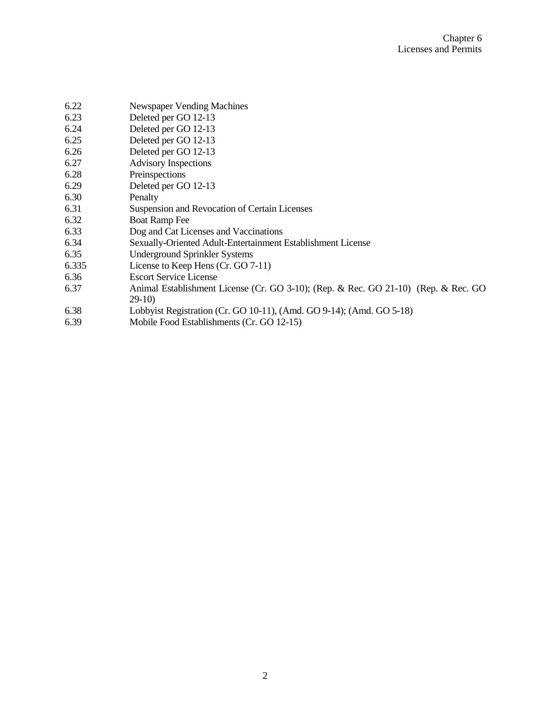| 6.22  | Newspaper Vending Machines                                                         |
|-------|------------------------------------------------------------------------------------|
| 6.23  | Deleted per GO 12-13                                                               |
| 6.24  | Deleted per GO 12-13                                                               |
| 6.25  | Deleted per GO 12-13                                                               |
| 6.26  | Deleted per GO 12-13                                                               |
| 6.27  | <b>Advisory Inspections</b>                                                        |
| 6.28  | Preinspections                                                                     |
| 6.29  | Deleted per GO 12-13                                                               |
| 6.30  | Penalty                                                                            |
| 6.31  | Suspension and Revocation of Certain Licenses                                      |
| 6.32  | <b>Boat Ramp Fee</b>                                                               |
| 6.33  | Dog and Cat Licenses and Vaccinations                                              |
| 6.34  | Sexually-Oriented Adult-Entertainment Establishment License                        |
| 6.35  | <b>Underground Sprinkler Systems</b>                                               |
| 6.335 | License to Keep Hens (Cr. GO 7-11)                                                 |
| 6.36  | <b>Escort Service License</b>                                                      |
| 6.37  | Animal Establishment License (Cr. GO 3-10); (Rep. & Rec. GO 21-10) (Rep. & Rec. GO |
|       | $29-10$                                                                            |
| 6.38  | Lobbyist Registration (Cr. GO 10-11), (Amd. GO 9-14); (Amd. GO 5-18)               |
| 6.39  | Mobile Food Establishments (Cr. GO 12-15)                                          |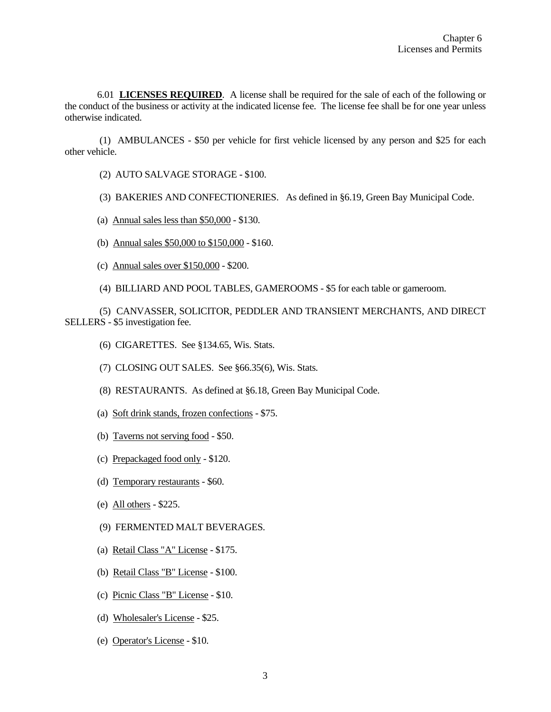6.01 **LICENSES REQUIRED**. A license shall be required for the sale of each of the following or the conduct of the business or activity at the indicated license fee. The license fee shall be for one year unless otherwise indicated.

(1) AMBULANCES - \$50 per vehicle for first vehicle licensed by any person and \$25 for each other vehicle.

- (2) AUTO SALVAGE STORAGE \$100.
- (3) BAKERIES AND CONFECTIONERIES. As defined in §6.19, Green Bay Municipal Code.
- (a) Annual sales less than \$50,000 \$130.
- (b) Annual sales \$50,000 to \$150,000 \$160.
- (c) Annual sales over \$150,000 \$200.
- (4) BILLIARD AND POOL TABLES, GAMEROOMS \$5 for each table or gameroom.

(5) CANVASSER, SOLICITOR, PEDDLER AND TRANSIENT MERCHANTS, AND DIRECT SELLERS - \$5 investigation fee.

- (6) CIGARETTES. See §134.65, Wis. Stats.
- (7) CLOSING OUT SALES. See §66.35(6), Wis. Stats.
- (8) RESTAURANTS. As defined at §6.18, Green Bay Municipal Code.
- (a) Soft drink stands, frozen confections \$75.
- (b) Taverns not serving food \$50.
- (c) Prepackaged food only \$120.
- (d) Temporary restaurants \$60.
- (e) All others \$225.
- (9) FERMENTED MALT BEVERAGES.
- (a) Retail Class "A" License \$175.
- (b) Retail Class "B" License \$100.
- (c) Picnic Class "B" License \$10.
- (d) Wholesaler's License \$25.
- (e) Operator's License \$10.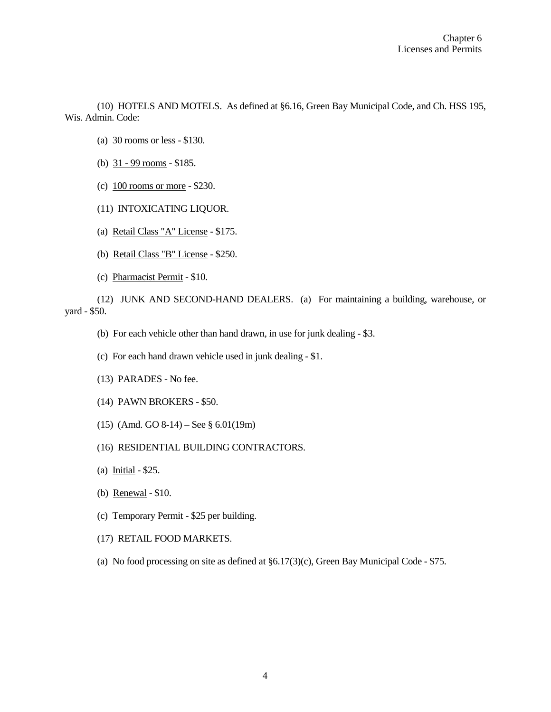(10) HOTELS AND MOTELS. As defined at §6.16, Green Bay Municipal Code, and Ch. HSS 195, Wis. Admin. Code:

- (a) 30 rooms or less \$130.
- (b)  $31 99$  rooms \$185.
- (c) 100 rooms or more \$230.
- (11) INTOXICATING LIQUOR.
- (a) Retail Class "A" License \$175.
- (b) Retail Class "B" License \$250.
- (c) Pharmacist Permit \$10.

(12) JUNK AND SECOND-HAND DEALERS. (a) For maintaining a building, warehouse, or yard - \$50.

- (b) For each vehicle other than hand drawn, in use for junk dealing \$3.
- (c) For each hand drawn vehicle used in junk dealing \$1.
- (13) PARADES No fee.
- (14) PAWN BROKERS \$50.
- (15) (Amd. GO 8-14) See § 6.01(19m)
- (16) RESIDENTIAL BUILDING CONTRACTORS.
- (a) Initial \$25.
- (b) Renewal \$10.
- (c) Temporary Permit \$25 per building.
- (17) RETAIL FOOD MARKETS.
- (a) No food processing on site as defined at §6.17(3)(c), Green Bay Municipal Code \$75.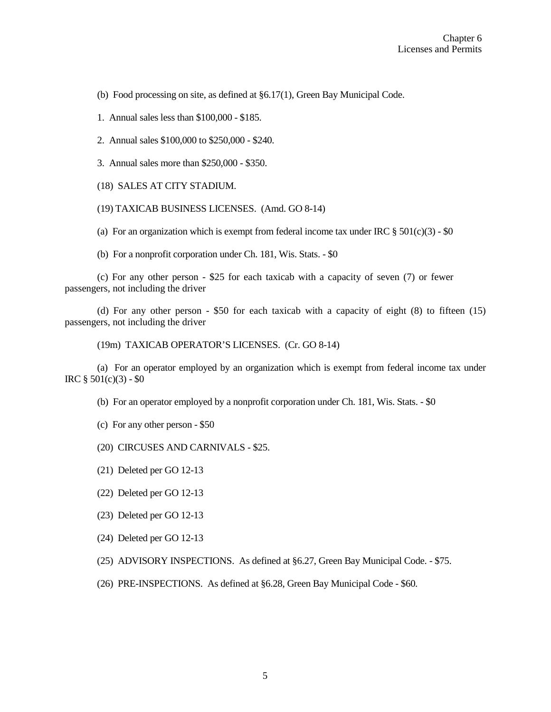(b) Food processing on site, as defined at §6.17(1), Green Bay Municipal Code.

1. Annual sales less than \$100,000 - \$185.

2. Annual sales \$100,000 to \$250,000 - \$240.

3. Annual sales more than \$250,000 - \$350.

(18) SALES AT CITY STADIUM.

(19) TAXICAB BUSINESS LICENSES. (Amd. GO 8-14)

(a) For an organization which is exempt from federal income tax under IRC  $\S 501(c)(3)$  -  $\S 0$ 

(b) For a nonprofit corporation under Ch. 181, Wis. Stats. - \$0

(c) For any other person - \$25 for each taxicab with a capacity of seven (7) or fewer passengers, not including the driver

(d) For any other person - \$50 for each taxicab with a capacity of eight (8) to fifteen (15) passengers, not including the driver

(19m) TAXICAB OPERATOR'S LICENSES. (Cr. GO 8-14)

(a) For an operator employed by an organization which is exempt from federal income tax under IRC  $§ 501(c)(3) - $0$ 

(b) For an operator employed by a nonprofit corporation under Ch. 181, Wis. Stats. - \$0

(c) For any other person - \$50

(20) CIRCUSES AND CARNIVALS - \$25.

(21) Deleted per GO 12-13

(22) Deleted per GO 12-13

(23) Deleted per GO 12-13

(24) Deleted per GO 12-13

(25) ADVISORY INSPECTIONS. As defined at §6.27, Green Bay Municipal Code. - \$75.

(26) PRE-INSPECTIONS. As defined at §6.28, Green Bay Municipal Code - \$60.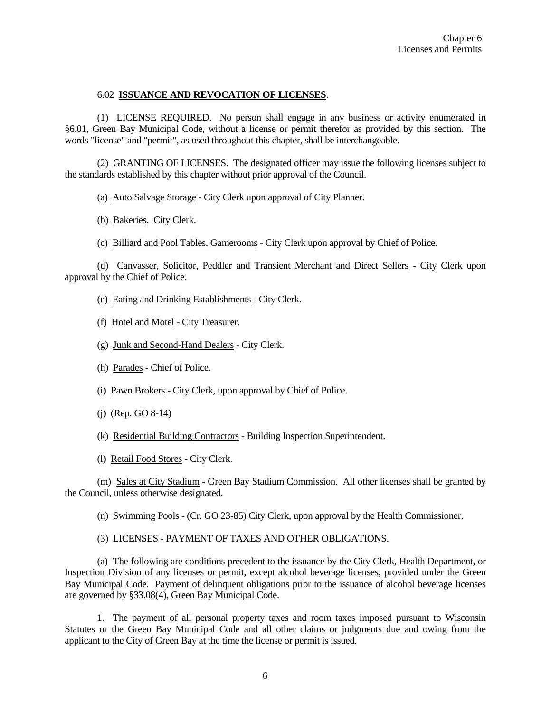### 6.02 **ISSUANCE AND REVOCATION OF LICENSES**.

(1) LICENSE REQUIRED. No person shall engage in any business or activity enumerated in §6.01, Green Bay Municipal Code, without a license or permit therefor as provided by this section. The words "license" and "permit", as used throughout this chapter, shall be interchangeable.

(2) GRANTING OF LICENSES. The designated officer may issue the following licenses subject to the standards established by this chapter without prior approval of the Council.

(a) Auto Salvage Storage - City Clerk upon approval of City Planner.

(b) Bakeries. City Clerk.

(c) Billiard and Pool Tables, Gamerooms - City Clerk upon approval by Chief of Police.

(d) Canvasser, Solicitor, Peddler and Transient Merchant and Direct Sellers - City Clerk upon approval by the Chief of Police.

(e) Eating and Drinking Establishments - City Clerk.

(f) Hotel and Motel - City Treasurer.

(g) Junk and Second-Hand Dealers - City Clerk.

(h) Parades - Chief of Police.

(i) Pawn Brokers - City Clerk, upon approval by Chief of Police.

(j) (Rep. GO 8-14)

(k) Residential Building Contractors - Building Inspection Superintendent.

(l) Retail Food Stores - City Clerk.

(m) Sales at City Stadium - Green Bay Stadium Commission. All other licenses shall be granted by the Council, unless otherwise designated.

(n) Swimming Pools - (Cr. GO 23-85) City Clerk, upon approval by the Health Commissioner.

(3) LICENSES - PAYMENT OF TAXES AND OTHER OBLIGATIONS.

(a) The following are conditions precedent to the issuance by the City Clerk, Health Department, or Inspection Division of any licenses or permit, except alcohol beverage licenses, provided under the Green Bay Municipal Code. Payment of delinquent obligations prior to the issuance of alcohol beverage licenses are governed by §33.08(4), Green Bay Municipal Code.

1. The payment of all personal property taxes and room taxes imposed pursuant to Wisconsin Statutes or the Green Bay Municipal Code and all other claims or judgments due and owing from the applicant to the City of Green Bay at the time the license or permit is issued.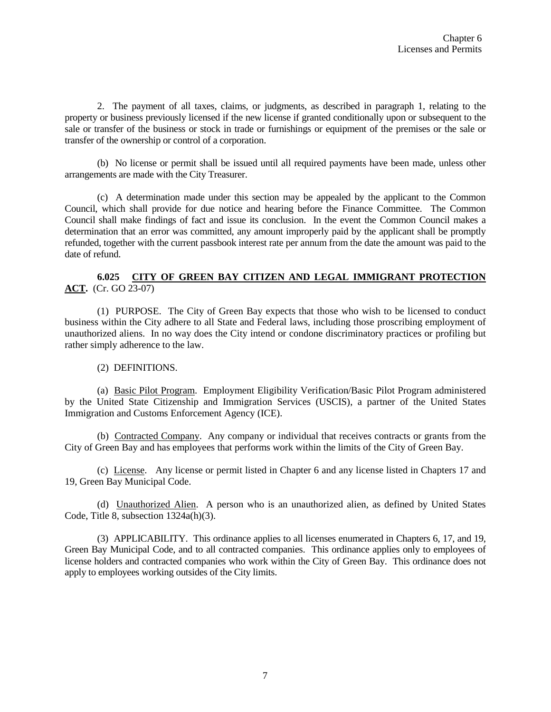2. The payment of all taxes, claims, or judgments, as described in paragraph 1, relating to the property or business previously licensed if the new license if granted conditionally upon or subsequent to the sale or transfer of the business or stock in trade or furnishings or equipment of the premises or the sale or transfer of the ownership or control of a corporation.

(b) No license or permit shall be issued until all required payments have been made, unless other arrangements are made with the City Treasurer.

(c) A determination made under this section may be appealed by the applicant to the Common Council, which shall provide for due notice and hearing before the Finance Committee. The Common Council shall make findings of fact and issue its conclusion. In the event the Common Council makes a determination that an error was committed, any amount improperly paid by the applicant shall be promptly refunded, together with the current passbook interest rate per annum from the date the amount was paid to the date of refund.

## **6.025 CITY OF GREEN BAY CITIZEN AND LEGAL IMMIGRANT PROTECTION ACT.** (Cr. GO 23-07)

(1) PURPOSE. The City of Green Bay expects that those who wish to be licensed to conduct business within the City adhere to all State and Federal laws, including those proscribing employment of unauthorized aliens. In no way does the City intend or condone discriminatory practices or profiling but rather simply adherence to the law.

## (2) DEFINITIONS.

(a) Basic Pilot Program. Employment Eligibility Verification/Basic Pilot Program administered by the United State Citizenship and Immigration Services (USCIS), a partner of the United States Immigration and Customs Enforcement Agency (ICE).

(b) Contracted Company. Any company or individual that receives contracts or grants from the City of Green Bay and has employees that performs work within the limits of the City of Green Bay.

(c) License. Any license or permit listed in Chapter 6 and any license listed in Chapters 17 and 19, Green Bay Municipal Code.

(d) Unauthorized Alien. A person who is an unauthorized alien, as defined by United States Code, Title 8, subsection 1324a(h)(3).

(3) APPLICABILITY. This ordinance applies to all licenses enumerated in Chapters 6, 17, and 19, Green Bay Municipal Code, and to all contracted companies. This ordinance applies only to employees of license holders and contracted companies who work within the City of Green Bay. This ordinance does not apply to employees working outsides of the City limits.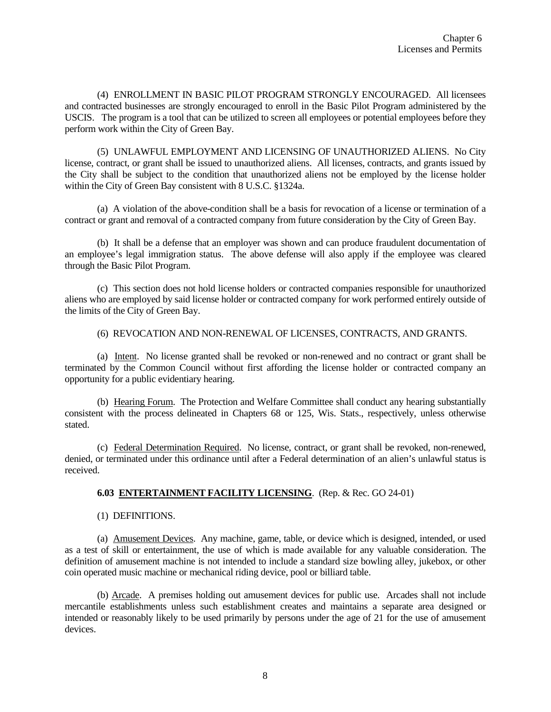(4) ENROLLMENT IN BASIC PILOT PROGRAM STRONGLY ENCOURAGED. All licensees and contracted businesses are strongly encouraged to enroll in the Basic Pilot Program administered by the USCIS. The program is a tool that can be utilized to screen all employees or potential employees before they perform work within the City of Green Bay.

(5) UNLAWFUL EMPLOYMENT AND LICENSING OF UNAUTHORIZED ALIENS. No City license, contract, or grant shall be issued to unauthorized aliens. All licenses, contracts, and grants issued by the City shall be subject to the condition that unauthorized aliens not be employed by the license holder within the City of Green Bay consistent with 8 U.S.C. §1324a.

(a) A violation of the above-condition shall be a basis for revocation of a license or termination of a contract or grant and removal of a contracted company from future consideration by the City of Green Bay.

(b) It shall be a defense that an employer was shown and can produce fraudulent documentation of an employee's legal immigration status. The above defense will also apply if the employee was cleared through the Basic Pilot Program.

(c) This section does not hold license holders or contracted companies responsible for unauthorized aliens who are employed by said license holder or contracted company for work performed entirely outside of the limits of the City of Green Bay.

(6) REVOCATION AND NON-RENEWAL OF LICENSES, CONTRACTS, AND GRANTS.

(a) Intent. No license granted shall be revoked or non-renewed and no contract or grant shall be terminated by the Common Council without first affording the license holder or contracted company an opportunity for a public evidentiary hearing.

(b) Hearing Forum. The Protection and Welfare Committee shall conduct any hearing substantially consistent with the process delineated in Chapters 68 or 125, Wis. Stats., respectively, unless otherwise stated.

(c) Federal Determination Required. No license, contract, or grant shall be revoked, non-renewed, denied, or terminated under this ordinance until after a Federal determination of an alien's unlawful status is received.

#### **6.03 ENTERTAINMENT FACILITY LICENSING**. (Rep. & Rec. GO 24-01)

(1) DEFINITIONS.

(a) Amusement Devices. Any machine, game, table, or device which is designed, intended, or used as a test of skill or entertainment, the use of which is made available for any valuable consideration. The definition of amusement machine is not intended to include a standard size bowling alley, jukebox, or other coin operated music machine or mechanical riding device, pool or billiard table.

(b) Arcade. A premises holding out amusement devices for public use. Arcades shall not include mercantile establishments unless such establishment creates and maintains a separate area designed or intended or reasonably likely to be used primarily by persons under the age of 21 for the use of amusement devices.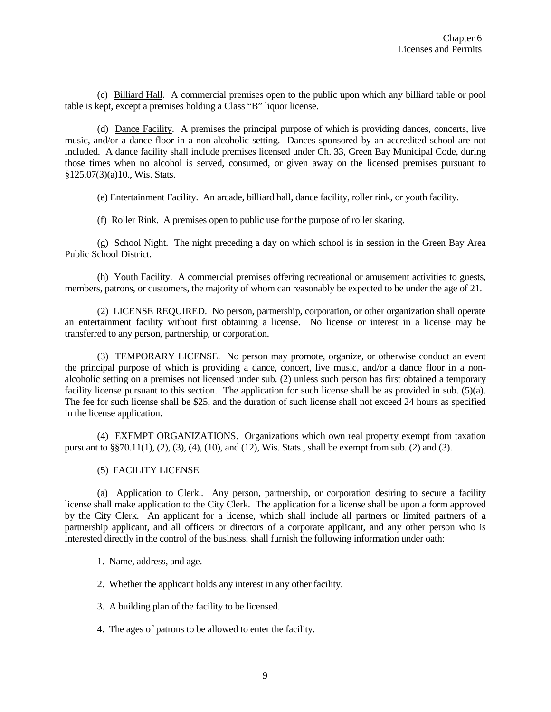(c) Billiard Hall. A commercial premises open to the public upon which any billiard table or pool table is kept, except a premises holding a Class "B" liquor license.

(d) Dance Facility. A premises the principal purpose of which is providing dances, concerts, live music, and/or a dance floor in a non-alcoholic setting. Dances sponsored by an accredited school are not included. A dance facility shall include premises licensed under Ch. 33, Green Bay Municipal Code, during those times when no alcohol is served, consumed, or given away on the licensed premises pursuant to §125.07(3)(a)10., Wis. Stats.

(e) Entertainment Facility. An arcade, billiard hall, dance facility, roller rink, or youth facility.

(f) Roller Rink. A premises open to public use for the purpose of roller skating.

(g) School Night. The night preceding a day on which school is in session in the Green Bay Area Public School District.

(h) Youth Facility. A commercial premises offering recreational or amusement activities to guests, members, patrons, or customers, the majority of whom can reasonably be expected to be under the age of 21.

(2) LICENSE REQUIRED. No person, partnership, corporation, or other organization shall operate an entertainment facility without first obtaining a license. No license or interest in a license may be transferred to any person, partnership, or corporation.

(3) TEMPORARY LICENSE. No person may promote, organize, or otherwise conduct an event the principal purpose of which is providing a dance, concert, live music, and/or a dance floor in a nonalcoholic setting on a premises not licensed under sub. (2) unless such person has first obtained a temporary facility license pursuant to this section. The application for such license shall be as provided in sub. (5)(a). The fee for such license shall be \$25, and the duration of such license shall not exceed 24 hours as specified in the license application.

(4) EXEMPT ORGANIZATIONS. Organizations which own real property exempt from taxation pursuant to §§70.11(1), (2), (3), (4), (10), and (12), Wis. Stats., shall be exempt from sub. (2) and (3).

### (5) FACILITY LICENSE

(a) Application to Clerk.. Any person, partnership, or corporation desiring to secure a facility license shall make application to the City Clerk. The application for a license shall be upon a form approved by the City Clerk. An applicant for a license, which shall include all partners or limited partners of a partnership applicant, and all officers or directors of a corporate applicant, and any other person who is interested directly in the control of the business, shall furnish the following information under oath:

- 1. Name, address, and age.
- 2. Whether the applicant holds any interest in any other facility.
- 3. A building plan of the facility to be licensed.
- 4. The ages of patrons to be allowed to enter the facility.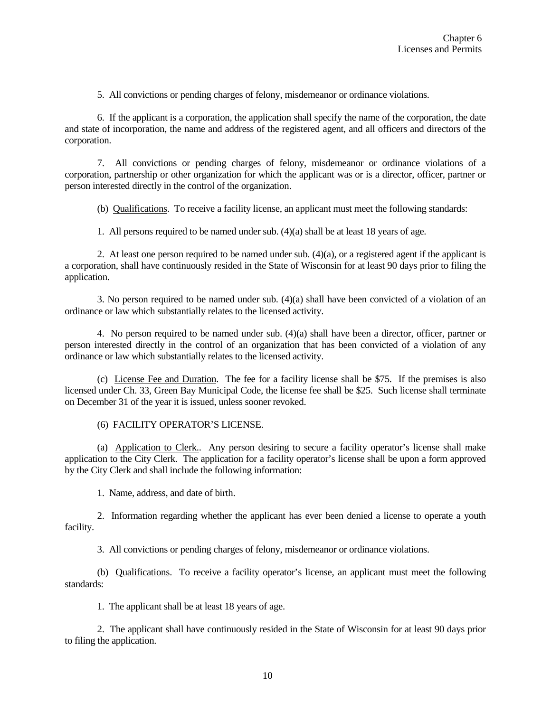5. All convictions or pending charges of felony, misdemeanor or ordinance violations.

6. If the applicant is a corporation, the application shall specify the name of the corporation, the date and state of incorporation, the name and address of the registered agent, and all officers and directors of the corporation.

7. All convictions or pending charges of felony, misdemeanor or ordinance violations of a corporation, partnership or other organization for which the applicant was or is a director, officer, partner or person interested directly in the control of the organization.

(b) Qualifications. To receive a facility license, an applicant must meet the following standards:

1. All persons required to be named under sub. (4)(a) shall be at least 18 years of age.

2. At least one person required to be named under sub. (4)(a), or a registered agent if the applicant is a corporation, shall have continuously resided in the State of Wisconsin for at least 90 days prior to filing the application.

3. No person required to be named under sub. (4)(a) shall have been convicted of a violation of an ordinance or law which substantially relates to the licensed activity.

4. No person required to be named under sub. (4)(a) shall have been a director, officer, partner or person interested directly in the control of an organization that has been convicted of a violation of any ordinance or law which substantially relates to the licensed activity.

(c) License Fee and Duration. The fee for a facility license shall be \$75. If the premises is also licensed under Ch. 33, Green Bay Municipal Code, the license fee shall be \$25. Such license shall terminate on December 31 of the year it is issued, unless sooner revoked.

(6) FACILITY OPERATOR'S LICENSE.

(a) Application to Clerk.. Any person desiring to secure a facility operator's license shall make application to the City Clerk. The application for a facility operator's license shall be upon a form approved by the City Clerk and shall include the following information:

1. Name, address, and date of birth.

2. Information regarding whether the applicant has ever been denied a license to operate a youth facility.

3. All convictions or pending charges of felony, misdemeanor or ordinance violations.

(b) Qualifications. To receive a facility operator's license, an applicant must meet the following standards:

1. The applicant shall be at least 18 years of age.

2. The applicant shall have continuously resided in the State of Wisconsin for at least 90 days prior to filing the application.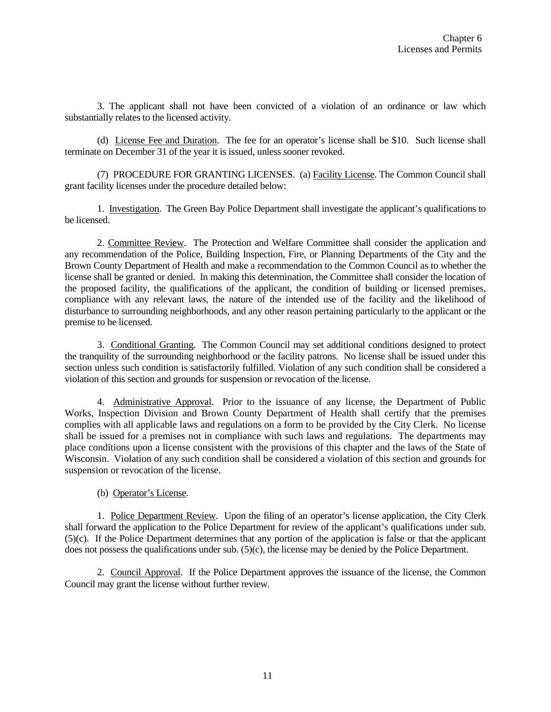3. The applicant shall not have been convicted of a violation of an ordinance or law which substantially relates to the licensed activity.

(d) License Fee and Duration. The fee for an operator's license shall be \$10. Such license shall terminate on December 31 of the year it is issued, unless sooner revoked.

(7) PROCEDURE FOR GRANTING LICENSES. (a) Facility License. The Common Council shall grant facility licenses under the procedure detailed below:

1. Investigation. The Green Bay Police Department shall investigate the applicant's qualifications to be licensed.

2. Committee Review. The Protection and Welfare Committee shall consider the application and any recommendation of the Police, Building Inspection, Fire, or Planning Departments of the City and the Brown County Department of Health and make a recommendation to the Common Council as to whether the license shall be granted or denied. In making this determination, the Committee shall consider the location of the proposed facility, the qualifications of the applicant, the condition of building or licensed premises, compliance with any relevant laws, the nature of the intended use of the facility and the likelihood of disturbance to surrounding neighborhoods, and any other reason pertaining particularly to the applicant or the premise to be licensed.

3. Conditional Granting. The Common Council may set additional conditions designed to protect the tranquility of the surrounding neighborhood or the facility patrons. No license shall be issued under this section unless such condition is satisfactorily fulfilled. Violation of any such condition shall be considered a violation of this section and grounds for suspension or revocation of the license.

4. Administrative Approval. Prior to the issuance of any license, the Department of Public Works, Inspection Division and Brown County Department of Health shall certify that the premises complies with all applicable laws and regulations on a form to be provided by the City Clerk. No license shall be issued for a premises not in compliance with such laws and regulations. The departments may place conditions upon a license consistent with the provisions of this chapter and the laws of the State of Wisconsin. Violation of any such condition shall be considered a violation of this section and grounds for suspension or revocation of the license.

(b) Operator's License.

1. Police Department Review. Upon the filing of an operator's license application, the City Clerk shall forward the application to the Police Department for review of the applicant's qualifications under sub. (5)(c). If the Police Department determines that any portion of the application is false or that the applicant does not possess the qualifications under sub. (5)(c), the license may be denied by the Police Department.

2. Council Approval. If the Police Department approves the issuance of the license, the Common Council may grant the license without further review.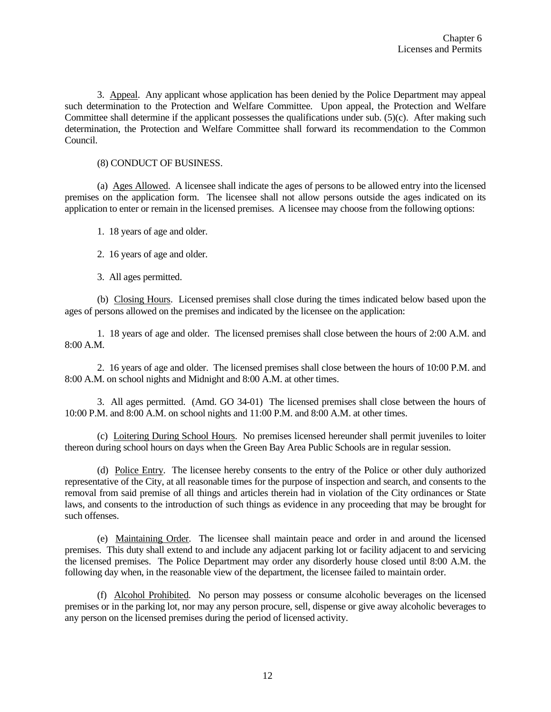3. Appeal. Any applicant whose application has been denied by the Police Department may appeal such determination to the Protection and Welfare Committee. Upon appeal, the Protection and Welfare Committee shall determine if the applicant possesses the qualifications under sub.  $(5)(c)$ . After making such determination, the Protection and Welfare Committee shall forward its recommendation to the Common Council.

### (8) CONDUCT OF BUSINESS.

(a) Ages Allowed. A licensee shall indicate the ages of persons to be allowed entry into the licensed premises on the application form. The licensee shall not allow persons outside the ages indicated on its application to enter or remain in the licensed premises. A licensee may choose from the following options:

1. 18 years of age and older.

2. 16 years of age and older.

3. All ages permitted.

(b) Closing Hours. Licensed premises shall close during the times indicated below based upon the ages of persons allowed on the premises and indicated by the licensee on the application:

1. 18 years of age and older. The licensed premises shall close between the hours of 2:00 A.M. and 8:00 A.M.

2. 16 years of age and older. The licensed premises shall close between the hours of 10:00 P.M. and 8:00 A.M. on school nights and Midnight and 8:00 A.M. at other times.

3. All ages permitted. (Amd. GO 34-01) The licensed premises shall close between the hours of 10:00 P.M. and 8:00 A.M. on school nights and 11:00 P.M. and 8:00 A.M. at other times.

(c) Loitering During School Hours. No premises licensed hereunder shall permit juveniles to loiter thereon during school hours on days when the Green Bay Area Public Schools are in regular session.

(d) Police Entry. The licensee hereby consents to the entry of the Police or other duly authorized representative of the City, at all reasonable times for the purpose of inspection and search, and consents to the removal from said premise of all things and articles therein had in violation of the City ordinances or State laws, and consents to the introduction of such things as evidence in any proceeding that may be brought for such offenses.

(e) Maintaining Order. The licensee shall maintain peace and order in and around the licensed premises. This duty shall extend to and include any adjacent parking lot or facility adjacent to and servicing the licensed premises. The Police Department may order any disorderly house closed until 8:00 A.M. the following day when, in the reasonable view of the department, the licensee failed to maintain order.

(f) Alcohol Prohibited. No person may possess or consume alcoholic beverages on the licensed premises or in the parking lot, nor may any person procure, sell, dispense or give away alcoholic beverages to any person on the licensed premises during the period of licensed activity.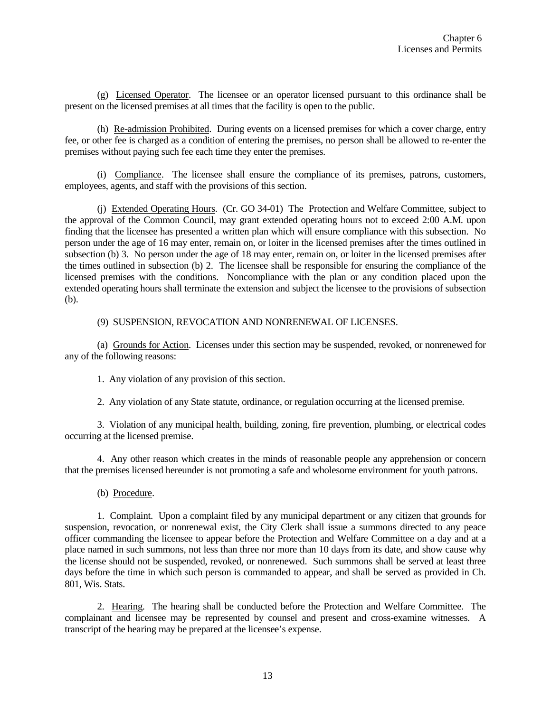(g) Licensed Operator. The licensee or an operator licensed pursuant to this ordinance shall be present on the licensed premises at all times that the facility is open to the public.

(h) Re-admission Prohibited. During events on a licensed premises for which a cover charge, entry fee, or other fee is charged as a condition of entering the premises, no person shall be allowed to re-enter the premises without paying such fee each time they enter the premises.

(i) Compliance. The licensee shall ensure the compliance of its premises, patrons, customers, employees, agents, and staff with the provisions of this section.

(j) Extended Operating Hours. (Cr. GO 34-01) The Protection and Welfare Committee, subject to the approval of the Common Council, may grant extended operating hours not to exceed 2:00 A.M. upon finding that the licensee has presented a written plan which will ensure compliance with this subsection. No person under the age of 16 may enter, remain on, or loiter in the licensed premises after the times outlined in subsection (b) 3. No person under the age of 18 may enter, remain on, or loiter in the licensed premises after the times outlined in subsection (b) 2. The licensee shall be responsible for ensuring the compliance of the licensed premises with the conditions. Noncompliance with the plan or any condition placed upon the extended operating hours shall terminate the extension and subject the licensee to the provisions of subsection (b).

(9) SUSPENSION, REVOCATION AND NONRENEWAL OF LICENSES.

(a) Grounds for Action. Licenses under this section may be suspended, revoked, or nonrenewed for any of the following reasons:

1. Any violation of any provision of this section.

2. Any violation of any State statute, ordinance, or regulation occurring at the licensed premise.

3. Violation of any municipal health, building, zoning, fire prevention, plumbing, or electrical codes occurring at the licensed premise.

4. Any other reason which creates in the minds of reasonable people any apprehension or concern that the premises licensed hereunder is not promoting a safe and wholesome environment for youth patrons.

(b) Procedure.

1. Complaint. Upon a complaint filed by any municipal department or any citizen that grounds for suspension, revocation, or nonrenewal exist, the City Clerk shall issue a summons directed to any peace officer commanding the licensee to appear before the Protection and Welfare Committee on a day and at a place named in such summons, not less than three nor more than 10 days from its date, and show cause why the license should not be suspended, revoked, or nonrenewed. Such summons shall be served at least three days before the time in which such person is commanded to appear, and shall be served as provided in Ch. 801, Wis. Stats.

2. Hearing. The hearing shall be conducted before the Protection and Welfare Committee. The complainant and licensee may be represented by counsel and present and cross-examine witnesses. A transcript of the hearing may be prepared at the licensee's expense.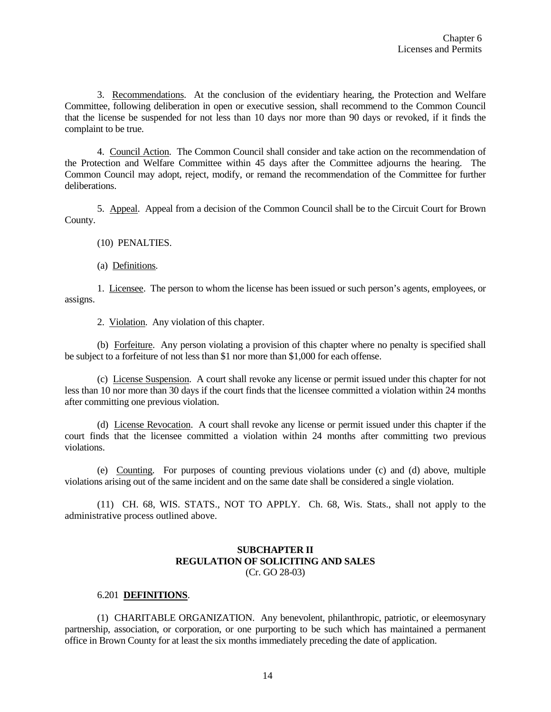3. Recommendations. At the conclusion of the evidentiary hearing, the Protection and Welfare Committee, following deliberation in open or executive session, shall recommend to the Common Council that the license be suspended for not less than 10 days nor more than 90 days or revoked, if it finds the complaint to be true.

4. Council Action. The Common Council shall consider and take action on the recommendation of the Protection and Welfare Committee within 45 days after the Committee adjourns the hearing. The Common Council may adopt, reject, modify, or remand the recommendation of the Committee for further deliberations.

5. Appeal. Appeal from a decision of the Common Council shall be to the Circuit Court for Brown County.

(10) PENALTIES.

(a) Definitions.

1. Licensee. The person to whom the license has been issued or such person's agents, employees, or assigns.

2. Violation. Any violation of this chapter.

(b) Forfeiture. Any person violating a provision of this chapter where no penalty is specified shall be subject to a forfeiture of not less than \$1 nor more than \$1,000 for each offense.

(c) License Suspension. A court shall revoke any license or permit issued under this chapter for not less than 10 nor more than 30 days if the court finds that the licensee committed a violation within 24 months after committing one previous violation.

(d) License Revocation. A court shall revoke any license or permit issued under this chapter if the court finds that the licensee committed a violation within 24 months after committing two previous violations.

(e) Counting. For purposes of counting previous violations under (c) and (d) above, multiple violations arising out of the same incident and on the same date shall be considered a single violation.

(11) CH. 68, WIS. STATS., NOT TO APPLY. Ch. 68, Wis. Stats., shall not apply to the administrative process outlined above.

# **SUBCHAPTER II REGULATION OF SOLICITING AND SALES** (Cr. GO 28-03)

#### 6.201 **DEFINITIONS**.

(1) CHARITABLE ORGANIZATION. Any benevolent, philanthropic, patriotic, or eleemosynary partnership, association, or corporation, or one purporting to be such which has maintained a permanent office in Brown County for at least the six months immediately preceding the date of application.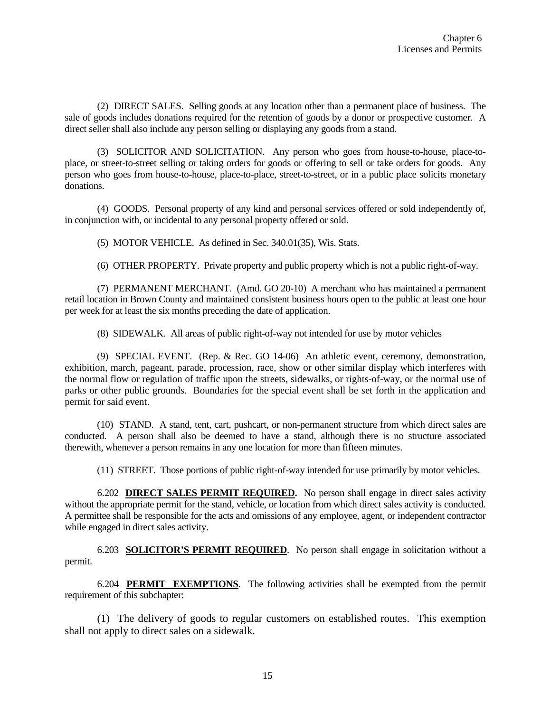(2) DIRECT SALES. Selling goods at any location other than a permanent place of business. The sale of goods includes donations required for the retention of goods by a donor or prospective customer. A direct seller shall also include any person selling or displaying any goods from a stand.

(3) SOLICITOR AND SOLICITATION. Any person who goes from house-to-house, place-toplace, or street-to-street selling or taking orders for goods or offering to sell or take orders for goods. Any person who goes from house-to-house, place-to-place, street-to-street, or in a public place solicits monetary donations.

(4) GOODS. Personal property of any kind and personal services offered or sold independently of, in conjunction with, or incidental to any personal property offered or sold.

(5) MOTOR VEHICLE. As defined in Sec. 340.01(35), Wis. Stats.

(6) OTHER PROPERTY. Private property and public property which is not a public right-of-way.

(7) PERMANENT MERCHANT. (Amd. GO 20-10) A merchant who has maintained a permanent retail location in Brown County and maintained consistent business hours open to the public at least one hour per week for at least the six months preceding the date of application.

(8) SIDEWALK. All areas of public right-of-way not intended for use by motor vehicles

(9) SPECIAL EVENT. (Rep. & Rec. GO 14-06) An athletic event, ceremony, demonstration, exhibition, march, pageant, parade, procession, race, show or other similar display which interferes with the normal flow or regulation of traffic upon the streets, sidewalks, or rights-of-way, or the normal use of parks or other public grounds. Boundaries for the special event shall be set forth in the application and permit for said event.

(10) STAND. A stand, tent, cart, pushcart, or non-permanent structure from which direct sales are conducted. A person shall also be deemed to have a stand, although there is no structure associated therewith, whenever a person remains in any one location for more than fifteen minutes.

(11) STREET. Those portions of public right-of-way intended for use primarily by motor vehicles.

6.202 **DIRECT SALES PERMIT REQUIRED.** No person shall engage in direct sales activity without the appropriate permit for the stand, vehicle, or location from which direct sales activity is conducted. A permittee shall be responsible for the acts and omissions of any employee, agent, or independent contractor while engaged in direct sales activity.

6.203 **SOLICITOR'S PERMIT REQUIRED**. No person shall engage in solicitation without a permit.

6.204 **PERMIT EXEMPTIONS**. The following activities shall be exempted from the permit requirement of this subchapter:

(1) The delivery of goods to regular customers on established routes. This exemption shall not apply to direct sales on a sidewalk.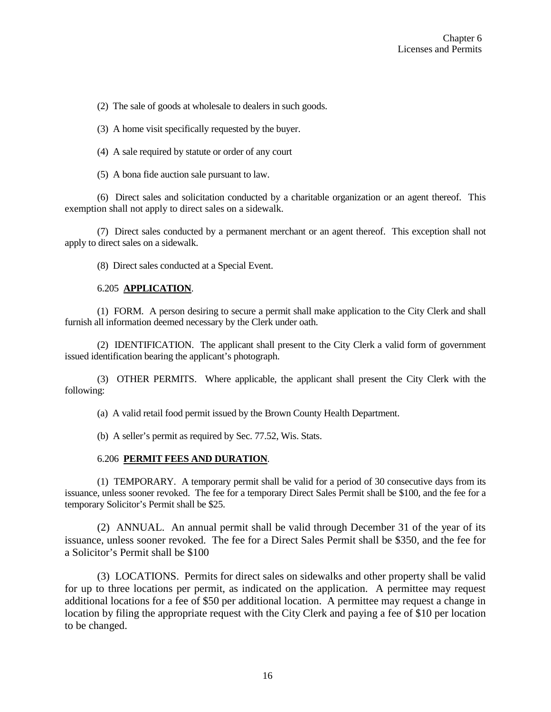(2) The sale of goods at wholesale to dealers in such goods.

(3) A home visit specifically requested by the buyer.

- (4) A sale required by statute or order of any court
- (5) A bona fide auction sale pursuant to law.

(6) Direct sales and solicitation conducted by a charitable organization or an agent thereof. This exemption shall not apply to direct sales on a sidewalk.

(7) Direct sales conducted by a permanent merchant or an agent thereof. This exception shall not apply to direct sales on a sidewalk.

(8) Direct sales conducted at a Special Event.

# 6.205 **APPLICATION**.

(1) FORM. A person desiring to secure a permit shall make application to the City Clerk and shall furnish all information deemed necessary by the Clerk under oath.

(2) IDENTIFICATION. The applicant shall present to the City Clerk a valid form of government issued identification bearing the applicant's photograph.

(3) OTHER PERMITS. Where applicable, the applicant shall present the City Clerk with the following:

(a) A valid retail food permit issued by the Brown County Health Department.

(b) A seller's permit as required by Sec. 77.52, Wis. Stats.

## 6.206 **PERMIT FEES AND DURATION**.

(1) TEMPORARY. A temporary permit shall be valid for a period of 30 consecutive days from its issuance, unless sooner revoked. The fee for a temporary Direct Sales Permit shall be \$100, and the fee for a temporary Solicitor's Permit shall be \$25.

(2) ANNUAL. An annual permit shall be valid through December 31 of the year of its issuance, unless sooner revoked. The fee for a Direct Sales Permit shall be \$350, and the fee for a Solicitor's Permit shall be \$100

(3) LOCATIONS. Permits for direct sales on sidewalks and other property shall be valid for up to three locations per permit, as indicated on the application. A permittee may request additional locations for a fee of \$50 per additional location. A permittee may request a change in location by filing the appropriate request with the City Clerk and paying a fee of \$10 per location to be changed.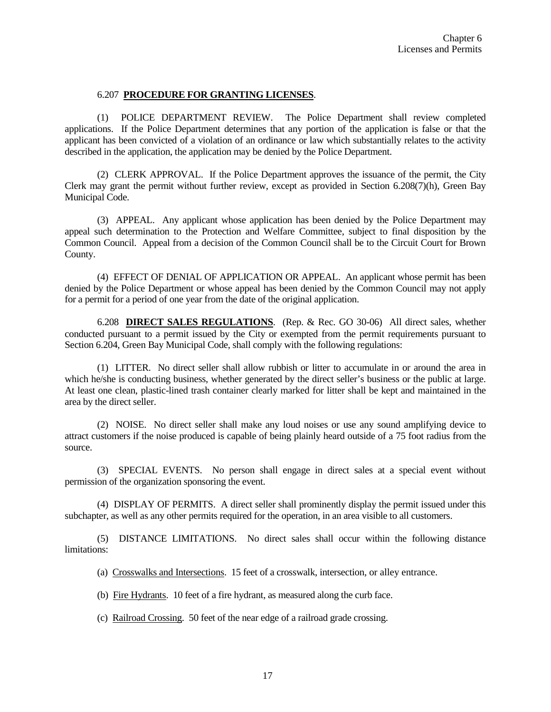### 6.207 **PROCEDURE FOR GRANTING LICENSES**.

(1) POLICE DEPARTMENT REVIEW. The Police Department shall review completed applications. If the Police Department determines that any portion of the application is false or that the applicant has been convicted of a violation of an ordinance or law which substantially relates to the activity described in the application, the application may be denied by the Police Department.

(2) CLERK APPROVAL. If the Police Department approves the issuance of the permit, the City Clerk may grant the permit without further review, except as provided in Section 6.208(7)(h), Green Bay Municipal Code.

(3) APPEAL. Any applicant whose application has been denied by the Police Department may appeal such determination to the Protection and Welfare Committee, subject to final disposition by the Common Council. Appeal from a decision of the Common Council shall be to the Circuit Court for Brown County.

(4) EFFECT OF DENIAL OF APPLICATION OR APPEAL. An applicant whose permit has been denied by the Police Department or whose appeal has been denied by the Common Council may not apply for a permit for a period of one year from the date of the original application.

6.208 **DIRECT SALES REGULATIONS**. (Rep. & Rec. GO 30-06) All direct sales, whether conducted pursuant to a permit issued by the City or exempted from the permit requirements pursuant to Section 6.204, Green Bay Municipal Code, shall comply with the following regulations:

(1) LITTER. No direct seller shall allow rubbish or litter to accumulate in or around the area in which he/she is conducting business, whether generated by the direct seller's business or the public at large. At least one clean, plastic-lined trash container clearly marked for litter shall be kept and maintained in the area by the direct seller.

(2) NOISE. No direct seller shall make any loud noises or use any sound amplifying device to attract customers if the noise produced is capable of being plainly heard outside of a 75 foot radius from the source.

(3) SPECIAL EVENTS. No person shall engage in direct sales at a special event without permission of the organization sponsoring the event.

(4) DISPLAY OF PERMITS. A direct seller shall prominently display the permit issued under this subchapter, as well as any other permits required for the operation, in an area visible to all customers.

(5) DISTANCE LIMITATIONS. No direct sales shall occur within the following distance limitations:

(a) Crosswalks and Intersections. 15 feet of a crosswalk, intersection, or alley entrance.

(b) Fire Hydrants. 10 feet of a fire hydrant, as measured along the curb face.

(c) Railroad Crossing. 50 feet of the near edge of a railroad grade crossing.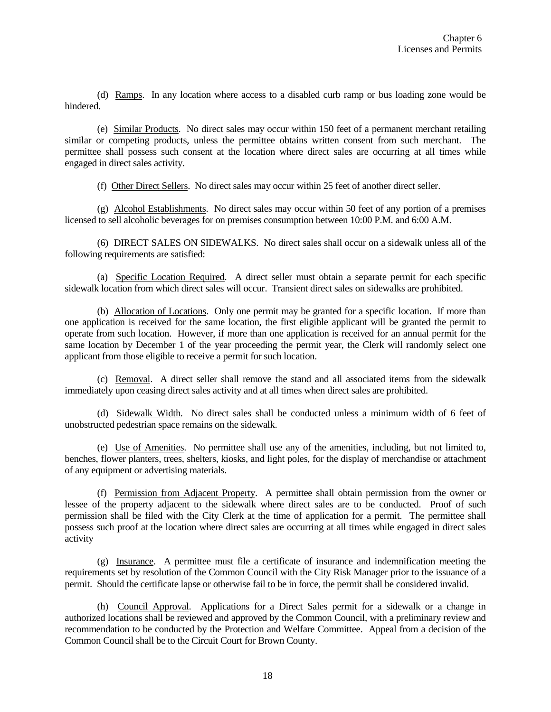(d) Ramps. In any location where access to a disabled curb ramp or bus loading zone would be hindered.

(e) Similar Products. No direct sales may occur within 150 feet of a permanent merchant retailing similar or competing products, unless the permittee obtains written consent from such merchant. The permittee shall possess such consent at the location where direct sales are occurring at all times while engaged in direct sales activity.

(f) Other Direct Sellers. No direct sales may occur within 25 feet of another direct seller.

(g) Alcohol Establishments. No direct sales may occur within 50 feet of any portion of a premises licensed to sell alcoholic beverages for on premises consumption between 10:00 P.M. and 6:00 A.M.

(6) DIRECT SALES ON SIDEWALKS. No direct sales shall occur on a sidewalk unless all of the following requirements are satisfied:

(a) Specific Location Required. A direct seller must obtain a separate permit for each specific sidewalk location from which direct sales will occur. Transient direct sales on sidewalks are prohibited.

(b) Allocation of Locations. Only one permit may be granted for a specific location. If more than one application is received for the same location, the first eligible applicant will be granted the permit to operate from such location. However, if more than one application is received for an annual permit for the same location by December 1 of the year proceeding the permit year, the Clerk will randomly select one applicant from those eligible to receive a permit for such location.

(c) Removal. A direct seller shall remove the stand and all associated items from the sidewalk immediately upon ceasing direct sales activity and at all times when direct sales are prohibited.

(d) Sidewalk Width. No direct sales shall be conducted unless a minimum width of 6 feet of unobstructed pedestrian space remains on the sidewalk.

(e) Use of Amenities. No permittee shall use any of the amenities, including, but not limited to, benches, flower planters, trees, shelters, kiosks, and light poles, for the display of merchandise or attachment of any equipment or advertising materials.

(f) Permission from Adjacent Property. A permittee shall obtain permission from the owner or lessee of the property adjacent to the sidewalk where direct sales are to be conducted. Proof of such permission shall be filed with the City Clerk at the time of application for a permit. The permittee shall possess such proof at the location where direct sales are occurring at all times while engaged in direct sales activity

(g) Insurance. A permittee must file a certificate of insurance and indemnification meeting the requirements set by resolution of the Common Council with the City Risk Manager prior to the issuance of a permit. Should the certificate lapse or otherwise fail to be in force, the permit shall be considered invalid.

(h) Council Approval. Applications for a Direct Sales permit for a sidewalk or a change in authorized locations shall be reviewed and approved by the Common Council, with a preliminary review and recommendation to be conducted by the Protection and Welfare Committee. Appeal from a decision of the Common Council shall be to the Circuit Court for Brown County.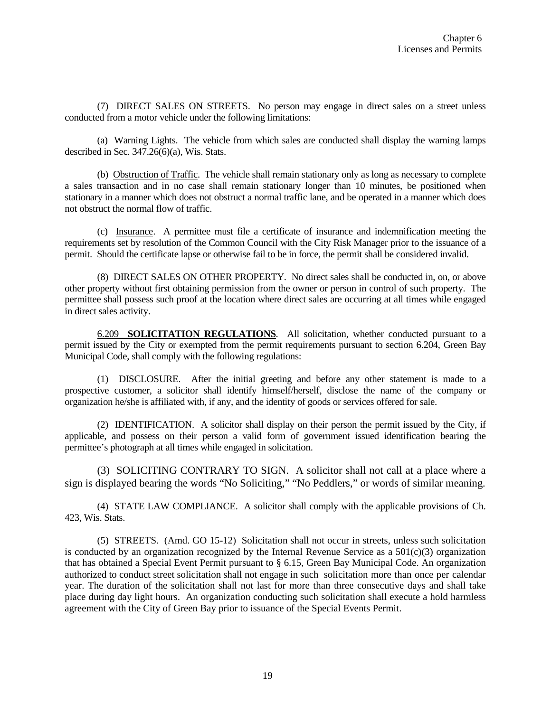(7) DIRECT SALES ON STREETS. No person may engage in direct sales on a street unless conducted from a motor vehicle under the following limitations:

(a) Warning Lights. The vehicle from which sales are conducted shall display the warning lamps described in Sec. 347.26(6)(a), Wis. Stats.

(b) Obstruction of Traffic. The vehicle shall remain stationary only as long as necessary to complete a sales transaction and in no case shall remain stationary longer than 10 minutes, be positioned when stationary in a manner which does not obstruct a normal traffic lane, and be operated in a manner which does not obstruct the normal flow of traffic.

(c) Insurance. A permittee must file a certificate of insurance and indemnification meeting the requirements set by resolution of the Common Council with the City Risk Manager prior to the issuance of a permit. Should the certificate lapse or otherwise fail to be in force, the permit shall be considered invalid.

(8) DIRECT SALES ON OTHER PROPERTY. No direct sales shall be conducted in, on, or above other property without first obtaining permission from the owner or person in control of such property. The permittee shall possess such proof at the location where direct sales are occurring at all times while engaged in direct sales activity.

6.209 **SOLICITATION REGULATIONS**. All solicitation, whether conducted pursuant to a permit issued by the City or exempted from the permit requirements pursuant to section 6.204, Green Bay Municipal Code, shall comply with the following regulations:

(1) DISCLOSURE. After the initial greeting and before any other statement is made to a prospective customer, a solicitor shall identify himself/herself, disclose the name of the company or organization he/she is affiliated with, if any, and the identity of goods or services offered for sale.

(2) IDENTIFICATION. A solicitor shall display on their person the permit issued by the City, if applicable, and possess on their person a valid form of government issued identification bearing the permittee's photograph at all times while engaged in solicitation.

(3) SOLICITING CONTRARY TO SIGN. A solicitor shall not call at a place where a sign is displayed bearing the words "No Soliciting," "No Peddlers," or words of similar meaning.

(4) STATE LAW COMPLIANCE. A solicitor shall comply with the applicable provisions of Ch. 423, Wis. Stats.

(5) STREETS. (Amd. GO 15-12) Solicitation shall not occur in streets, unless such solicitation is conducted by an organization recognized by the Internal Revenue Service as a  $501(c)(3)$  organization that has obtained a Special Event Permit pursuant to § 6.15, Green Bay Municipal Code. An organization authorized to conduct street solicitation shall not engage in such solicitation more than once per calendar year. The duration of the solicitation shall not last for more than three consecutive days and shall take place during day light hours. An organization conducting such solicitation shall execute a hold harmless agreement with the City of Green Bay prior to issuance of the Special Events Permit.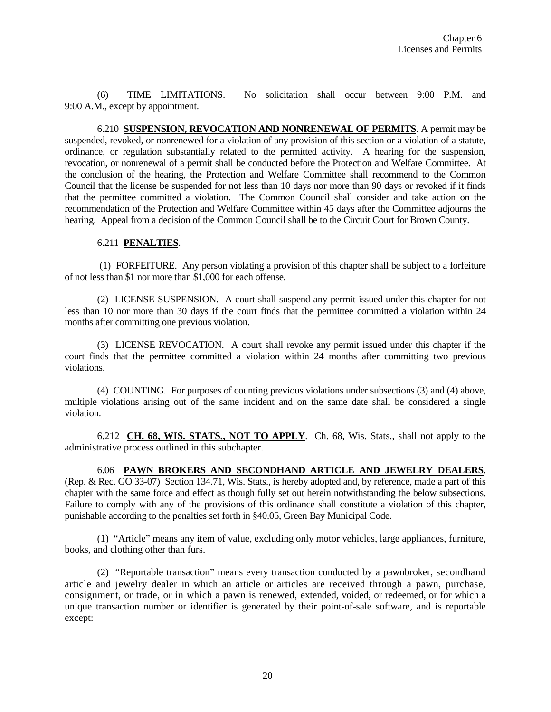(6) TIME LIMITATIONS. No solicitation shall occur between 9:00 P.M. and 9:00 A.M., except by appointment.

6.210 **SUSPENSION, REVOCATION AND NONRENEWAL OF PERMITS**. A permit may be suspended, revoked, or nonrenewed for a violation of any provision of this section or a violation of a statute, ordinance, or regulation substantially related to the permitted activity. A hearing for the suspension, revocation, or nonrenewal of a permit shall be conducted before the Protection and Welfare Committee. At the conclusion of the hearing, the Protection and Welfare Committee shall recommend to the Common Council that the license be suspended for not less than 10 days nor more than 90 days or revoked if it finds that the permittee committed a violation. The Common Council shall consider and take action on the recommendation of the Protection and Welfare Committee within 45 days after the Committee adjourns the hearing. Appeal from a decision of the Common Council shall be to the Circuit Court for Brown County.

## 6.211 **PENALTIES**.

(1) FORFEITURE. Any person violating a provision of this chapter shall be subject to a forfeiture of not less than \$1 nor more than \$1,000 for each offense.

(2) LICENSE SUSPENSION. A court shall suspend any permit issued under this chapter for not less than 10 nor more than 30 days if the court finds that the permittee committed a violation within 24 months after committing one previous violation.

(3) LICENSE REVOCATION. A court shall revoke any permit issued under this chapter if the court finds that the permittee committed a violation within 24 months after committing two previous violations.

(4) COUNTING. For purposes of counting previous violations under subsections (3) and (4) above, multiple violations arising out of the same incident and on the same date shall be considered a single violation.

6.212 **CH. 68, WIS. STATS., NOT TO APPLY**. Ch. 68, Wis. Stats., shall not apply to the administrative process outlined in this subchapter.

#### 6.06 **PAWN BROKERS AND SECONDHAND ARTICLE AND JEWELRY DEALERS**.

(Rep. & Rec. GO 33-07) Section 134.71, Wis. Stats., is hereby adopted and, by reference, made a part of this chapter with the same force and effect as though fully set out herein notwithstanding the below subsections. Failure to comply with any of the provisions of this ordinance shall constitute a violation of this chapter, punishable according to the penalties set forth in §40.05, Green Bay Municipal Code.

(1) "Article" means any item of value, excluding only motor vehicles, large appliances, furniture, books, and clothing other than furs.

(2) "Reportable transaction" means every transaction conducted by a pawnbroker, secondhand article and jewelry dealer in which an article or articles are received through a pawn, purchase, consignment, or trade, or in which a pawn is renewed, extended, voided, or redeemed, or for which a unique transaction number or identifier is generated by their point-of-sale software, and is reportable except: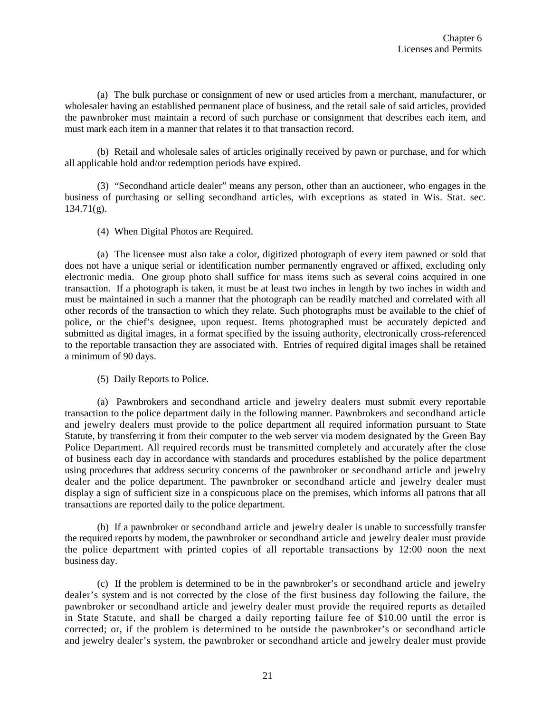(a) The bulk purchase or consignment of new or used articles from a merchant, manufacturer, or wholesaler having an established permanent place of business, and the retail sale of said articles, provided the pawnbroker must maintain a record of such purchase or consignment that describes each item, and must mark each item in a manner that relates it to that transaction record.

(b) Retail and wholesale sales of articles originally received by pawn or purchase, and for which all applicable hold and/or redemption periods have expired.

(3) "Secondhand article dealer" means any person, other than an auctioneer, who engages in the business of purchasing or selling secondhand articles, with exceptions as stated in Wis. Stat. sec.  $134.71(g)$ .

(4) When Digital Photos are Required.

(a) The licensee must also take a color, digitized photograph of every item pawned or sold that does not have a unique serial or identification number permanently engraved or affixed, excluding only electronic media. One group photo shall suffice for mass items such as several coins acquired in one transaction. If a photograph is taken, it must be at least two inches in length by two inches in width and must be maintained in such a manner that the photograph can be readily matched and correlated with all other records of the transaction to which they relate. Such photographs must be available to the chief of police, or the chief's designee, upon request. Items photographed must be accurately depicted and submitted as digital images, in a format specified by the issuing authority, electronically cross-referenced to the reportable transaction they are associated with. Entries of required digital images shall be retained a minimum of 90 days.

(5) Daily Reports to Police.

(a) Pawnbrokers and secondhand article and jewelry dealers must submit every reportable transaction to the police department daily in the following manner. Pawnbrokers and secondhand article and jewelry dealers must provide to the police department all required information pursuant to State Statute, by transferring it from their computer to the web server via modem designated by the Green Bay Police Department. All required records must be transmitted completely and accurately after the close of business each day in accordance with standards and procedures established by the police department using procedures that address security concerns of the pawnbroker or secondhand article and jewelry dealer and the police department. The pawnbroker or secondhand article and jewelry dealer must display a sign of sufficient size in a conspicuous place on the premises, which informs all patrons that all transactions are reported daily to the police department.

(b) If a pawnbroker or secondhand article and jewelry dealer is unable to successfully transfer the required reports by modem, the pawnbroker or secondhand article and jewelry dealer must provide the police department with printed copies of all reportable transactions by 12:00 noon the next business day.

(c) If the problem is determined to be in the pawnbroker's or secondhand article and jewelry dealer's system and is not corrected by the close of the first business day following the failure, the pawnbroker or secondhand article and jewelry dealer must provide the required reports as detailed in State Statute, and shall be charged a daily reporting failure fee of \$10.00 until the error is corrected; or, if the problem is determined to be outside the pawnbroker's or secondhand article and jewelry dealer's system, the pawnbroker or secondhand article and jewelry dealer must provide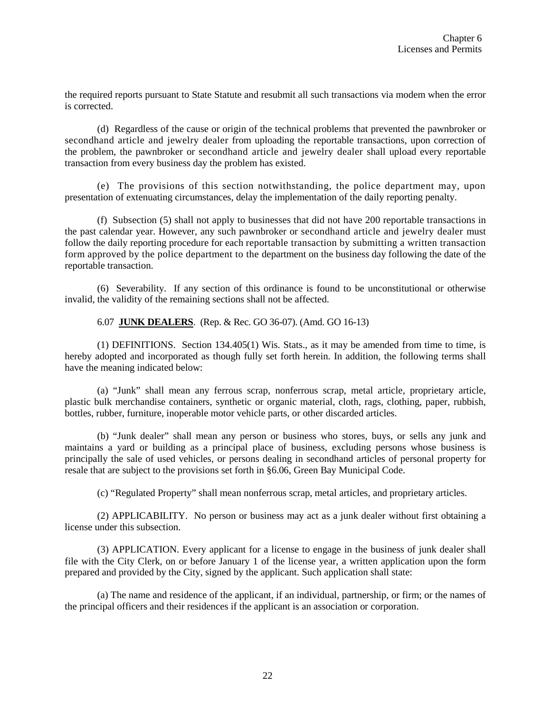the required reports pursuant to State Statute and resubmit all such transactions via modem when the error is corrected.

(d) Regardless of the cause or origin of the technical problems that prevented the pawnbroker or secondhand article and jewelry dealer from uploading the reportable transactions, upon correction of the problem, the pawnbroker or secondhand article and jewelry dealer shall upload every reportable transaction from every business day the problem has existed.

(e) The provisions of this section notwithstanding, the police department may, upon presentation of extenuating circumstances, delay the implementation of the daily reporting penalty.

(f) Subsection (5) shall not apply to businesses that did not have 200 reportable transactions in the past calendar year. However, any such pawnbroker or secondhand article and jewelry dealer must follow the daily reporting procedure for each reportable transaction by submitting a written transaction form approved by the police department to the department on the business day following the date of the reportable transaction.

(6) Severability. If any section of this ordinance is found to be unconstitutional or otherwise invalid, the validity of the remaining sections shall not be affected.

6.07 **JUNK DEALERS**. (Rep. & Rec. GO 36-07). (Amd. GO 16-13)

(1) DEFINITIONS. Section 134.405(1) Wis. Stats., as it may be amended from time to time, is hereby adopted and incorporated as though fully set forth herein. In addition, the following terms shall have the meaning indicated below:

(a) "Junk" shall mean any ferrous scrap, nonferrous scrap, metal article, proprietary article, plastic bulk merchandise containers, synthetic or organic material, cloth, rags, clothing, paper, rubbish, bottles, rubber, furniture, inoperable motor vehicle parts, or other discarded articles.

(b) "Junk dealer" shall mean any person or business who stores, buys, or sells any junk and maintains a yard or building as a principal place of business, excluding persons whose business is principally the sale of used vehicles, or persons dealing in secondhand articles of personal property for resale that are subject to the provisions set forth in §6.06, Green Bay Municipal Code.

(c) "Regulated Property" shall mean nonferrous scrap, metal articles, and proprietary articles.

(2) APPLICABILITY. No person or business may act as a junk dealer without first obtaining a license under this subsection.

(3) APPLICATION. Every applicant for a license to engage in the business of junk dealer shall file with the City Clerk, on or before January 1 of the license year, a written application upon the form prepared and provided by the City, signed by the applicant. Such application shall state:

(a) The name and residence of the applicant, if an individual, partnership, or firm; or the names of the principal officers and their residences if the applicant is an association or corporation.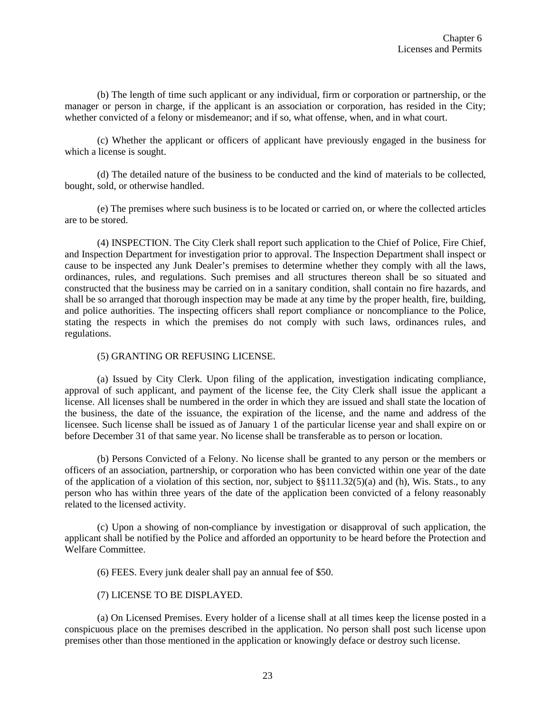(b) The length of time such applicant or any individual, firm or corporation or partnership, or the manager or person in charge, if the applicant is an association or corporation, has resided in the City; whether convicted of a felony or misdemeanor; and if so, what offense, when, and in what court.

(c) Whether the applicant or officers of applicant have previously engaged in the business for which a license is sought.

(d) The detailed nature of the business to be conducted and the kind of materials to be collected, bought, sold, or otherwise handled.

(e) The premises where such business is to be located or carried on, or where the collected articles are to be stored.

(4) INSPECTION. The City Clerk shall report such application to the Chief of Police, Fire Chief, and Inspection Department for investigation prior to approval. The Inspection Department shall inspect or cause to be inspected any Junk Dealer's premises to determine whether they comply with all the laws, ordinances, rules, and regulations. Such premises and all structures thereon shall be so situated and constructed that the business may be carried on in a sanitary condition, shall contain no fire hazards, and shall be so arranged that thorough inspection may be made at any time by the proper health, fire, building, and police authorities. The inspecting officers shall report compliance or noncompliance to the Police, stating the respects in which the premises do not comply with such laws, ordinances rules, and regulations.

### (5) GRANTING OR REFUSING LICENSE.

(a) Issued by City Clerk. Upon filing of the application, investigation indicating compliance, approval of such applicant, and payment of the license fee, the City Clerk shall issue the applicant a license. All licenses shall be numbered in the order in which they are issued and shall state the location of the business, the date of the issuance, the expiration of the license, and the name and address of the licensee. Such license shall be issued as of January 1 of the particular license year and shall expire on or before December 31 of that same year. No license shall be transferable as to person or location.

(b) Persons Convicted of a Felony. No license shall be granted to any person or the members or officers of an association, partnership, or corporation who has been convicted within one year of the date of the application of a violation of this section, nor, subject to  $\S(111.32(5)(a)$  and (h), Wis. Stats., to any person who has within three years of the date of the application been convicted of a felony reasonably related to the licensed activity.

(c) Upon a showing of non-compliance by investigation or disapproval of such application, the applicant shall be notified by the Police and afforded an opportunity to be heard before the Protection and Welfare Committee.

(6) FEES. Every junk dealer shall pay an annual fee of \$50.

(7) LICENSE TO BE DISPLAYED.

(a) On Licensed Premises. Every holder of a license shall at all times keep the license posted in a conspicuous place on the premises described in the application. No person shall post such license upon premises other than those mentioned in the application or knowingly deface or destroy such license.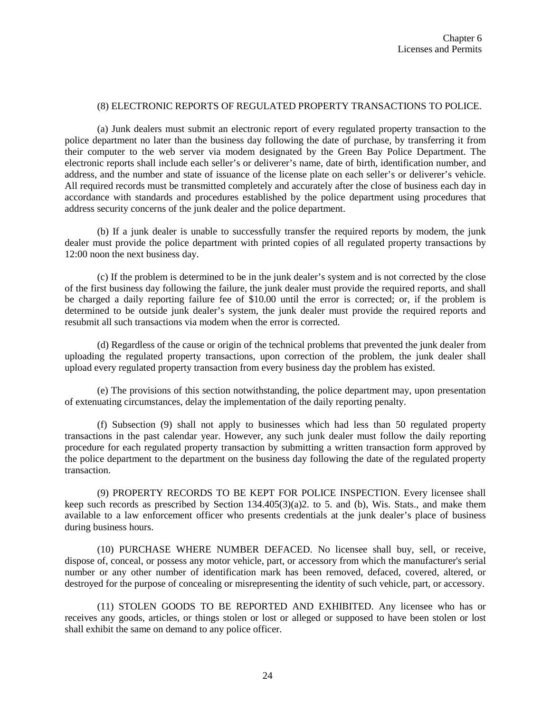## (8) ELECTRONIC REPORTS OF REGULATED PROPERTY TRANSACTIONS TO POLICE.

(a) Junk dealers must submit an electronic report of every regulated property transaction to the police department no later than the business day following the date of purchase, by transferring it from their computer to the web server via modem designated by the Green Bay Police Department. The electronic reports shall include each seller's or deliverer's name, date of birth, identification number, and address, and the number and state of issuance of the license plate on each seller's or deliverer's vehicle. All required records must be transmitted completely and accurately after the close of business each day in accordance with standards and procedures established by the police department using procedures that address security concerns of the junk dealer and the police department.

(b) If a junk dealer is unable to successfully transfer the required reports by modem, the junk dealer must provide the police department with printed copies of all regulated property transactions by 12:00 noon the next business day.

(c) If the problem is determined to be in the junk dealer's system and is not corrected by the close of the first business day following the failure, the junk dealer must provide the required reports, and shall be charged a daily reporting failure fee of \$10.00 until the error is corrected; or, if the problem is determined to be outside junk dealer's system, the junk dealer must provide the required reports and resubmit all such transactions via modem when the error is corrected.

(d) Regardless of the cause or origin of the technical problems that prevented the junk dealer from uploading the regulated property transactions, upon correction of the problem, the junk dealer shall upload every regulated property transaction from every business day the problem has existed.

(e) The provisions of this section notwithstanding, the police department may, upon presentation of extenuating circumstances, delay the implementation of the daily reporting penalty.

(f) Subsection (9) shall not apply to businesses which had less than 50 regulated property transactions in the past calendar year. However, any such junk dealer must follow the daily reporting procedure for each regulated property transaction by submitting a written transaction form approved by the police department to the department on the business day following the date of the regulated property transaction.

(9) PROPERTY RECORDS TO BE KEPT FOR POLICE INSPECTION. Every licensee shall keep such records as prescribed by Section 134.405(3)(a)2. to 5. and (b), Wis. Stats., and make them available to a law enforcement officer who presents credentials at the junk dealer's place of business during business hours.

(10) PURCHASE WHERE NUMBER DEFACED. No licensee shall buy, sell, or receive, dispose of, conceal, or possess any motor vehicle, part, or accessory from which the manufacturer's serial number or any other number of identification mark has been removed, defaced, covered, altered, or destroyed for the purpose of concealing or misrepresenting the identity of such vehicle, part, or accessory.

(11) STOLEN GOODS TO BE REPORTED AND EXHIBITED. Any licensee who has or receives any goods, articles, or things stolen or lost or alleged or supposed to have been stolen or lost shall exhibit the same on demand to any police officer.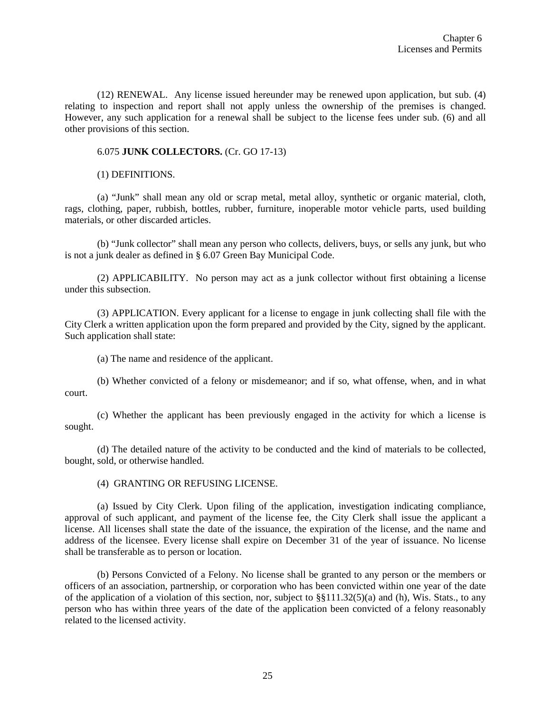(12) RENEWAL. Any license issued hereunder may be renewed upon application, but sub. (4) relating to inspection and report shall not apply unless the ownership of the premises is changed. However, any such application for a renewal shall be subject to the license fees under sub. (6) and all other provisions of this section.

### 6.075 **JUNK COLLECTORS.** (Cr. GO 17-13)

(1) DEFINITIONS.

(a) "Junk" shall mean any old or scrap metal, metal alloy, synthetic or organic material, cloth, rags, clothing, paper, rubbish, bottles, rubber, furniture, inoperable motor vehicle parts, used building materials, or other discarded articles.

(b) "Junk collector" shall mean any person who collects, delivers, buys, or sells any junk, but who is not a junk dealer as defined in § 6.07 Green Bay Municipal Code.

(2) APPLICABILITY. No person may act as a junk collector without first obtaining a license under this subsection.

(3) APPLICATION. Every applicant for a license to engage in junk collecting shall file with the City Clerk a written application upon the form prepared and provided by the City, signed by the applicant. Such application shall state:

(a) The name and residence of the applicant.

(b) Whether convicted of a felony or misdemeanor; and if so, what offense, when, and in what court.

(c) Whether the applicant has been previously engaged in the activity for which a license is sought.

(d) The detailed nature of the activity to be conducted and the kind of materials to be collected, bought, sold, or otherwise handled.

(4) GRANTING OR REFUSING LICENSE.

(a) Issued by City Clerk. Upon filing of the application, investigation indicating compliance, approval of such applicant, and payment of the license fee, the City Clerk shall issue the applicant a license. All licenses shall state the date of the issuance, the expiration of the license, and the name and address of the licensee. Every license shall expire on December 31 of the year of issuance. No license shall be transferable as to person or location.

(b) Persons Convicted of a Felony. No license shall be granted to any person or the members or officers of an association, partnership, or corporation who has been convicted within one year of the date of the application of a violation of this section, nor, subject to  $\S(111.32(5)(a)$  and (h), Wis. Stats., to any person who has within three years of the date of the application been convicted of a felony reasonably related to the licensed activity.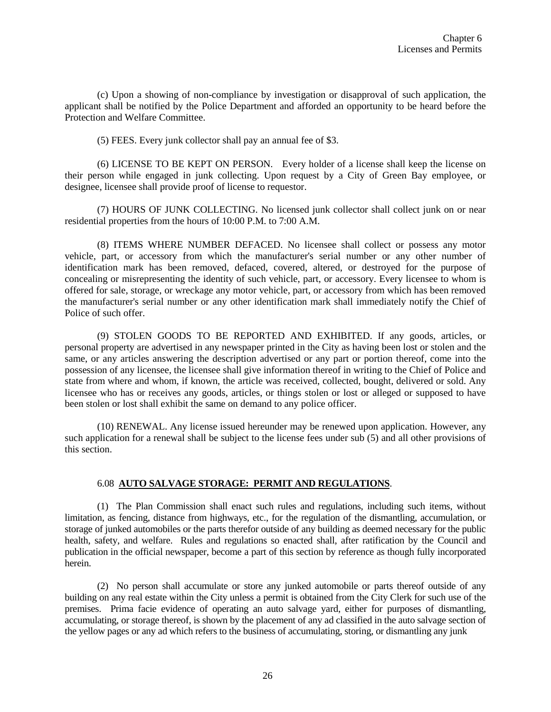(c) Upon a showing of non-compliance by investigation or disapproval of such application, the applicant shall be notified by the Police Department and afforded an opportunity to be heard before the Protection and Welfare Committee.

(5) FEES. Every junk collector shall pay an annual fee of \$3.

(6) LICENSE TO BE KEPT ON PERSON. Every holder of a license shall keep the license on their person while engaged in junk collecting. Upon request by a City of Green Bay employee, or designee, licensee shall provide proof of license to requestor.

(7) HOURS OF JUNK COLLECTING. No licensed junk collector shall collect junk on or near residential properties from the hours of 10:00 P.M. to 7:00 A.M.

(8) ITEMS WHERE NUMBER DEFACED. No licensee shall collect or possess any motor vehicle, part, or accessory from which the manufacturer's serial number or any other number of identification mark has been removed, defaced, covered, altered, or destroyed for the purpose of concealing or misrepresenting the identity of such vehicle, part, or accessory. Every licensee to whom is offered for sale, storage, or wreckage any motor vehicle, part, or accessory from which has been removed the manufacturer's serial number or any other identification mark shall immediately notify the Chief of Police of such offer.

(9) STOLEN GOODS TO BE REPORTED AND EXHIBITED. If any goods, articles, or personal property are advertised in any newspaper printed in the City as having been lost or stolen and the same, or any articles answering the description advertised or any part or portion thereof, come into the possession of any licensee, the licensee shall give information thereof in writing to the Chief of Police and state from where and whom, if known, the article was received, collected, bought, delivered or sold. Any licensee who has or receives any goods, articles, or things stolen or lost or alleged or supposed to have been stolen or lost shall exhibit the same on demand to any police officer.

(10) RENEWAL. Any license issued hereunder may be renewed upon application. However, any such application for a renewal shall be subject to the license fees under sub (5) and all other provisions of this section.

### 6.08 **AUTO SALVAGE STORAGE: PERMIT AND REGULATIONS**.

(1) The Plan Commission shall enact such rules and regulations, including such items, without limitation, as fencing, distance from highways, etc., for the regulation of the dismantling, accumulation, or storage of junked automobiles or the parts therefor outside of any building as deemed necessary for the public health, safety, and welfare. Rules and regulations so enacted shall, after ratification by the Council and publication in the official newspaper, become a part of this section by reference as though fully incorporated herein.

(2) No person shall accumulate or store any junked automobile or parts thereof outside of any building on any real estate within the City unless a permit is obtained from the City Clerk for such use of the premises. Prima facie evidence of operating an auto salvage yard, either for purposes of dismantling, accumulating, or storage thereof, is shown by the placement of any ad classified in the auto salvage section of the yellow pages or any ad which refers to the business of accumulating, storing, or dismantling any junk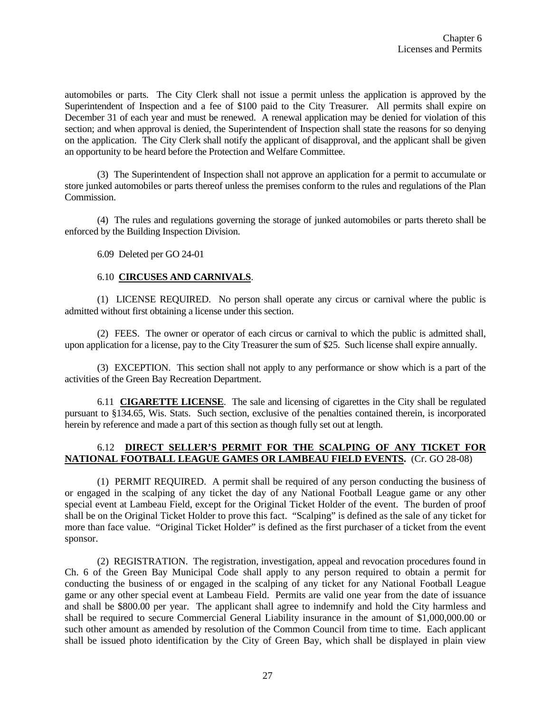automobiles or parts. The City Clerk shall not issue a permit unless the application is approved by the Superintendent of Inspection and a fee of \$100 paid to the City Treasurer. All permits shall expire on December 31 of each year and must be renewed. A renewal application may be denied for violation of this section; and when approval is denied, the Superintendent of Inspection shall state the reasons for so denying on the application. The City Clerk shall notify the applicant of disapproval, and the applicant shall be given an opportunity to be heard before the Protection and Welfare Committee.

(3) The Superintendent of Inspection shall not approve an application for a permit to accumulate or store junked automobiles or parts thereof unless the premises conform to the rules and regulations of the Plan Commission.

(4) The rules and regulations governing the storage of junked automobiles or parts thereto shall be enforced by the Building Inspection Division.

6.09 Deleted per GO 24-01

## 6.10 **CIRCUSES AND CARNIVALS**.

(1) LICENSE REQUIRED. No person shall operate any circus or carnival where the public is admitted without first obtaining a license under this section.

(2) FEES. The owner or operator of each circus or carnival to which the public is admitted shall, upon application for a license, pay to the City Treasurer the sum of \$25. Such license shall expire annually.

(3) EXCEPTION. This section shall not apply to any performance or show which is a part of the activities of the Green Bay Recreation Department.

6.11 **CIGARETTE LICENSE**. The sale and licensing of cigarettes in the City shall be regulated pursuant to §134.65, Wis. Stats. Such section, exclusive of the penalties contained therein, is incorporated herein by reference and made a part of this section as though fully set out at length.

## 6.12 **DIRECT SELLER'S PERMIT FOR THE SCALPING OF ANY TICKET FOR NATIONAL FOOTBALL LEAGUE GAMES OR LAMBEAU FIELD EVENTS.** (Cr. GO 28-08)

(1) PERMIT REQUIRED. A permit shall be required of any person conducting the business of or engaged in the scalping of any ticket the day of any National Football League game or any other special event at Lambeau Field, except for the Original Ticket Holder of the event. The burden of proof shall be on the Original Ticket Holder to prove this fact. "Scalping" is defined as the sale of any ticket for more than face value. "Original Ticket Holder" is defined as the first purchaser of a ticket from the event sponsor.

(2) REGISTRATION. The registration, investigation, appeal and revocation procedures found in Ch. 6 of the Green Bay Municipal Code shall apply to any person required to obtain a permit for conducting the business of or engaged in the scalping of any ticket for any National Football League game or any other special event at Lambeau Field. Permits are valid one year from the date of issuance and shall be \$800.00 per year. The applicant shall agree to indemnify and hold the City harmless and shall be required to secure Commercial General Liability insurance in the amount of \$1,000,000.00 or such other amount as amended by resolution of the Common Council from time to time. Each applicant shall be issued photo identification by the City of Green Bay, which shall be displayed in plain view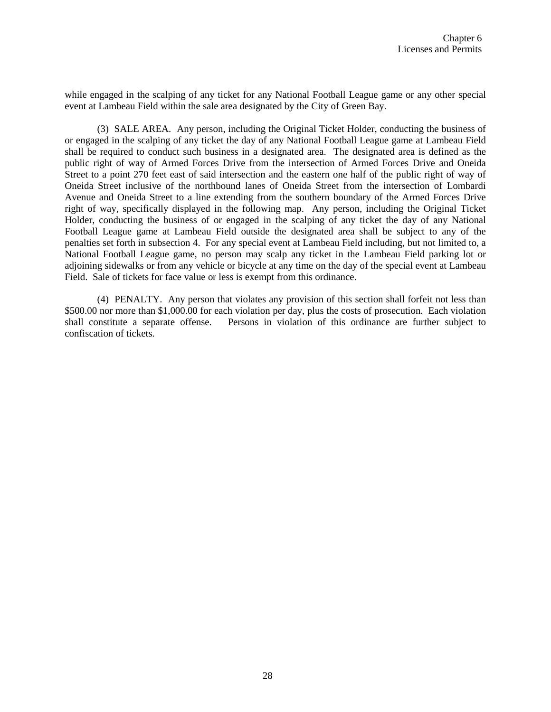while engaged in the scalping of any ticket for any National Football League game or any other special event at Lambeau Field within the sale area designated by the City of Green Bay.

(3) SALE AREA. Any person, including the Original Ticket Holder, conducting the business of or engaged in the scalping of any ticket the day of any National Football League game at Lambeau Field shall be required to conduct such business in a designated area. The designated area is defined as the public right of way of Armed Forces Drive from the intersection of Armed Forces Drive and Oneida Street to a point 270 feet east of said intersection and the eastern one half of the public right of way of Oneida Street inclusive of the northbound lanes of Oneida Street from the intersection of Lombardi Avenue and Oneida Street to a line extending from the southern boundary of the Armed Forces Drive right of way, specifically displayed in the following map. Any person, including the Original Ticket Holder, conducting the business of or engaged in the scalping of any ticket the day of any National Football League game at Lambeau Field outside the designated area shall be subject to any of the penalties set forth in subsection 4. For any special event at Lambeau Field including, but not limited to, a National Football League game, no person may scalp any ticket in the Lambeau Field parking lot or adjoining sidewalks or from any vehicle or bicycle at any time on the day of the special event at Lambeau Field. Sale of tickets for face value or less is exempt from this ordinance.

(4) PENALTY. Any person that violates any provision of this section shall forfeit not less than \$500.00 nor more than \$1,000.00 for each violation per day, plus the costs of prosecution. Each violation shall constitute a separate offense. Persons in violation of this ordinance are further subject to confiscation of tickets.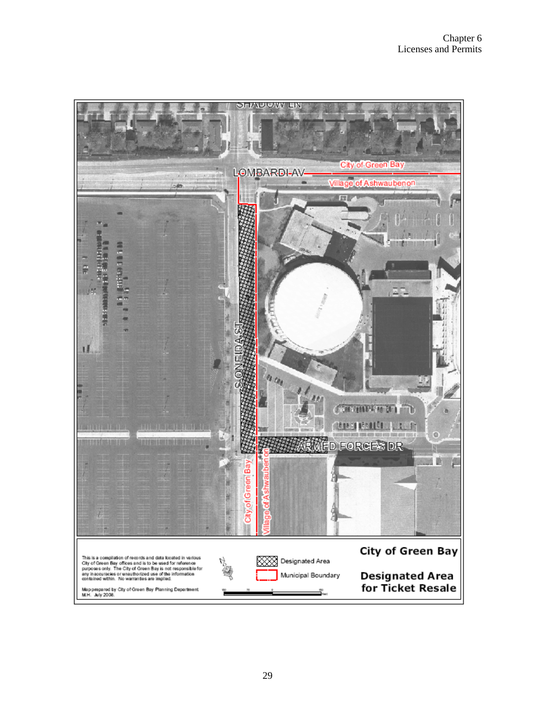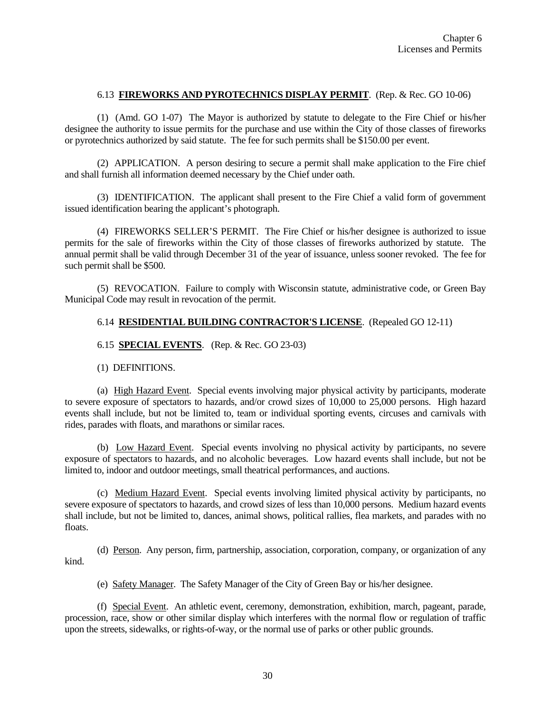### 6.13 **FIREWORKS AND PYROTECHNICS DISPLAY PERMIT**. (Rep. & Rec. GO 10-06)

(1)(Amd. GO 1-07) The Mayor is authorized by statute to delegate to the Fire Chief or his/her designee the authority to issue permits for the purchase and use within the City of those classes of fireworks or pyrotechnics authorized by said statute. The fee for such permits shall be \$150.00 per event.

(2) APPLICATION. A person desiring to secure a permit shall make application to the Fire chief and shall furnish all information deemed necessary by the Chief under oath.

(3) IDENTIFICATION. The applicant shall present to the Fire Chief a valid form of government issued identification bearing the applicant's photograph.

(4) FIREWORKS SELLER'S PERMIT. The Fire Chief or his/her designee is authorized to issue permits for the sale of fireworks within the City of those classes of fireworks authorized by statute. The annual permit shall be valid through December 31 of the year of issuance, unless sooner revoked. The fee for such permit shall be \$500.

(5) REVOCATION. Failure to comply with Wisconsin statute, administrative code, or Green Bay Municipal Code may result in revocation of the permit.

### 6.14 **RESIDENTIAL BUILDING CONTRACTOR'S LICENSE**. (Repealed GO 12-11)

# 6.15 **SPECIAL EVENTS**. (Rep. & Rec. GO 23-03)

(1) DEFINITIONS.

(a) High Hazard Event. Special events involving major physical activity by participants, moderate to severe exposure of spectators to hazards, and/or crowd sizes of 10,000 to 25,000 persons. High hazard events shall include, but not be limited to, team or individual sporting events, circuses and carnivals with rides, parades with floats, and marathons or similar races.

(b) Low Hazard Event. Special events involving no physical activity by participants, no severe exposure of spectators to hazards, and no alcoholic beverages. Low hazard events shall include, but not be limited to, indoor and outdoor meetings, small theatrical performances, and auctions.

(c) Medium Hazard Event. Special events involving limited physical activity by participants, no severe exposure of spectators to hazards, and crowd sizes of less than 10,000 persons. Medium hazard events shall include, but not be limited to, dances, animal shows, political rallies, flea markets, and parades with no floats.

(d) Person. Any person, firm, partnership, association, corporation, company, or organization of any kind.

(e) Safety Manager. The Safety Manager of the City of Green Bay or his/her designee.

(f) Special Event. An athletic event, ceremony, demonstration, exhibition, march, pageant, parade, procession, race, show or other similar display which interferes with the normal flow or regulation of traffic upon the streets, sidewalks, or rights-of-way, or the normal use of parks or other public grounds.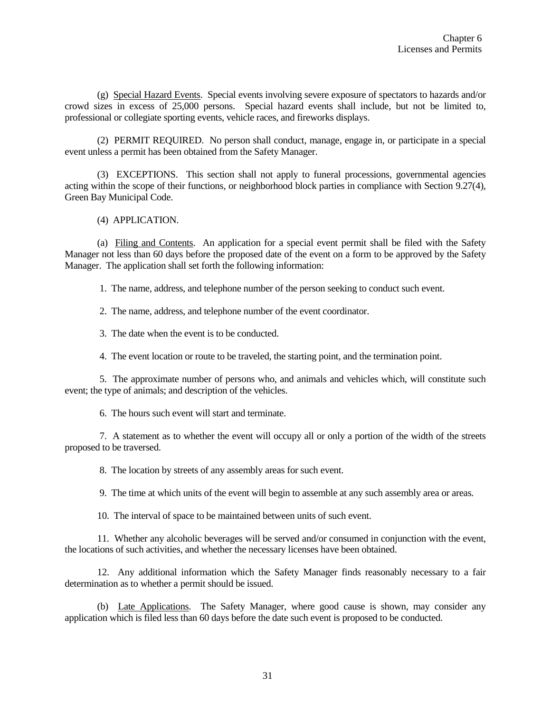(g) Special Hazard Events. Special events involving severe exposure of spectators to hazards and/or crowd sizes in excess of 25,000 persons. Special hazard events shall include, but not be limited to, professional or collegiate sporting events, vehicle races, and fireworks displays.

(2) PERMIT REQUIRED. No person shall conduct, manage, engage in, or participate in a special event unless a permit has been obtained from the Safety Manager.

(3) EXCEPTIONS. This section shall not apply to funeral processions, governmental agencies acting within the scope of their functions, or neighborhood block parties in compliance with Section 9.27(4), Green Bay Municipal Code.

### (4) APPLICATION.

(a) Filing and Contents. An application for a special event permit shall be filed with the Safety Manager not less than 60 days before the proposed date of the event on a form to be approved by the Safety Manager. The application shall set forth the following information:

1. The name, address, and telephone number of the person seeking to conduct such event.

2. The name, address, and telephone number of the event coordinator.

3. The date when the event is to be conducted.

4. The event location or route to be traveled, the starting point, and the termination point.

5. The approximate number of persons who, and animals and vehicles which, will constitute such event; the type of animals; and description of the vehicles.

6. The hours such event will start and terminate.

7. A statement as to whether the event will occupy all or only a portion of the width of the streets proposed to be traversed.

8. The location by streets of any assembly areas for such event.

9. The time at which units of the event will begin to assemble at any such assembly area or areas.

10. The interval of space to be maintained between units of such event.

11. Whether any alcoholic beverages will be served and/or consumed in conjunction with the event, the locations of such activities, and whether the necessary licenses have been obtained.

12. Any additional information which the Safety Manager finds reasonably necessary to a fair determination as to whether a permit should be issued.

(b) Late Applications. The Safety Manager, where good cause is shown, may consider any application which is filed less than 60 days before the date such event is proposed to be conducted.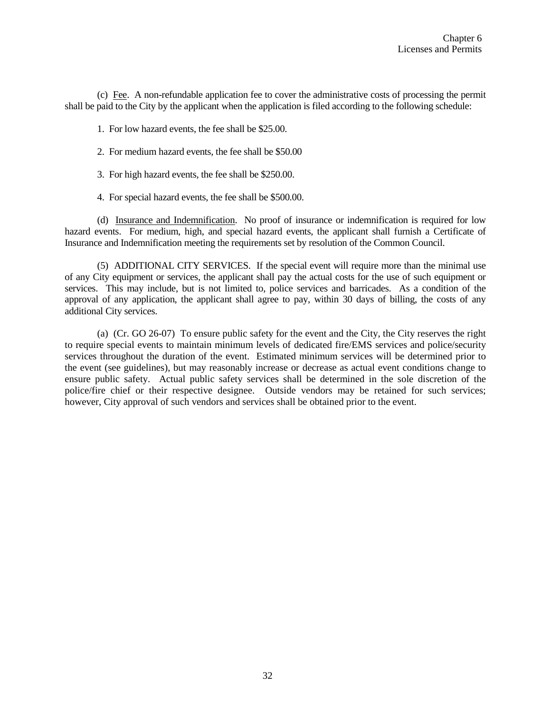(c) Fee. A non-refundable application fee to cover the administrative costs of processing the permit shall be paid to the City by the applicant when the application is filed according to the following schedule:

1. For low hazard events, the fee shall be \$25.00.

- 2. For medium hazard events, the fee shall be \$50.00
- 3. For high hazard events, the fee shall be \$250.00.
- 4. For special hazard events, the fee shall be \$500.00.

(d) Insurance and Indemnification. No proof of insurance or indemnification is required for low hazard events. For medium, high, and special hazard events, the applicant shall furnish a Certificate of Insurance and Indemnification meeting the requirements set by resolution of the Common Council.

(5) ADDITIONAL CITY SERVICES. If the special event will require more than the minimal use of any City equipment or services, the applicant shall pay the actual costs for the use of such equipment or services. This may include, but is not limited to, police services and barricades. As a condition of the approval of any application, the applicant shall agree to pay, within 30 days of billing, the costs of any additional City services.

(a) (Cr. GO 26-07) To ensure public safety for the event and the City, the City reserves the right to require special events to maintain minimum levels of dedicated fire/EMS services and police/security services throughout the duration of the event. Estimated minimum services will be determined prior to the event (see guidelines), but may reasonably increase or decrease as actual event conditions change to ensure public safety. Actual public safety services shall be determined in the sole discretion of the police/fire chief or their respective designee. Outside vendors may be retained for such services; however, City approval of such vendors and services shall be obtained prior to the event.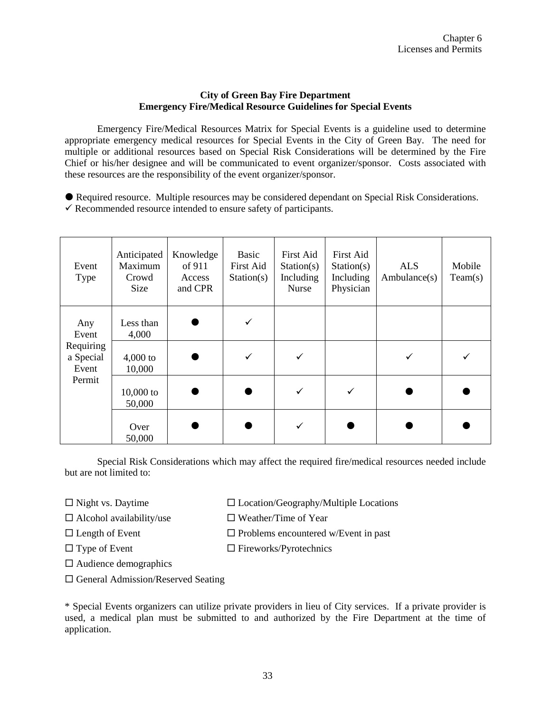# **City of Green Bay Fire Department Emergency Fire/Medical Resource Guidelines for Special Events**

Emergency Fire/Medical Resources Matrix for Special Events is a guideline used to determine appropriate emergency medical resources for Special Events in the City of Green Bay. The need for multiple or additional resources based on Special Risk Considerations will be determined by the Fire Chief or his/her designee and will be communicated to event organizer/sponsor. Costs associated with these resources are the responsibility of the event organizer/sponsor.

- Required resource. Multiple resources may be considered dependant on Special Risk Considerations.
- $\checkmark$  Recommended resource intended to ensure safety of participants.

| Event<br>Type                   | Anticipated<br>Maximum<br>Crowd<br>Size | Knowledge<br>of 911<br>Access<br>and CPR | Basic<br>First Aid<br>Station(s) | First Aid<br>Station(s)<br>Including<br>Nurse | First Aid<br>Station(s)<br>Including<br>Physician | <b>ALS</b><br>Ambulance(s) | Mobile<br>Team(s) |
|---------------------------------|-----------------------------------------|------------------------------------------|----------------------------------|-----------------------------------------------|---------------------------------------------------|----------------------------|-------------------|
| Any<br>Event                    | Less than<br>4,000                      |                                          | ✓                                |                                               |                                                   |                            |                   |
| Requiring<br>a Special<br>Event | $4,000$ to<br>10,000                    |                                          | ✓                                |                                               |                                                   | ✓                          |                   |
| Permit                          | $10,000$ to<br>50,000                   |                                          |                                  |                                               | ✓                                                 |                            |                   |
|                                 | Over<br>50,000                          |                                          |                                  |                                               |                                                   |                            |                   |

Special Risk Considerations which may affect the required fire/medical resources needed include but are not limited to:

 $\Box$  Night vs. Daytime  $\Box$  Location/Geography/Multiple Locations

 $\Box$  Alcohol availability/use  $\Box$  Weather/Time of Year

 $\square$  Length of Event  $\square$  Problems encountered w/Event in past

 $\Box$  Type of Event  $\Box$  Fireworks/Pyrotechnics

Audience demographics

 $\square$  General Admission/Reserved Seating

\* Special Events organizers can utilize private providers in lieu of City services. If a private provider is used, a medical plan must be submitted to and authorized by the Fire Department at the time of application.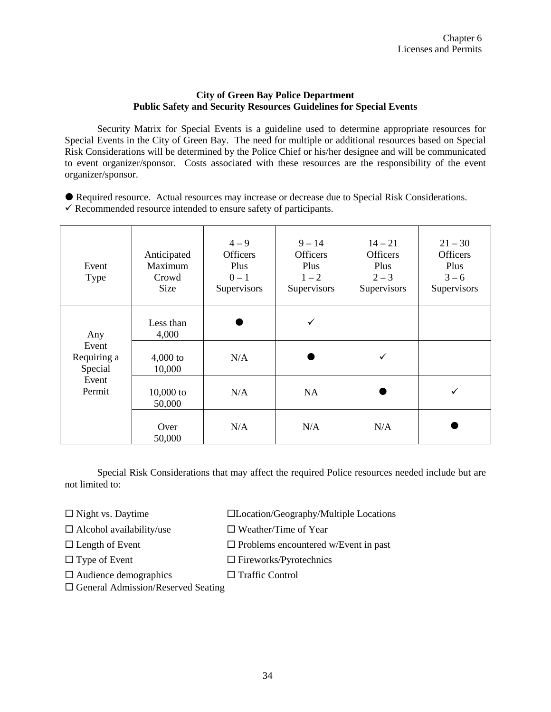# **City of Green Bay Police Department Public Safety and Security Resources Guidelines for Special Events**

Security Matrix for Special Events is a guideline used to determine appropriate resources for Special Events in the City of Green Bay. The need for multiple or additional resources based on Special Risk Considerations will be determined by the Police Chief or his/her designee and will be communicated to event organizer/sponsor. Costs associated with these resources are the responsibility of the event organizer/sponsor.

- Required resource. Actual resources may increase or decrease due to Special Risk Considerations.
- $\checkmark$  Recommended resource intended to ensure safety of participants.

| Event<br>Type                          | Anticipated<br>Maximum<br>Crowd<br><b>Size</b> | $4 - 9$<br><b>Officers</b><br><b>Plus</b><br>$0 - 1$<br>Supervisors | $9 - 14$<br><b>Officers</b><br>Plus<br>$1 - 2$<br>Supervisors | $14 - 21$<br><b>Officers</b><br>Plus<br>$2 - 3$<br>Supervisors | $21 - 30$<br><b>Officers</b><br>Plus<br>$3 - 6$<br>Supervisors |
|----------------------------------------|------------------------------------------------|---------------------------------------------------------------------|---------------------------------------------------------------|----------------------------------------------------------------|----------------------------------------------------------------|
| Any<br>Event<br>Requiring a<br>Special | Less than<br>4,000<br>$4,000$ to<br>10,000     | N/A                                                                 | ✓                                                             | ✓                                                              |                                                                |
| Event<br>Permit                        | $10,000$ to<br>50,000                          | N/A                                                                 | <b>NA</b>                                                     |                                                                | ✓                                                              |
|                                        | Over<br>50,000                                 | N/A                                                                 | N/A                                                           | N/A                                                            |                                                                |

Special Risk Considerations that may affect the required Police resources needed include but are not limited to:

 $\Box$  Night vs. Daytime  $\Box$  Location/Geography/Multiple Locations

 $\Box$  Alcohol availability/use  $\Box$  Weather/Time of Year

- $\Box$  Length of Event  $\Box$  Problems encountered w/Event in past
- $\Box$  Type of Event  $\Box$  Fireworks/Pyrotechnics
	-
- $\square$  Audience demographics  $\square$  Traffic Control

 $\square$  General Admission/Reserved Seating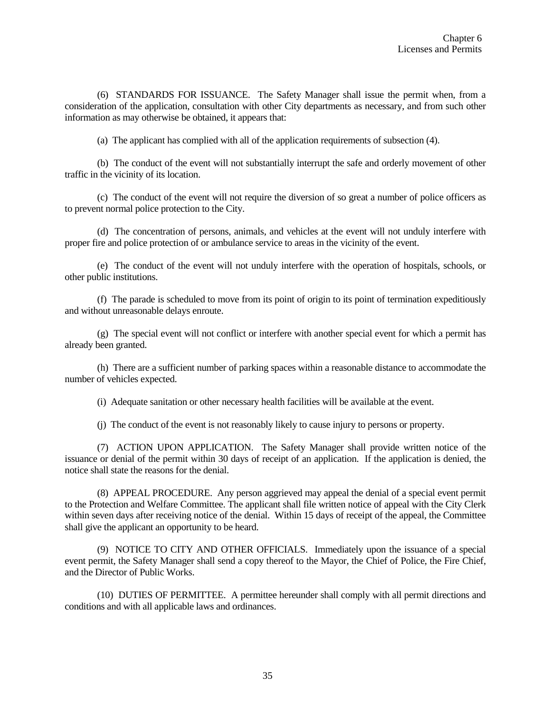(6) STANDARDS FOR ISSUANCE. The Safety Manager shall issue the permit when, from a consideration of the application, consultation with other City departments as necessary, and from such other information as may otherwise be obtained, it appears that:

(a) The applicant has complied with all of the application requirements of subsection (4).

(b) The conduct of the event will not substantially interrupt the safe and orderly movement of other traffic in the vicinity of its location.

(c) The conduct of the event will not require the diversion of so great a number of police officers as to prevent normal police protection to the City.

(d) The concentration of persons, animals, and vehicles at the event will not unduly interfere with proper fire and police protection of or ambulance service to areas in the vicinity of the event.

(e) The conduct of the event will not unduly interfere with the operation of hospitals, schools, or other public institutions.

(f) The parade is scheduled to move from its point of origin to its point of termination expeditiously and without unreasonable delays enroute.

(g) The special event will not conflict or interfere with another special event for which a permit has already been granted.

(h) There are a sufficient number of parking spaces within a reasonable distance to accommodate the number of vehicles expected.

(i) Adequate sanitation or other necessary health facilities will be available at the event.

(j) The conduct of the event is not reasonably likely to cause injury to persons or property.

(7) ACTION UPON APPLICATION. The Safety Manager shall provide written notice of the issuance or denial of the permit within 30 days of receipt of an application. If the application is denied, the notice shall state the reasons for the denial.

(8) APPEAL PROCEDURE. Any person aggrieved may appeal the denial of a special event permit to the Protection and Welfare Committee. The applicant shall file written notice of appeal with the City Clerk within seven days after receiving notice of the denial. Within 15 days of receipt of the appeal, the Committee shall give the applicant an opportunity to be heard.

(9) NOTICE TO CITY AND OTHER OFFICIALS. Immediately upon the issuance of a special event permit, the Safety Manager shall send a copy thereof to the Mayor, the Chief of Police, the Fire Chief, and the Director of Public Works.

(10) DUTIES OF PERMITTEE. A permittee hereunder shall comply with all permit directions and conditions and with all applicable laws and ordinances.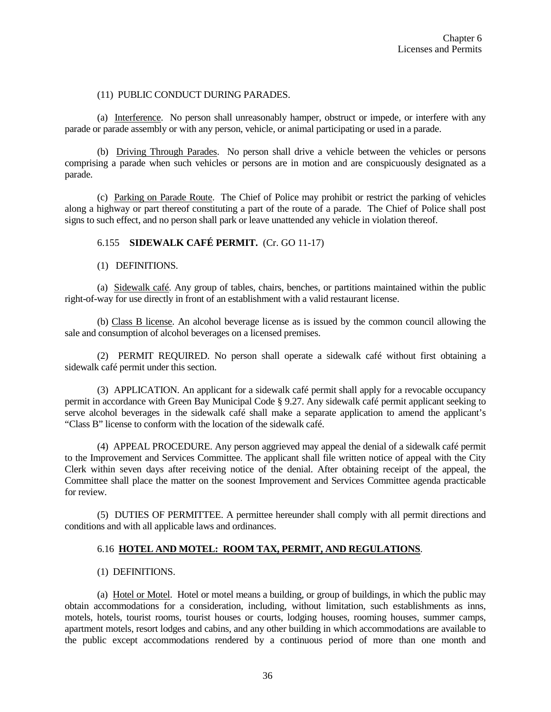### (11) PUBLIC CONDUCT DURING PARADES.

(a) Interference. No person shall unreasonably hamper, obstruct or impede, or interfere with any parade or parade assembly or with any person, vehicle, or animal participating or used in a parade.

(b) Driving Through Parades. No person shall drive a vehicle between the vehicles or persons comprising a parade when such vehicles or persons are in motion and are conspicuously designated as a parade.

(c) Parking on Parade Route. The Chief of Police may prohibit or restrict the parking of vehicles along a highway or part thereof constituting a part of the route of a parade. The Chief of Police shall post signs to such effect, and no person shall park or leave unattended any vehicle in violation thereof.

# 6.155 **SIDEWALK CAFÉ PERMIT.** (Cr. GO 11-17)

(1) DEFINITIONS.

(a) Sidewalk café. Any group of tables, chairs, benches, or partitions maintained within the public right-of-way for use directly in front of an establishment with a valid restaurant license.

(b) Class B license. An alcohol beverage license as is issued by the common council allowing the sale and consumption of alcohol beverages on a licensed premises.

(2) PERMIT REQUIRED. No person shall operate a sidewalk café without first obtaining a sidewalk café permit under this section.

(3) APPLICATION. An applicant for a sidewalk café permit shall apply for a revocable occupancy permit in accordance with Green Bay Municipal Code § 9.27. Any sidewalk café permit applicant seeking to serve alcohol beverages in the sidewalk café shall make a separate application to amend the applicant's "Class B" license to conform with the location of the sidewalk café.

(4) APPEAL PROCEDURE. Any person aggrieved may appeal the denial of a sidewalk café permit to the Improvement and Services Committee. The applicant shall file written notice of appeal with the City Clerk within seven days after receiving notice of the denial. After obtaining receipt of the appeal, the Committee shall place the matter on the soonest Improvement and Services Committee agenda practicable for review.

(5) DUTIES OF PERMITTEE. A permittee hereunder shall comply with all permit directions and conditions and with all applicable laws and ordinances.

## 6.16 **HOTEL AND MOTEL: ROOM TAX, PERMIT, AND REGULATIONS**.

#### (1) DEFINITIONS.

(a) Hotel or Motel. Hotel or motel means a building, or group of buildings, in which the public may obtain accommodations for a consideration, including, without limitation, such establishments as inns, motels, hotels, tourist rooms, tourist houses or courts, lodging houses, rooming houses, summer camps, apartment motels, resort lodges and cabins, and any other building in which accommodations are available to the public except accommodations rendered by a continuous period of more than one month and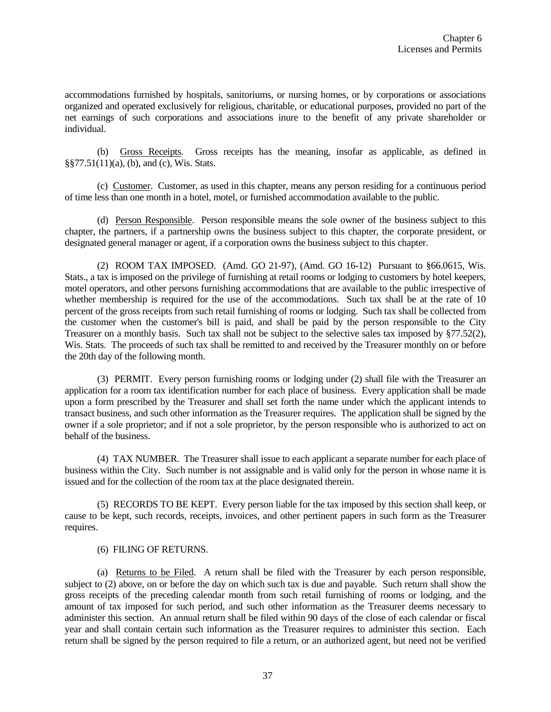accommodations furnished by hospitals, sanitoriums, or nursing homes, or by corporations or associations organized and operated exclusively for religious, charitable, or educational purposes, provided no part of the net earnings of such corporations and associations inure to the benefit of any private shareholder or individual.

(b) Gross Receipts. Gross receipts has the meaning, insofar as applicable, as defined in §§77.51(11)(a), (b), and (c), Wis. Stats.

(c) Customer. Customer, as used in this chapter, means any person residing for a continuous period of time less than one month in a hotel, motel, or furnished accommodation available to the public.

(d) Person Responsible. Person responsible means the sole owner of the business subject to this chapter, the partners, if a partnership owns the business subject to this chapter, the corporate president, or designated general manager or agent, if a corporation owns the business subject to this chapter.

(2) ROOM TAX IMPOSED. (Amd. GO 21-97), (Amd. GO 16-12) Pursuant to §66.0615, Wis. Stats., a tax is imposed on the privilege of furnishing at retail rooms or lodging to customers by hotel keepers, motel operators, and other persons furnishing accommodations that are available to the public irrespective of whether membership is required for the use of the accommodations. Such tax shall be at the rate of 10 percent of the gross receipts from such retail furnishing of rooms or lodging. Such tax shall be collected from the customer when the customer's bill is paid, and shall be paid by the person responsible to the City Treasurer on a monthly basis. Such tax shall not be subject to the selective sales tax imposed by §77.52(2), Wis. Stats. The proceeds of such tax shall be remitted to and received by the Treasurer monthly on or before the 20th day of the following month.

(3) PERMIT. Every person furnishing rooms or lodging under (2) shall file with the Treasurer an application for a room tax identification number for each place of business. Every application shall be made upon a form prescribed by the Treasurer and shall set forth the name under which the applicant intends to transact business, and such other information as the Treasurer requires. The application shall be signed by the owner if a sole proprietor; and if not a sole proprietor, by the person responsible who is authorized to act on behalf of the business.

(4) TAX NUMBER. The Treasurer shall issue to each applicant a separate number for each place of business within the City. Such number is not assignable and is valid only for the person in whose name it is issued and for the collection of the room tax at the place designated therein.

(5) RECORDS TO BE KEPT. Every person liable for the tax imposed by this section shall keep, or cause to be kept, such records, receipts, invoices, and other pertinent papers in such form as the Treasurer requires.

## (6) FILING OF RETURNS.

(a) Returns to be Filed. A return shall be filed with the Treasurer by each person responsible, subject to (2) above, on or before the day on which such tax is due and payable. Such return shall show the gross receipts of the preceding calendar month from such retail furnishing of rooms or lodging, and the amount of tax imposed for such period, and such other information as the Treasurer deems necessary to administer this section. An annual return shall be filed within 90 days of the close of each calendar or fiscal year and shall contain certain such information as the Treasurer requires to administer this section. Each return shall be signed by the person required to file a return, or an authorized agent, but need not be verified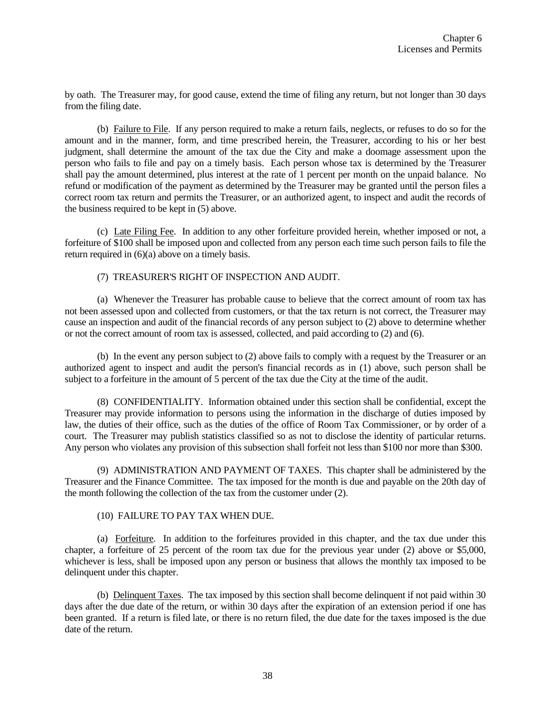by oath. The Treasurer may, for good cause, extend the time of filing any return, but not longer than 30 days from the filing date.

(b) Failure to File. If any person required to make a return fails, neglects, or refuses to do so for the amount and in the manner, form, and time prescribed herein, the Treasurer, according to his or her best judgment, shall determine the amount of the tax due the City and make a doomage assessment upon the person who fails to file and pay on a timely basis. Each person whose tax is determined by the Treasurer shall pay the amount determined, plus interest at the rate of 1 percent per month on the unpaid balance. No refund or modification of the payment as determined by the Treasurer may be granted until the person files a correct room tax return and permits the Treasurer, or an authorized agent, to inspect and audit the records of the business required to be kept in (5) above.

(c) Late Filing Fee. In addition to any other forfeiture provided herein, whether imposed or not, a forfeiture of \$100 shall be imposed upon and collected from any person each time such person fails to file the return required in (6)(a) above on a timely basis.

## (7) TREASURER'S RIGHT OF INSPECTION AND AUDIT.

(a) Whenever the Treasurer has probable cause to believe that the correct amount of room tax has not been assessed upon and collected from customers, or that the tax return is not correct, the Treasurer may cause an inspection and audit of the financial records of any person subject to (2) above to determine whether or not the correct amount of room tax is assessed, collected, and paid according to (2) and (6).

(b) In the event any person subject to (2) above fails to comply with a request by the Treasurer or an authorized agent to inspect and audit the person's financial records as in (1) above, such person shall be subject to a forfeiture in the amount of 5 percent of the tax due the City at the time of the audit.

(8) CONFIDENTIALITY. Information obtained under this section shall be confidential, except the Treasurer may provide information to persons using the information in the discharge of duties imposed by law, the duties of their office, such as the duties of the office of Room Tax Commissioner, or by order of a court. The Treasurer may publish statistics classified so as not to disclose the identity of particular returns. Any person who violates any provision of this subsection shall forfeit not less than \$100 nor more than \$300.

(9) ADMINISTRATION AND PAYMENT OF TAXES. This chapter shall be administered by the Treasurer and the Finance Committee. The tax imposed for the month is due and payable on the 20th day of the month following the collection of the tax from the customer under (2).

## (10) FAILURE TO PAY TAX WHEN DUE.

(a) Forfeiture. In addition to the forfeitures provided in this chapter, and the tax due under this chapter, a forfeiture of 25 percent of the room tax due for the previous year under (2) above or \$5,000, whichever is less, shall be imposed upon any person or business that allows the monthly tax imposed to be delinquent under this chapter.

(b) Delinquent Taxes. The tax imposed by this section shall become delinquent if not paid within 30 days after the due date of the return, or within 30 days after the expiration of an extension period if one has been granted. If a return is filed late, or there is no return filed, the due date for the taxes imposed is the due date of the return.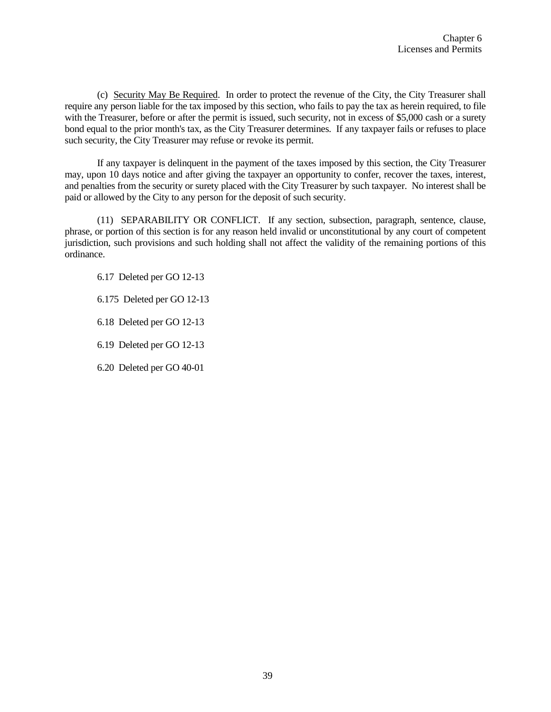(c) Security May Be Required. In order to protect the revenue of the City, the City Treasurer shall require any person liable for the tax imposed by this section, who fails to pay the tax as herein required, to file with the Treasurer, before or after the permit is issued, such security, not in excess of \$5,000 cash or a surety bond equal to the prior month's tax, as the City Treasurer determines. If any taxpayer fails or refuses to place such security, the City Treasurer may refuse or revoke its permit.

If any taxpayer is delinquent in the payment of the taxes imposed by this section, the City Treasurer may, upon 10 days notice and after giving the taxpayer an opportunity to confer, recover the taxes, interest, and penalties from the security or surety placed with the City Treasurer by such taxpayer. No interest shall be paid or allowed by the City to any person for the deposit of such security.

(11) SEPARABILITY OR CONFLICT. If any section, subsection, paragraph, sentence, clause, phrase, or portion of this section is for any reason held invalid or unconstitutional by any court of competent jurisdiction, such provisions and such holding shall not affect the validity of the remaining portions of this ordinance.

6.17 Deleted per GO 12-13

6.175 Deleted per GO 12-13

6.18 Deleted per GO 12-13

6.19 Deleted per GO 12-13

6.20 Deleted per GO 40-01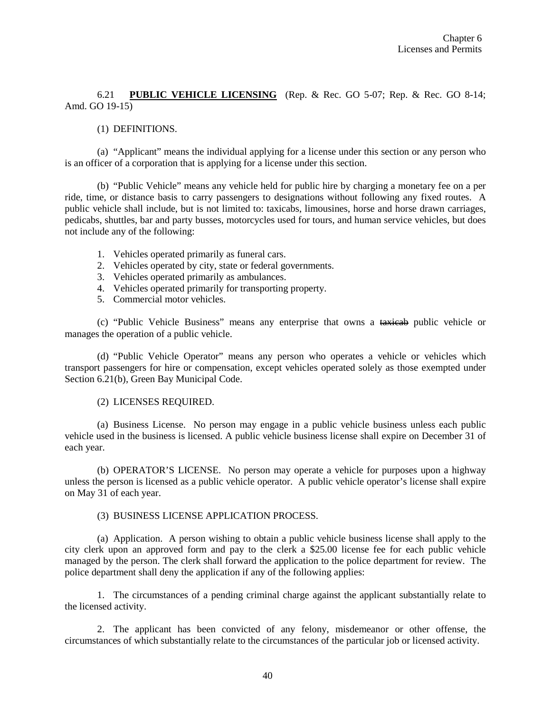6.21 **PUBLIC VEHICLE LICENSING** (Rep. & Rec. GO 5-07; Rep. & Rec. GO 8-14; Amd. GO 19-15)

# (1) DEFINITIONS.

(a) "Applicant" means the individual applying for a license under this section or any person who is an officer of a corporation that is applying for a license under this section.

(b) "Public Vehicle" means any vehicle held for public hire by charging a monetary fee on a per ride, time, or distance basis to carry passengers to designations without following any fixed routes. A public vehicle shall include, but is not limited to: taxicabs, limousines, horse and horse drawn carriages, pedicabs, shuttles, bar and party busses, motorcycles used for tours, and human service vehicles, but does not include any of the following:

- 1. Vehicles operated primarily as funeral cars.
- 2. Vehicles operated by city, state or federal governments.
- 3. Vehicles operated primarily as ambulances.
- 4. Vehicles operated primarily for transporting property.
- 5. Commercial motor vehicles.

(c) "Public Vehicle Business" means any enterprise that owns a taxicab public vehicle or manages the operation of a public vehicle.

(d) "Public Vehicle Operator" means any person who operates a vehicle or vehicles which transport passengers for hire or compensation, except vehicles operated solely as those exempted under Section 6.21(b), Green Bay Municipal Code.

#### (2) LICENSES REQUIRED.

(a) Business License. No person may engage in a public vehicle business unless each public vehicle used in the business is licensed. A public vehicle business license shall expire on December 31 of each year.

(b) OPERATOR'S LICENSE. No person may operate a vehicle for purposes upon a highway unless the person is licensed as a public vehicle operator. A public vehicle operator's license shall expire on May 31 of each year.

#### (3) BUSINESS LICENSE APPLICATION PROCESS.

(a) Application. A person wishing to obtain a public vehicle business license shall apply to the city clerk upon an approved form and pay to the clerk a \$25.00 license fee for each public vehicle managed by the person. The clerk shall forward the application to the police department for review. The police department shall deny the application if any of the following applies:

1. The circumstances of a pending criminal charge against the applicant substantially relate to the licensed activity.

2. The applicant has been convicted of any felony, misdemeanor or other offense, the circumstances of which substantially relate to the circumstances of the particular job or licensed activity.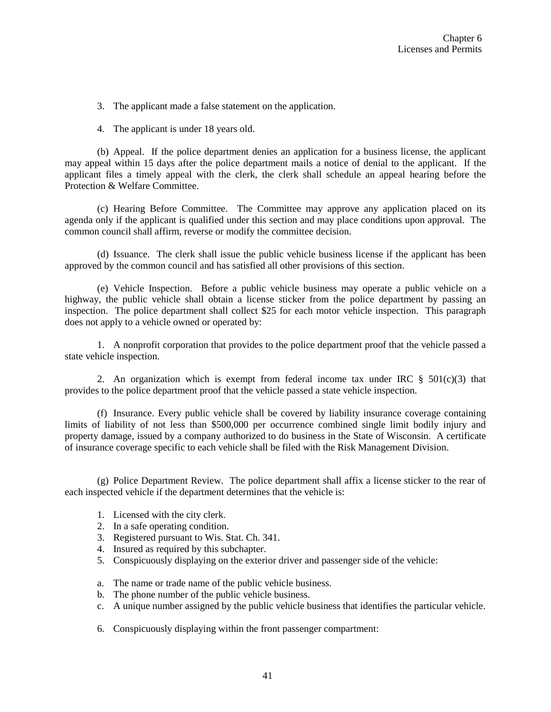3. The applicant made a false statement on the application.

4. The applicant is under 18 years old.

(b) Appeal. If the police department denies an application for a business license, the applicant may appeal within 15 days after the police department mails a notice of denial to the applicant. If the applicant files a timely appeal with the clerk, the clerk shall schedule an appeal hearing before the Protection & Welfare Committee.

(c) Hearing Before Committee. The Committee may approve any application placed on its agenda only if the applicant is qualified under this section and may place conditions upon approval. The common council shall affirm, reverse or modify the committee decision.

(d) Issuance. The clerk shall issue the public vehicle business license if the applicant has been approved by the common council and has satisfied all other provisions of this section.

(e) Vehicle Inspection. Before a public vehicle business may operate a public vehicle on a highway, the public vehicle shall obtain a license sticker from the police department by passing an inspection. The police department shall collect \$25 for each motor vehicle inspection. This paragraph does not apply to a vehicle owned or operated by:

1. A nonprofit corporation that provides to the police department proof that the vehicle passed a state vehicle inspection.

2. An organization which is exempt from federal income tax under IRC  $\S$  501(c)(3) that provides to the police department proof that the vehicle passed a state vehicle inspection.

(f) Insurance. Every public vehicle shall be covered by liability insurance coverage containing limits of liability of not less than \$500,000 per occurrence combined single limit bodily injury and property damage, issued by a company authorized to do business in the State of Wisconsin. A certificate of insurance coverage specific to each vehicle shall be filed with the Risk Management Division.

(g) Police Department Review. The police department shall affix a license sticker to the rear of each inspected vehicle if the department determines that the vehicle is:

- 1. Licensed with the city clerk.
- 2. In a safe operating condition.
- 3. Registered pursuant to Wis. Stat. Ch. 341.
- 4. Insured as required by this subchapter.
- 5. Conspicuously displaying on the exterior driver and passenger side of the vehicle:
- a. The name or trade name of the public vehicle business.
- b. The phone number of the public vehicle business.
- c. A unique number assigned by the public vehicle business that identifies the particular vehicle.
- 6. Conspicuously displaying within the front passenger compartment: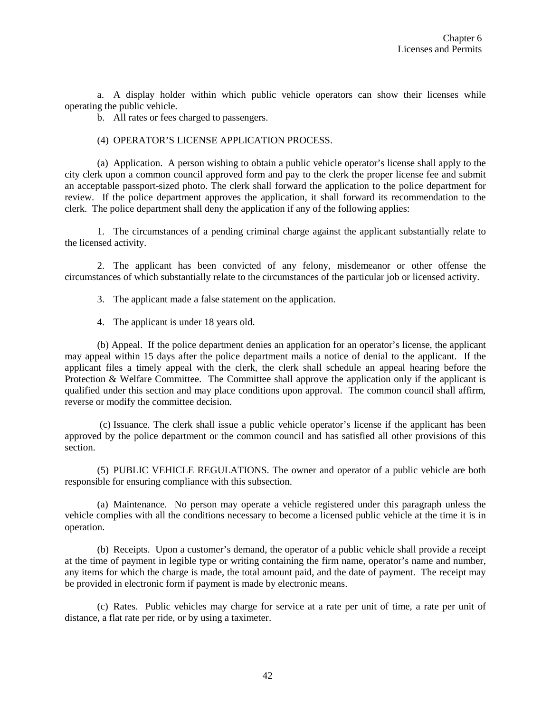a. A display holder within which public vehicle operators can show their licenses while operating the public vehicle.

b. All rates or fees charged to passengers.

#### (4) OPERATOR'S LICENSE APPLICATION PROCESS.

(a) Application. A person wishing to obtain a public vehicle operator's license shall apply to the city clerk upon a common council approved form and pay to the clerk the proper license fee and submit an acceptable passport-sized photo. The clerk shall forward the application to the police department for review. If the police department approves the application, it shall forward its recommendation to the clerk. The police department shall deny the application if any of the following applies:

1. The circumstances of a pending criminal charge against the applicant substantially relate to the licensed activity.

2. The applicant has been convicted of any felony, misdemeanor or other offense the circumstances of which substantially relate to the circumstances of the particular job or licensed activity.

- 3. The applicant made a false statement on the application.
- 4. The applicant is under 18 years old.

(b) Appeal. If the police department denies an application for an operator's license, the applicant may appeal within 15 days after the police department mails a notice of denial to the applicant. If the applicant files a timely appeal with the clerk, the clerk shall schedule an appeal hearing before the Protection & Welfare Committee. The Committee shall approve the application only if the applicant is qualified under this section and may place conditions upon approval. The common council shall affirm, reverse or modify the committee decision.

(c) Issuance. The clerk shall issue a public vehicle operator's license if the applicant has been approved by the police department or the common council and has satisfied all other provisions of this section.

(5) PUBLIC VEHICLE REGULATIONS. The owner and operator of a public vehicle are both responsible for ensuring compliance with this subsection.

(a) Maintenance. No person may operate a vehicle registered under this paragraph unless the vehicle complies with all the conditions necessary to become a licensed public vehicle at the time it is in operation.

(b) Receipts. Upon a customer's demand, the operator of a public vehicle shall provide a receipt at the time of payment in legible type or writing containing the firm name, operator's name and number, any items for which the charge is made, the total amount paid, and the date of payment. The receipt may be provided in electronic form if payment is made by electronic means.

(c) Rates. Public vehicles may charge for service at a rate per unit of time, a rate per unit of distance, a flat rate per ride, or by using a taximeter.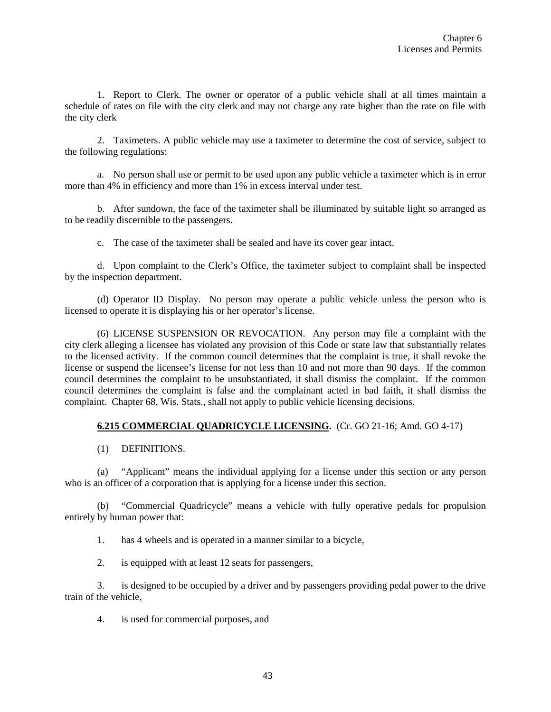1. Report to Clerk. The owner or operator of a public vehicle shall at all times maintain a schedule of rates on file with the city clerk and may not charge any rate higher than the rate on file with the city clerk

2. Taximeters. A public vehicle may use a taximeter to determine the cost of service, subject to the following regulations:

a. No person shall use or permit to be used upon any public vehicle a taximeter which is in error more than 4% in efficiency and more than 1% in excess interval under test.

b. After sundown, the face of the taximeter shall be illuminated by suitable light so arranged as to be readily discernible to the passengers.

c. The case of the taximeter shall be sealed and have its cover gear intact.

d. Upon complaint to the Clerk's Office, the taximeter subject to complaint shall be inspected by the inspection department.

(d) Operator ID Display. No person may operate a public vehicle unless the person who is licensed to operate it is displaying his or her operator's license.

(6) LICENSE SUSPENSION OR REVOCATION. Any person may file a complaint with the city clerk alleging a licensee has violated any provision of this Code or state law that substantially relates to the licensed activity. If the common council determines that the complaint is true, it shall revoke the license or suspend the licensee's license for not less than 10 and not more than 90 days. If the common council determines the complaint to be unsubstantiated, it shall dismiss the complaint. If the common council determines the complaint is false and the complainant acted in bad faith, it shall dismiss the complaint. Chapter 68, Wis. Stats., shall not apply to public vehicle licensing decisions.

# **6.215 COMMERCIAL QUADRICYCLE LICENSING.** (Cr. GO 21-16; Amd. GO 4-17)

## (1) DEFINITIONS.

(a) "Applicant" means the individual applying for a license under this section or any person who is an officer of a corporation that is applying for a license under this section.

(b) "Commercial Quadricycle" means a vehicle with fully operative pedals for propulsion entirely by human power that:

1. has 4 wheels and is operated in a manner similar to a bicycle,

2. is equipped with at least 12 seats for passengers,

3. is designed to be occupied by a driver and by passengers providing pedal power to the drive train of the vehicle,

4. is used for commercial purposes, and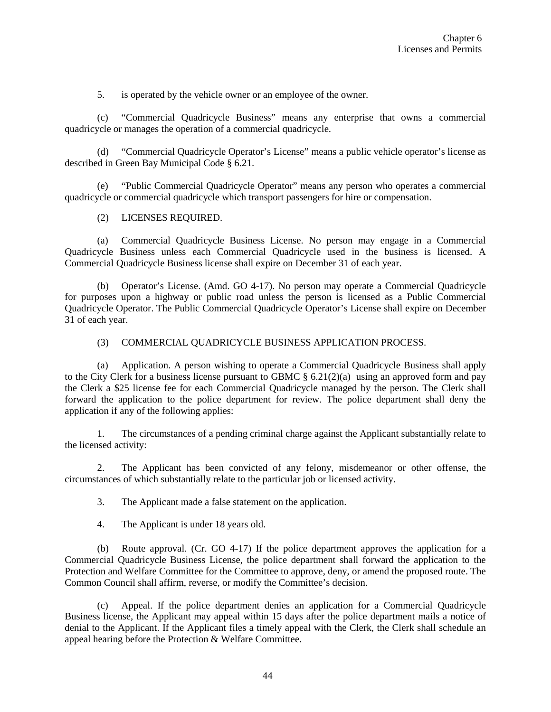5. is operated by the vehicle owner or an employee of the owner.

(c) "Commercial Quadricycle Business" means any enterprise that owns a commercial quadricycle or manages the operation of a commercial quadricycle.

(d) "Commercial Quadricycle Operator's License" means a public vehicle operator's license as described in Green Bay Municipal Code § 6.21.

(e) "Public Commercial Quadricycle Operator" means any person who operates a commercial quadricycle or commercial quadricycle which transport passengers for hire or compensation.

## (2) LICENSES REQUIRED.

(a) Commercial Quadricycle Business License. No person may engage in a Commercial Quadricycle Business unless each Commercial Quadricycle used in the business is licensed. A Commercial Quadricycle Business license shall expire on December 31 of each year.

(b) Operator's License. (Amd. GO 4-17). No person may operate a Commercial Quadricycle for purposes upon a highway or public road unless the person is licensed as a Public Commercial Quadricycle Operator. The Public Commercial Quadricycle Operator's License shall expire on December 31 of each year.

#### (3) COMMERCIAL QUADRICYCLE BUSINESS APPLICATION PROCESS.

(a) Application. A person wishing to operate a Commercial Quadricycle Business shall apply to the City Clerk for a business license pursuant to GBMC  $\S 6.21(2)(a)$  using an approved form and pay the Clerk a \$25 license fee for each Commercial Quadricycle managed by the person. The Clerk shall forward the application to the police department for review. The police department shall deny the application if any of the following applies:

1. The circumstances of a pending criminal charge against the Applicant substantially relate to the licensed activity:

2. The Applicant has been convicted of any felony, misdemeanor or other offense, the circumstances of which substantially relate to the particular job or licensed activity.

3. The Applicant made a false statement on the application.

4. The Applicant is under 18 years old.

(b) Route approval. (Cr. GO 4-17) If the police department approves the application for a Commercial Quadricycle Business License, the police department shall forward the application to the Protection and Welfare Committee for the Committee to approve, deny, or amend the proposed route. The Common Council shall affirm, reverse, or modify the Committee's decision.

(c) Appeal. If the police department denies an application for a Commercial Quadricycle Business license, the Applicant may appeal within 15 days after the police department mails a notice of denial to the Applicant. If the Applicant files a timely appeal with the Clerk, the Clerk shall schedule an appeal hearing before the Protection & Welfare Committee.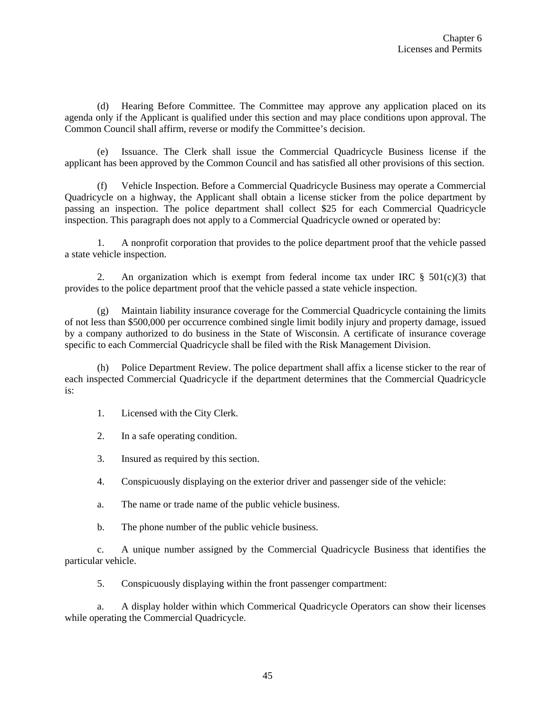(d) Hearing Before Committee. The Committee may approve any application placed on its agenda only if the Applicant is qualified under this section and may place conditions upon approval. The Common Council shall affirm, reverse or modify the Committee's decision.

(e) Issuance. The Clerk shall issue the Commercial Quadricycle Business license if the applicant has been approved by the Common Council and has satisfied all other provisions of this section.

(f) Vehicle Inspection. Before a Commercial Quadricycle Business may operate a Commercial Quadricycle on a highway, the Applicant shall obtain a license sticker from the police department by passing an inspection. The police department shall collect \$25 for each Commercial Quadricycle inspection. This paragraph does not apply to a Commercial Quadricycle owned or operated by:

1. A nonprofit corporation that provides to the police department proof that the vehicle passed a state vehicle inspection.

2. An organization which is exempt from federal income tax under IRC  $\S$  501(c)(3) that provides to the police department proof that the vehicle passed a state vehicle inspection.

(g) Maintain liability insurance coverage for the Commercial Quadricycle containing the limits of not less than \$500,000 per occurrence combined single limit bodily injury and property damage, issued by a company authorized to do business in the State of Wisconsin. A certificate of insurance coverage specific to each Commercial Quadricycle shall be filed with the Risk Management Division.

(h) Police Department Review. The police department shall affix a license sticker to the rear of each inspected Commercial Quadricycle if the department determines that the Commercial Quadricycle is:

- 1. Licensed with the City Clerk.
- 2. In a safe operating condition.
- 3. Insured as required by this section.
- 4. Conspicuously displaying on the exterior driver and passenger side of the vehicle:
- a. The name or trade name of the public vehicle business.
- b. The phone number of the public vehicle business.

c. A unique number assigned by the Commercial Quadricycle Business that identifies the particular vehicle.

5. Conspicuously displaying within the front passenger compartment:

a. A display holder within which Commerical Quadricycle Operators can show their licenses while operating the Commercial Quadricycle.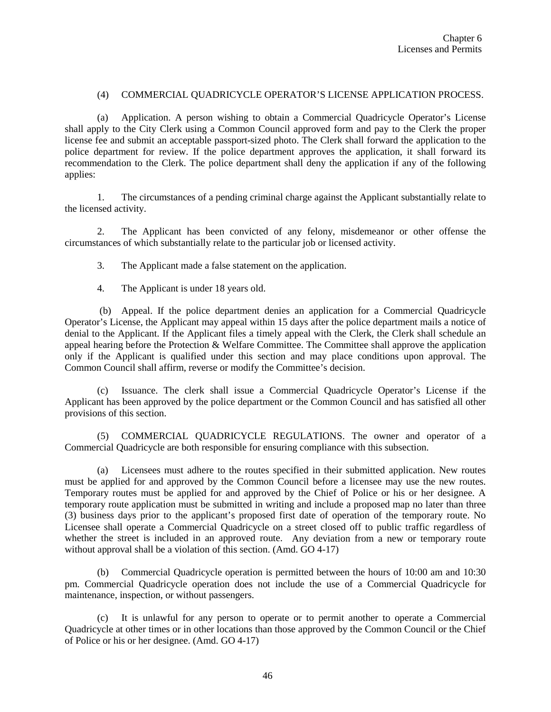## (4) COMMERCIAL QUADRICYCLE OPERATOR'S LICENSE APPLICATION PROCESS.

(a) Application. A person wishing to obtain a Commercial Quadricycle Operator's License shall apply to the City Clerk using a Common Council approved form and pay to the Clerk the proper license fee and submit an acceptable passport-sized photo. The Clerk shall forward the application to the police department for review. If the police department approves the application, it shall forward its recommendation to the Clerk. The police department shall deny the application if any of the following applies:

1. The circumstances of a pending criminal charge against the Applicant substantially relate to the licensed activity.

2. The Applicant has been convicted of any felony, misdemeanor or other offense the circumstances of which substantially relate to the particular job or licensed activity.

3. The Applicant made a false statement on the application.

4. The Applicant is under 18 years old.

(b) Appeal. If the police department denies an application for a Commercial Quadricycle Operator's License, the Applicant may appeal within 15 days after the police department mails a notice of denial to the Applicant. If the Applicant files a timely appeal with the Clerk, the Clerk shall schedule an appeal hearing before the Protection & Welfare Committee. The Committee shall approve the application only if the Applicant is qualified under this section and may place conditions upon approval. The Common Council shall affirm, reverse or modify the Committee's decision.

(c) Issuance. The clerk shall issue a Commercial Quadricycle Operator's License if the Applicant has been approved by the police department or the Common Council and has satisfied all other provisions of this section.

(5) COMMERCIAL QUADRICYCLE REGULATIONS. The owner and operator of a Commercial Quadricycle are both responsible for ensuring compliance with this subsection.

(a) Licensees must adhere to the routes specified in their submitted application. New routes must be applied for and approved by the Common Council before a licensee may use the new routes. Temporary routes must be applied for and approved by the Chief of Police or his or her designee. A temporary route application must be submitted in writing and include a proposed map no later than three (3) business days prior to the applicant's proposed first date of operation of the temporary route. No Licensee shall operate a Commercial Quadricycle on a street closed off to public traffic regardless of whether the street is included in an approved route. Any deviation from a new or temporary route without approval shall be a violation of this section. (Amd. GO 4-17)

(b) Commercial Quadricycle operation is permitted between the hours of 10:00 am and 10:30 pm. Commercial Quadricycle operation does not include the use of a Commercial Quadricycle for maintenance, inspection, or without passengers.

(c) It is unlawful for any person to operate or to permit another to operate a Commercial Quadricycle at other times or in other locations than those approved by the Common Council or the Chief of Police or his or her designee. (Amd. GO 4-17)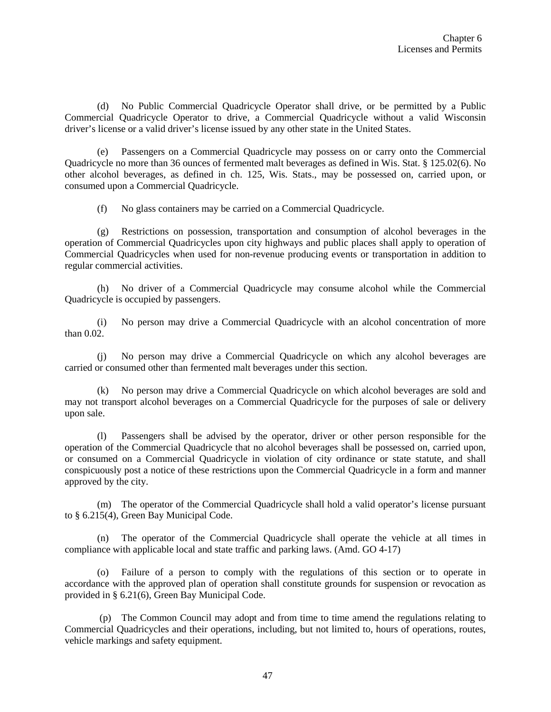(d) No Public Commercial Quadricycle Operator shall drive, or be permitted by a Public Commercial Quadricycle Operator to drive, a Commercial Quadricycle without a valid Wisconsin driver's license or a valid driver's license issued by any other state in the United States.

(e) Passengers on a Commercial Quadricycle may possess on or carry onto the Commercial Quadricycle no more than 36 ounces of fermented malt beverages as defined in Wis. Stat. § 125.02(6). No other alcohol beverages, as defined in ch. 125, Wis. Stats., may be possessed on, carried upon, or consumed upon a Commercial Quadricycle.

(f) No glass containers may be carried on a Commercial Quadricycle.

(g) Restrictions on possession, transportation and consumption of alcohol beverages in the operation of Commercial Quadricycles upon city highways and public places shall apply to operation of Commercial Quadricycles when used for non-revenue producing events or transportation in addition to regular commercial activities.

(h) No driver of a Commercial Quadricycle may consume alcohol while the Commercial Quadricycle is occupied by passengers.

(i) No person may drive a Commercial Quadricycle with an alcohol concentration of more than 0.02.

(j) No person may drive a Commercial Quadricycle on which any alcohol beverages are carried or consumed other than fermented malt beverages under this section.

(k) No person may drive a Commercial Quadricycle on which alcohol beverages are sold and may not transport alcohol beverages on a Commercial Quadricycle for the purposes of sale or delivery upon sale.

(l) Passengers shall be advised by the operator, driver or other person responsible for the operation of the Commercial Quadricycle that no alcohol beverages shall be possessed on, carried upon, or consumed on a Commercial Quadricycle in violation of city ordinance or state statute, and shall conspicuously post a notice of these restrictions upon the Commercial Quadricycle in a form and manner approved by the city.

(m) The operator of the Commercial Quadricycle shall hold a valid operator's license pursuant to § 6.215(4), Green Bay Municipal Code.

(n) The operator of the Commercial Quadricycle shall operate the vehicle at all times in compliance with applicable local and state traffic and parking laws. (Amd. GO 4-17)

(o) Failure of a person to comply with the regulations of this section or to operate in accordance with the approved plan of operation shall constitute grounds for suspension or revocation as provided in § 6.21(6), Green Bay Municipal Code.

(p) The Common Council may adopt and from time to time amend the regulations relating to Commercial Quadricycles and their operations, including, but not limited to, hours of operations, routes, vehicle markings and safety equipment.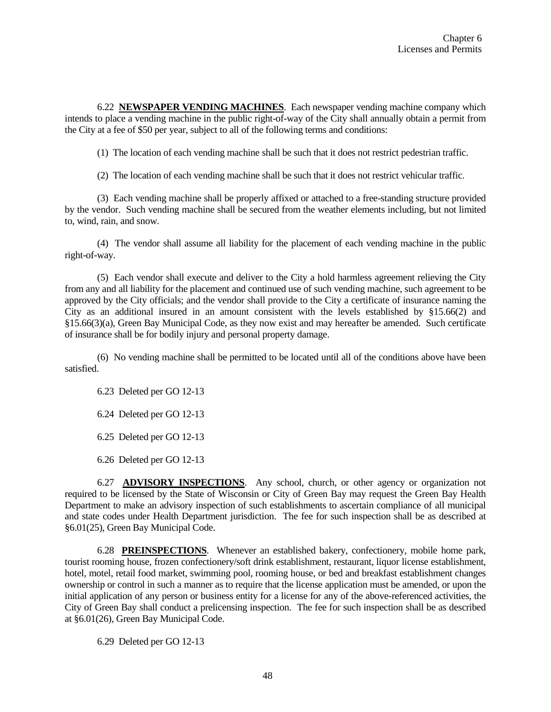6.22 **NEWSPAPER VENDING MACHINES**. Each newspaper vending machine company which intends to place a vending machine in the public right-of-way of the City shall annually obtain a permit from the City at a fee of \$50 per year, subject to all of the following terms and conditions:

(1) The location of each vending machine shall be such that it does not restrict pedestrian traffic.

(2) The location of each vending machine shall be such that it does not restrict vehicular traffic.

(3) Each vending machine shall be properly affixed or attached to a free-standing structure provided by the vendor. Such vending machine shall be secured from the weather elements including, but not limited to, wind, rain, and snow.

(4) The vendor shall assume all liability for the placement of each vending machine in the public right-of-way.

(5) Each vendor shall execute and deliver to the City a hold harmless agreement relieving the City from any and all liability for the placement and continued use of such vending machine, such agreement to be approved by the City officials; and the vendor shall provide to the City a certificate of insurance naming the City as an additional insured in an amount consistent with the levels established by §15.66(2) and §15.66(3)(a), Green Bay Municipal Code, as they now exist and may hereafter be amended. Such certificate of insurance shall be for bodily injury and personal property damage.

(6) No vending machine shall be permitted to be located until all of the conditions above have been satisfied.

6.23 Deleted per GO 12-13

6.24 Deleted per GO 12-13

6.25 Deleted per GO 12-13

6.26 Deleted per GO 12-13

6.27 **ADVISORY INSPECTIONS**. Any school, church, or other agency or organization not required to be licensed by the State of Wisconsin or City of Green Bay may request the Green Bay Health Department to make an advisory inspection of such establishments to ascertain compliance of all municipal and state codes under Health Department jurisdiction. The fee for such inspection shall be as described at §6.01(25), Green Bay Municipal Code.

6.28 **PREINSPECTIONS**. Whenever an established bakery, confectionery, mobile home park, tourist rooming house, frozen confectionery/soft drink establishment, restaurant, liquor license establishment, hotel, motel, retail food market, swimming pool, rooming house, or bed and breakfast establishment changes ownership or control in such a manner as to require that the license application must be amended, or upon the initial application of any person or business entity for a license for any of the above-referenced activities, the City of Green Bay shall conduct a prelicensing inspection. The fee for such inspection shall be as described at §6.01(26), Green Bay Municipal Code.

6.29 Deleted per GO 12-13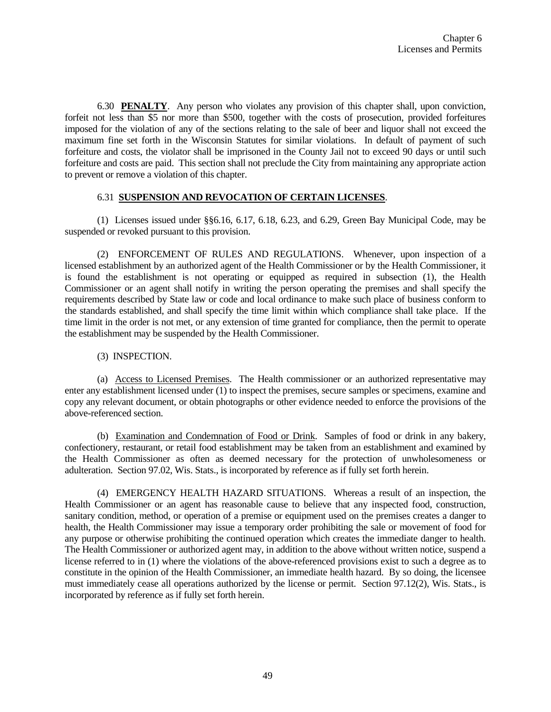6.30 **PENALTY**. Any person who violates any provision of this chapter shall, upon conviction, forfeit not less than \$5 nor more than \$500, together with the costs of prosecution, provided forfeitures imposed for the violation of any of the sections relating to the sale of beer and liquor shall not exceed the maximum fine set forth in the Wisconsin Statutes for similar violations. In default of payment of such forfeiture and costs, the violator shall be imprisoned in the County Jail not to exceed 90 days or until such forfeiture and costs are paid. This section shall not preclude the City from maintaining any appropriate action to prevent or remove a violation of this chapter.

## 6.31 **SUSPENSION AND REVOCATION OF CERTAIN LICENSES**.

(1) Licenses issued under §§6.16, 6.17, 6.18, 6.23, and 6.29, Green Bay Municipal Code, may be suspended or revoked pursuant to this provision.

(2) ENFORCEMENT OF RULES AND REGULATIONS. Whenever, upon inspection of a licensed establishment by an authorized agent of the Health Commissioner or by the Health Commissioner, it is found the establishment is not operating or equipped as required in subsection (1), the Health Commissioner or an agent shall notify in writing the person operating the premises and shall specify the requirements described by State law or code and local ordinance to make such place of business conform to the standards established, and shall specify the time limit within which compliance shall take place. If the time limit in the order is not met, or any extension of time granted for compliance, then the permit to operate the establishment may be suspended by the Health Commissioner.

(3) INSPECTION.

(a) Access to Licensed Premises. The Health commissioner or an authorized representative may enter any establishment licensed under (1) to inspect the premises, secure samples or specimens, examine and copy any relevant document, or obtain photographs or other evidence needed to enforce the provisions of the above-referenced section.

(b) Examination and Condemnation of Food or Drink. Samples of food or drink in any bakery, confectionery, restaurant, or retail food establishment may be taken from an establishment and examined by the Health Commissioner as often as deemed necessary for the protection of unwholesomeness or adulteration. Section 97.02, Wis. Stats., is incorporated by reference as if fully set forth herein.

(4) EMERGENCY HEALTH HAZARD SITUATIONS. Whereas a result of an inspection, the Health Commissioner or an agent has reasonable cause to believe that any inspected food, construction, sanitary condition, method, or operation of a premise or equipment used on the premises creates a danger to health, the Health Commissioner may issue a temporary order prohibiting the sale or movement of food for any purpose or otherwise prohibiting the continued operation which creates the immediate danger to health. The Health Commissioner or authorized agent may, in addition to the above without written notice, suspend a license referred to in (1) where the violations of the above-referenced provisions exist to such a degree as to constitute in the opinion of the Health Commissioner, an immediate health hazard. By so doing, the licensee must immediately cease all operations authorized by the license or permit. Section 97.12(2), Wis. Stats., is incorporated by reference as if fully set forth herein.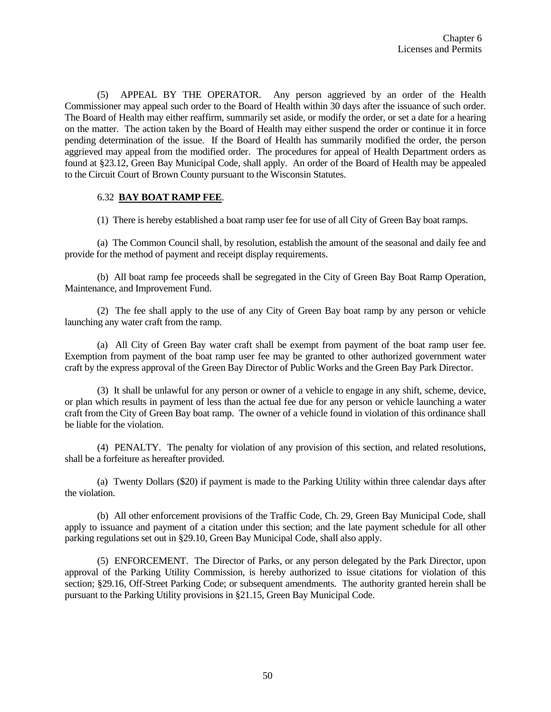(5) APPEAL BY THE OPERATOR. Any person aggrieved by an order of the Health Commissioner may appeal such order to the Board of Health within 30 days after the issuance of such order. The Board of Health may either reaffirm, summarily set aside, or modify the order, or set a date for a hearing on the matter. The action taken by the Board of Health may either suspend the order or continue it in force pending determination of the issue. If the Board of Health has summarily modified the order, the person aggrieved may appeal from the modified order. The procedures for appeal of Health Department orders as found at §23.12, Green Bay Municipal Code, shall apply. An order of the Board of Health may be appealed to the Circuit Court of Brown County pursuant to the Wisconsin Statutes.

## 6.32 **BAY BOAT RAMP FEE**.

(1) There is hereby established a boat ramp user fee for use of all City of Green Bay boat ramps.

(a) The Common Council shall, by resolution, establish the amount of the seasonal and daily fee and provide for the method of payment and receipt display requirements.

(b) All boat ramp fee proceeds shall be segregated in the City of Green Bay Boat Ramp Operation, Maintenance, and Improvement Fund.

(2) The fee shall apply to the use of any City of Green Bay boat ramp by any person or vehicle launching any water craft from the ramp.

(a) All City of Green Bay water craft shall be exempt from payment of the boat ramp user fee. Exemption from payment of the boat ramp user fee may be granted to other authorized government water craft by the express approval of the Green Bay Director of Public Works and the Green Bay Park Director.

(3) It shall be unlawful for any person or owner of a vehicle to engage in any shift, scheme, device, or plan which results in payment of less than the actual fee due for any person or vehicle launching a water craft from the City of Green Bay boat ramp. The owner of a vehicle found in violation of this ordinance shall be liable for the violation.

(4) PENALTY. The penalty for violation of any provision of this section, and related resolutions, shall be a forfeiture as hereafter provided.

(a) Twenty Dollars (\$20) if payment is made to the Parking Utility within three calendar days after the violation.

(b) All other enforcement provisions of the Traffic Code, Ch. 29, Green Bay Municipal Code, shall apply to issuance and payment of a citation under this section; and the late payment schedule for all other parking regulations set out in §29.10, Green Bay Municipal Code, shall also apply.

(5) ENFORCEMENT. The Director of Parks, or any person delegated by the Park Director, upon approval of the Parking Utility Commission, is hereby authorized to issue citations for violation of this section; §29.16, Off-Street Parking Code; or subsequent amendments. The authority granted herein shall be pursuant to the Parking Utility provisions in §21.15, Green Bay Municipal Code.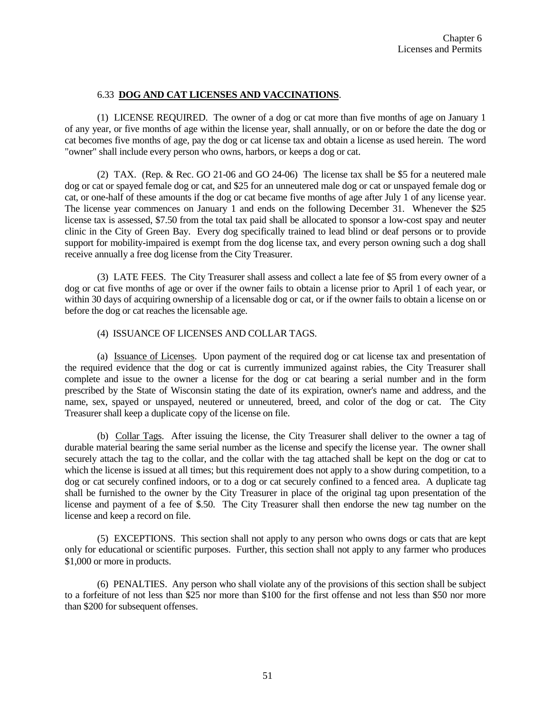## 6.33 **DOG AND CAT LICENSES AND VACCINATIONS**.

(1) LICENSE REQUIRED. The owner of a dog or cat more than five months of age on January 1 of any year, or five months of age within the license year, shall annually, or on or before the date the dog or cat becomes five months of age, pay the dog or cat license tax and obtain a license as used herein. The word "owner" shall include every person who owns, harbors, or keeps a dog or cat.

(2) TAX. (Rep. & Rec. GO 21-06 and GO 24-06) The license tax shall be \$5 for a neutered male dog or cat or spayed female dog or cat, and \$25 for an unneutered male dog or cat or unspayed female dog or cat, or one-half of these amounts if the dog or cat became five months of age after July 1 of any license year. The license year commences on January 1 and ends on the following December 31. Whenever the \$25 license tax is assessed, \$7.50 from the total tax paid shall be allocated to sponsor a low-cost spay and neuter clinic in the City of Green Bay. Every dog specifically trained to lead blind or deaf persons or to provide support for mobility-impaired is exempt from the dog license tax, and every person owning such a dog shall receive annually a free dog license from the City Treasurer.

(3) LATE FEES. The City Treasurer shall assess and collect a late fee of \$5 from every owner of a dog or cat five months of age or over if the owner fails to obtain a license prior to April 1 of each year, or within 30 days of acquiring ownership of a licensable dog or cat, or if the owner fails to obtain a license on or before the dog or cat reaches the licensable age.

## (4) ISSUANCE OF LICENSES AND COLLAR TAGS.

(a) Issuance of Licenses. Upon payment of the required dog or cat license tax and presentation of the required evidence that the dog or cat is currently immunized against rabies, the City Treasurer shall complete and issue to the owner a license for the dog or cat bearing a serial number and in the form prescribed by the State of Wisconsin stating the date of its expiration, owner's name and address, and the name, sex, spayed or unspayed, neutered or unneutered, breed, and color of the dog or cat. The City Treasurer shall keep a duplicate copy of the license on file.

(b) Collar Tags. After issuing the license, the City Treasurer shall deliver to the owner a tag of durable material bearing the same serial number as the license and specify the license year. The owner shall securely attach the tag to the collar, and the collar with the tag attached shall be kept on the dog or cat to which the license is issued at all times; but this requirement does not apply to a show during competition, to a dog or cat securely confined indoors, or to a dog or cat securely confined to a fenced area. A duplicate tag shall be furnished to the owner by the City Treasurer in place of the original tag upon presentation of the license and payment of a fee of \$.50. The City Treasurer shall then endorse the new tag number on the license and keep a record on file.

(5) EXCEPTIONS. This section shall not apply to any person who owns dogs or cats that are kept only for educational or scientific purposes. Further, this section shall not apply to any farmer who produces \$1,000 or more in products.

(6) PENALTIES. Any person who shall violate any of the provisions of this section shall be subject to a forfeiture of not less than \$25 nor more than \$100 for the first offense and not less than \$50 nor more than \$200 for subsequent offenses.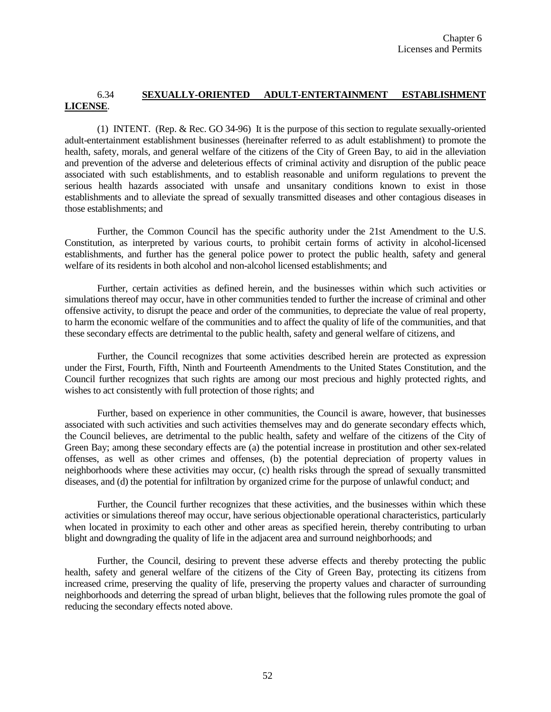# 6.34 **SEXUALLY-ORIENTED ADULT-ENTERTAINMENT ESTABLISHMENT LICENSE**.

(1) INTENT. (Rep. & Rec. GO 34-96) It is the purpose of this section to regulate sexually-oriented adult-entertainment establishment businesses (hereinafter referred to as adult establishment) to promote the health, safety, morals, and general welfare of the citizens of the City of Green Bay, to aid in the alleviation and prevention of the adverse and deleterious effects of criminal activity and disruption of the public peace associated with such establishments, and to establish reasonable and uniform regulations to prevent the serious health hazards associated with unsafe and unsanitary conditions known to exist in those establishments and to alleviate the spread of sexually transmitted diseases and other contagious diseases in those establishments; and

Further, the Common Council has the specific authority under the 21st Amendment to the U.S. Constitution, as interpreted by various courts, to prohibit certain forms of activity in alcohol-licensed establishments, and further has the general police power to protect the public health, safety and general welfare of its residents in both alcohol and non-alcohol licensed establishments; and

Further, certain activities as defined herein, and the businesses within which such activities or simulations thereof may occur, have in other communities tended to further the increase of criminal and other offensive activity, to disrupt the peace and order of the communities, to depreciate the value of real property, to harm the economic welfare of the communities and to affect the quality of life of the communities, and that these secondary effects are detrimental to the public health, safety and general welfare of citizens, and

Further, the Council recognizes that some activities described herein are protected as expression under the First, Fourth, Fifth, Ninth and Fourteenth Amendments to the United States Constitution, and the Council further recognizes that such rights are among our most precious and highly protected rights, and wishes to act consistently with full protection of those rights; and

Further, based on experience in other communities, the Council is aware, however, that businesses associated with such activities and such activities themselves may and do generate secondary effects which, the Council believes, are detrimental to the public health, safety and welfare of the citizens of the City of Green Bay; among these secondary effects are (a) the potential increase in prostitution and other sex-related offenses, as well as other crimes and offenses, (b) the potential depreciation of property values in neighborhoods where these activities may occur, (c) health risks through the spread of sexually transmitted diseases, and (d) the potential for infiltration by organized crime for the purpose of unlawful conduct; and

Further, the Council further recognizes that these activities, and the businesses within which these activities or simulations thereof may occur, have serious objectionable operational characteristics, particularly when located in proximity to each other and other areas as specified herein, thereby contributing to urban blight and downgrading the quality of life in the adjacent area and surround neighborhoods; and

Further, the Council, desiring to prevent these adverse effects and thereby protecting the public health, safety and general welfare of the citizens of the City of Green Bay, protecting its citizens from increased crime, preserving the quality of life, preserving the property values and character of surrounding neighborhoods and deterring the spread of urban blight, believes that the following rules promote the goal of reducing the secondary effects noted above.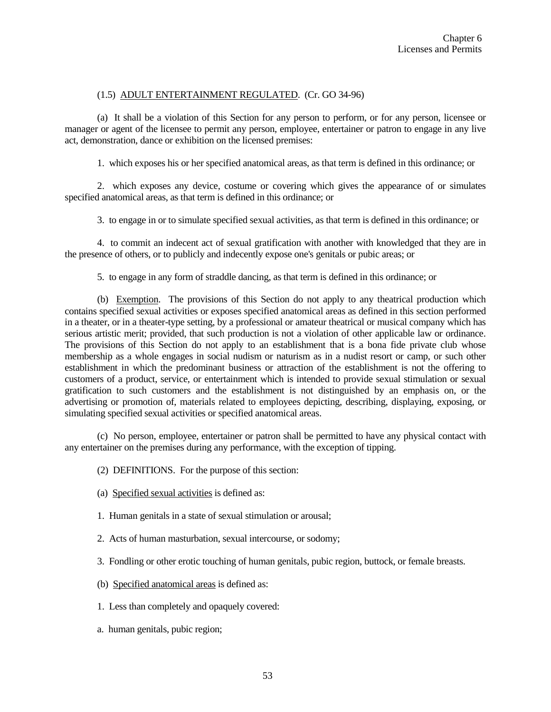## (1.5) ADULT ENTERTAINMENT REGULATED. (Cr. GO 34-96)

(a) It shall be a violation of this Section for any person to perform, or for any person, licensee or manager or agent of the licensee to permit any person, employee, entertainer or patron to engage in any live act, demonstration, dance or exhibition on the licensed premises:

1. which exposes his or her specified anatomical areas, as that term is defined in this ordinance; or

2. which exposes any device, costume or covering which gives the appearance of or simulates specified anatomical areas, as that term is defined in this ordinance; or

3. to engage in or to simulate specified sexual activities, as that term is defined in this ordinance; or

4. to commit an indecent act of sexual gratification with another with knowledged that they are in the presence of others, or to publicly and indecently expose one's genitals or pubic areas; or

5. to engage in any form of straddle dancing, as that term is defined in this ordinance; or

(b) Exemption. The provisions of this Section do not apply to any theatrical production which contains specified sexual activities or exposes specified anatomical areas as defined in this section performed in a theater, or in a theater-type setting, by a professional or amateur theatrical or musical company which has serious artistic merit; provided, that such production is not a violation of other applicable law or ordinance. The provisions of this Section do not apply to an establishment that is a bona fide private club whose membership as a whole engages in social nudism or naturism as in a nudist resort or camp, or such other establishment in which the predominant business or attraction of the establishment is not the offering to customers of a product, service, or entertainment which is intended to provide sexual stimulation or sexual gratification to such customers and the establishment is not distinguished by an emphasis on, or the advertising or promotion of, materials related to employees depicting, describing, displaying, exposing, or simulating specified sexual activities or specified anatomical areas.

(c) No person, employee, entertainer or patron shall be permitted to have any physical contact with any entertainer on the premises during any performance, with the exception of tipping.

(2) DEFINITIONS. For the purpose of this section:

- (a) Specified sexual activities is defined as:
- 1. Human genitals in a state of sexual stimulation or arousal;
- 2. Acts of human masturbation, sexual intercourse, or sodomy;
- 3. Fondling or other erotic touching of human genitals, pubic region, buttock, or female breasts.
- (b) Specified anatomical areas is defined as:
- 1. Less than completely and opaquely covered:
- a. human genitals, pubic region;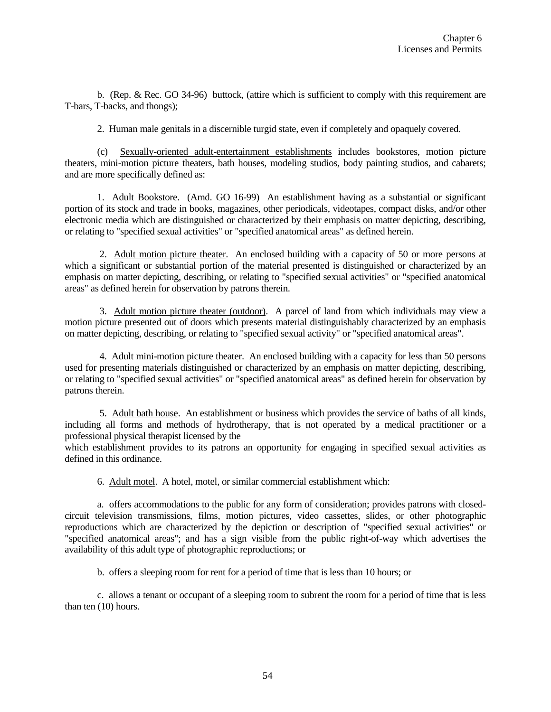b. (Rep. & Rec. GO 34-96) buttock, (attire which is sufficient to comply with this requirement are T-bars, T-backs, and thongs);

2. Human male genitals in a discernible turgid state, even if completely and opaquely covered.

(c) Sexually-oriented adult-entertainment establishments includes bookstores, motion picture theaters, mini-motion picture theaters, bath houses, modeling studios, body painting studios, and cabarets; and are more specifically defined as:

1. Adult Bookstore. (Amd. GO 16-99) An establishment having as a substantial or significant portion of its stock and trade in books, magazines, other periodicals, videotapes, compact disks, and/or other electronic media which are distinguished or characterized by their emphasis on matter depicting, describing, or relating to "specified sexual activities" or "specified anatomical areas" as defined herein.

2. Adult motion picture theater. An enclosed building with a capacity of 50 or more persons at which a significant or substantial portion of the material presented is distinguished or characterized by an emphasis on matter depicting, describing, or relating to "specified sexual activities" or "specified anatomical areas" as defined herein for observation by patrons therein.

3. Adult motion picture theater (outdoor). A parcel of land from which individuals may view a motion picture presented out of doors which presents material distinguishably characterized by an emphasis on matter depicting, describing, or relating to "specified sexual activity" or "specified anatomical areas".

4. Adult mini-motion picture theater. An enclosed building with a capacity for less than 50 persons used for presenting materials distinguished or characterized by an emphasis on matter depicting, describing, or relating to "specified sexual activities" or "specified anatomical areas" as defined herein for observation by patrons therein.

5. Adult bath house. An establishment or business which provides the service of baths of all kinds, including all forms and methods of hydrotherapy, that is not operated by a medical practitioner or a professional physical therapist licensed by the

which establishment provides to its patrons an opportunity for engaging in specified sexual activities as defined in this ordinance.

6. Adult motel. A hotel, motel, or similar commercial establishment which:

a. offers accommodations to the public for any form of consideration; provides patrons with closedcircuit television transmissions, films, motion pictures, video cassettes, slides, or other photographic reproductions which are characterized by the depiction or description of "specified sexual activities" or "specified anatomical areas"; and has a sign visible from the public right-of-way which advertises the availability of this adult type of photographic reproductions; or

b. offers a sleeping room for rent for a period of time that is less than 10 hours; or

c. allows a tenant or occupant of a sleeping room to subrent the room for a period of time that is less than ten (10) hours.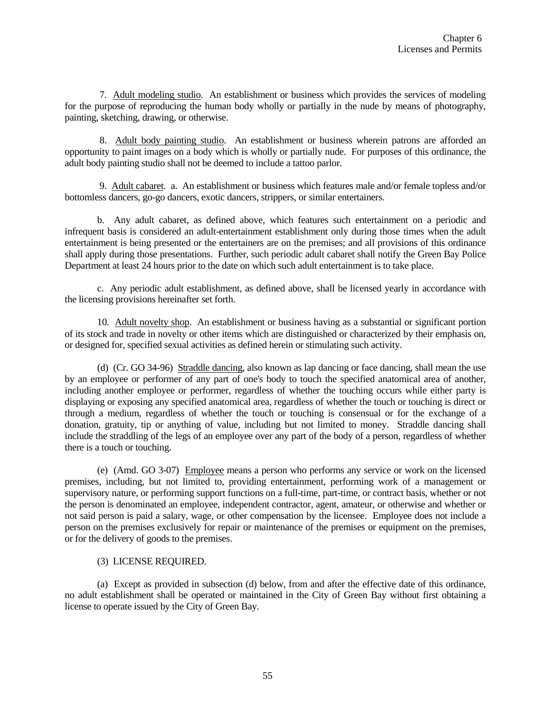7. Adult modeling studio. An establishment or business which provides the services of modeling for the purpose of reproducing the human body wholly or partially in the nude by means of photography, painting, sketching, drawing, or otherwise.

8. Adult body painting studio. An establishment or business wherein patrons are afforded an opportunity to paint images on a body which is wholly or partially nude. For purposes of this ordinance, the adult body painting studio shall not be deemed to include a tattoo parlor.

9. Adult cabaret. a. An establishment or business which features male and/or female topless and/or bottomless dancers, go-go dancers, exotic dancers, strippers, or similar entertainers.

b. Any adult cabaret, as defined above, which features such entertainment on a periodic and infrequent basis is considered an adult-entertainment establishment only during those times when the adult entertainment is being presented or the entertainers are on the premises; and all provisions of this ordinance shall apply during those presentations. Further, such periodic adult cabaret shall notify the Green Bay Police Department at least 24 hours prior to the date on which such adult entertainment is to take place.

c. Any periodic adult establishment, as defined above, shall be licensed yearly in accordance with the licensing provisions hereinafter set forth.

10. Adult novelty shop. An establishment or business having as a substantial or significant portion of its stock and trade in novelty or other items which are distinguished or characterized by their emphasis on, or designed for, specified sexual activities as defined herein or stimulating such activity.

(d) (Cr. GO 34-96) Straddle dancing, also known as lap dancing or face dancing, shall mean the use by an employee or performer of any part of one's body to touch the specified anatomical area of another, including another employee or performer, regardless of whether the touching occurs while either party is displaying or exposing any specified anatomical area, regardless of whether the touch or touching is direct or through a medium, regardless of whether the touch or touching is consensual or for the exchange of a donation, gratuity, tip or anything of value, including but not limited to money. Straddle dancing shall include the straddling of the legs of an employee over any part of the body of a person, regardless of whether there is a touch or touching.

(e) (Amd. GO 3-07) Employee means a person who performs any service or work on the licensed premises, including, but not limited to, providing entertainment, performing work of a management or supervisory nature, or performing support functions on a full-time, part-time, or contract basis, whether or not the person is denominated an employee, independent contractor, agent, amateur, or otherwise and whether or not said person is paid a salary, wage, or other compensation by the licensee. Employee does not include a person on the premises exclusively for repair or maintenance of the premises or equipment on the premises, or for the delivery of goods to the premises.

## (3) LICENSE REQUIRED.

(a) Except as provided in subsection (d) below, from and after the effective date of this ordinance, no adult establishment shall be operated or maintained in the City of Green Bay without first obtaining a license to operate issued by the City of Green Bay.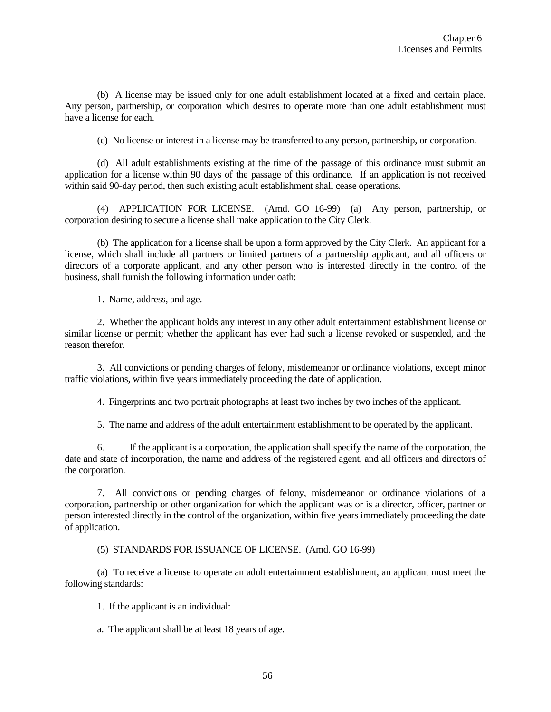(b) A license may be issued only for one adult establishment located at a fixed and certain place. Any person, partnership, or corporation which desires to operate more than one adult establishment must have a license for each.

(c) No license or interest in a license may be transferred to any person, partnership, or corporation.

(d) All adult establishments existing at the time of the passage of this ordinance must submit an application for a license within 90 days of the passage of this ordinance. If an application is not received within said 90-day period, then such existing adult establishment shall cease operations.

(4) APPLICATION FOR LICENSE. (Amd. GO 16-99) (a) Any person, partnership, or corporation desiring to secure a license shall make application to the City Clerk.

(b) The application for a license shall be upon a form approved by the City Clerk. An applicant for a license, which shall include all partners or limited partners of a partnership applicant, and all officers or directors of a corporate applicant, and any other person who is interested directly in the control of the business, shall furnish the following information under oath:

1. Name, address, and age.

2. Whether the applicant holds any interest in any other adult entertainment establishment license or similar license or permit; whether the applicant has ever had such a license revoked or suspended, and the reason therefor.

3. All convictions or pending charges of felony, misdemeanor or ordinance violations, except minor traffic violations, within five years immediately proceeding the date of application.

4. Fingerprints and two portrait photographs at least two inches by two inches of the applicant.

5. The name and address of the adult entertainment establishment to be operated by the applicant.

6. If the applicant is a corporation, the application shall specify the name of the corporation, the date and state of incorporation, the name and address of the registered agent, and all officers and directors of the corporation.

7. All convictions or pending charges of felony, misdemeanor or ordinance violations of a corporation, partnership or other organization for which the applicant was or is a director, officer, partner or person interested directly in the control of the organization, within five years immediately proceeding the date of application.

(5) STANDARDS FOR ISSUANCE OF LICENSE. (Amd. GO 16-99)

(a) To receive a license to operate an adult entertainment establishment, an applicant must meet the following standards:

1. If the applicant is an individual:

a. The applicant shall be at least 18 years of age.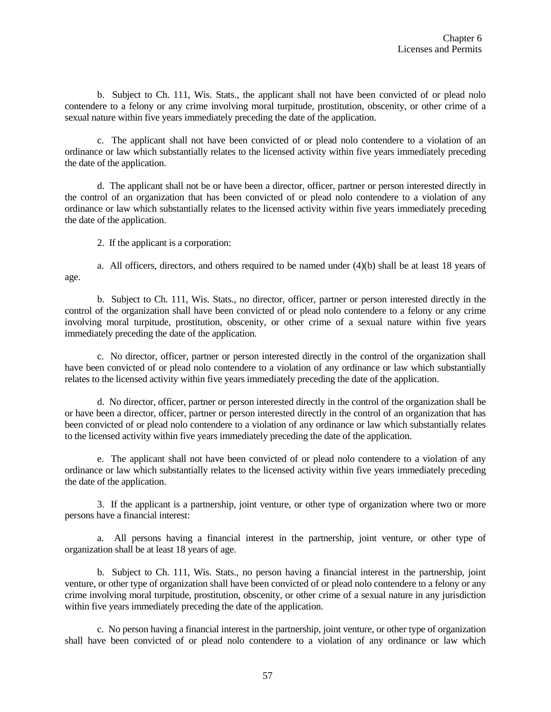b. Subject to Ch. 111, Wis. Stats., the applicant shall not have been convicted of or plead nolo contendere to a felony or any crime involving moral turpitude, prostitution, obscenity, or other crime of a sexual nature within five years immediately preceding the date of the application.

c. The applicant shall not have been convicted of or plead nolo contendere to a violation of an ordinance or law which substantially relates to the licensed activity within five years immediately preceding the date of the application.

d. The applicant shall not be or have been a director, officer, partner or person interested directly in the control of an organization that has been convicted of or plead nolo contendere to a violation of any ordinance or law which substantially relates to the licensed activity within five years immediately preceding the date of the application.

2. If the applicant is a corporation:

a. All officers, directors, and others required to be named under (4)(b) shall be at least 18 years of age.

b. Subject to Ch. 111, Wis. Stats., no director, officer, partner or person interested directly in the control of the organization shall have been convicted of or plead nolo contendere to a felony or any crime involving moral turpitude, prostitution, obscenity, or other crime of a sexual nature within five years immediately preceding the date of the application.

c. No director, officer, partner or person interested directly in the control of the organization shall have been convicted of or plead nolo contendere to a violation of any ordinance or law which substantially relates to the licensed activity within five years immediately preceding the date of the application.

d. No director, officer, partner or person interested directly in the control of the organization shall be or have been a director, officer, partner or person interested directly in the control of an organization that has been convicted of or plead nolo contendere to a violation of any ordinance or law which substantially relates to the licensed activity within five years immediately preceding the date of the application.

e. The applicant shall not have been convicted of or plead nolo contendere to a violation of any ordinance or law which substantially relates to the licensed activity within five years immediately preceding the date of the application.

3. If the applicant is a partnership, joint venture, or other type of organization where two or more persons have a financial interest:

a. All persons having a financial interest in the partnership, joint venture, or other type of organization shall be at least 18 years of age.

b. Subject to Ch. 111, Wis. Stats., no person having a financial interest in the partnership, joint venture, or other type of organization shall have been convicted of or plead nolo contendere to a felony or any crime involving moral turpitude, prostitution, obscenity, or other crime of a sexual nature in any jurisdiction within five years immediately preceding the date of the application.

c. No person having a financial interest in the partnership, joint venture, or other type of organization shall have been convicted of or plead nolo contendere to a violation of any ordinance or law which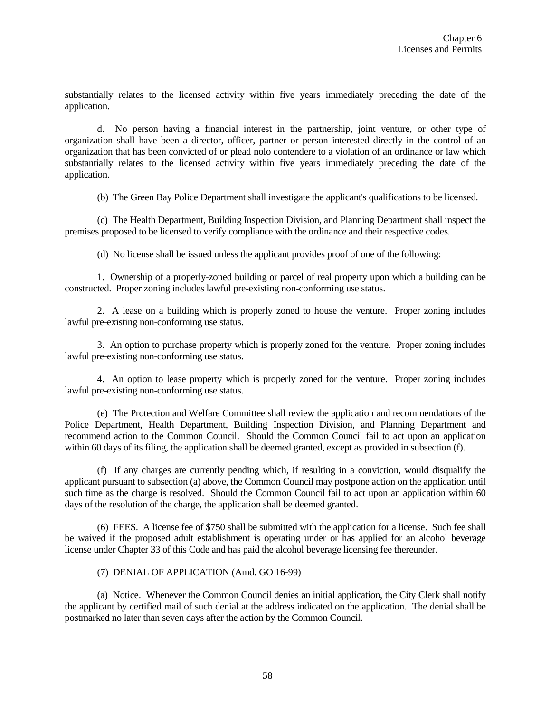substantially relates to the licensed activity within five years immediately preceding the date of the application.

d. No person having a financial interest in the partnership, joint venture, or other type of organization shall have been a director, officer, partner or person interested directly in the control of an organization that has been convicted of or plead nolo contendere to a violation of an ordinance or law which substantially relates to the licensed activity within five years immediately preceding the date of the application.

(b) The Green Bay Police Department shall investigate the applicant's qualifications to be licensed.

(c) The Health Department, Building Inspection Division, and Planning Department shall inspect the premises proposed to be licensed to verify compliance with the ordinance and their respective codes.

(d) No license shall be issued unless the applicant provides proof of one of the following:

1. Ownership of a properly-zoned building or parcel of real property upon which a building can be constructed. Proper zoning includes lawful pre-existing non-conforming use status.

2. A lease on a building which is properly zoned to house the venture. Proper zoning includes lawful pre-existing non-conforming use status.

3. An option to purchase property which is properly zoned for the venture. Proper zoning includes lawful pre-existing non-conforming use status.

4. An option to lease property which is properly zoned for the venture. Proper zoning includes lawful pre-existing non-conforming use status.

(e) The Protection and Welfare Committee shall review the application and recommendations of the Police Department, Health Department, Building Inspection Division, and Planning Department and recommend action to the Common Council. Should the Common Council fail to act upon an application within 60 days of its filing, the application shall be deemed granted, except as provided in subsection (f).

(f) If any charges are currently pending which, if resulting in a conviction, would disqualify the applicant pursuant to subsection (a) above, the Common Council may postpone action on the application until such time as the charge is resolved. Should the Common Council fail to act upon an application within 60 days of the resolution of the charge, the application shall be deemed granted.

(6) FEES. A license fee of \$750 shall be submitted with the application for a license. Such fee shall be waived if the proposed adult establishment is operating under or has applied for an alcohol beverage license under Chapter 33 of this Code and has paid the alcohol beverage licensing fee thereunder.

#### (7) DENIAL OF APPLICATION (Amd. GO 16-99)

(a) Notice. Whenever the Common Council denies an initial application, the City Clerk shall notify the applicant by certified mail of such denial at the address indicated on the application. The denial shall be postmarked no later than seven days after the action by the Common Council.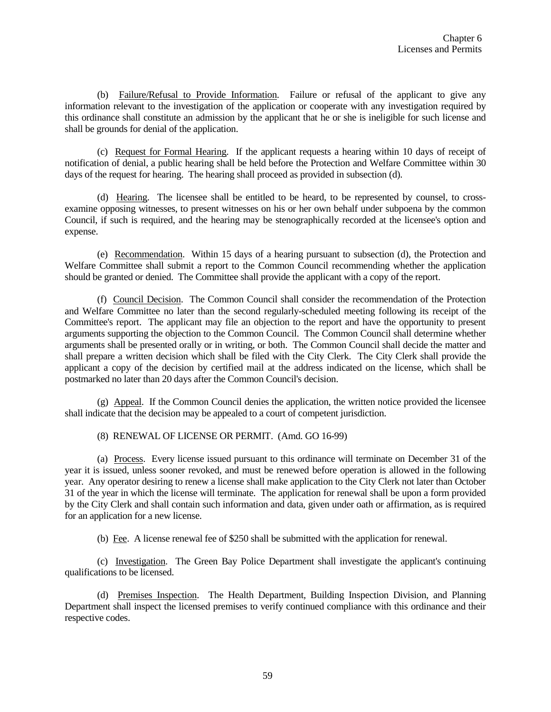(b) Failure/Refusal to Provide Information. Failure or refusal of the applicant to give any information relevant to the investigation of the application or cooperate with any investigation required by this ordinance shall constitute an admission by the applicant that he or she is ineligible for such license and shall be grounds for denial of the application.

(c) Request for Formal Hearing. If the applicant requests a hearing within 10 days of receipt of notification of denial, a public hearing shall be held before the Protection and Welfare Committee within 30 days of the request for hearing. The hearing shall proceed as provided in subsection (d).

(d) Hearing. The licensee shall be entitled to be heard, to be represented by counsel, to crossexamine opposing witnesses, to present witnesses on his or her own behalf under subpoena by the common Council, if such is required, and the hearing may be stenographically recorded at the licensee's option and expense.

(e) Recommendation. Within 15 days of a hearing pursuant to subsection (d), the Protection and Welfare Committee shall submit a report to the Common Council recommending whether the application should be granted or denied. The Committee shall provide the applicant with a copy of the report.

(f) Council Decision. The Common Council shall consider the recommendation of the Protection and Welfare Committee no later than the second regularly-scheduled meeting following its receipt of the Committee's report. The applicant may file an objection to the report and have the opportunity to present arguments supporting the objection to the Common Council. The Common Council shall determine whether arguments shall be presented orally or in writing, or both. The Common Council shall decide the matter and shall prepare a written decision which shall be filed with the City Clerk. The City Clerk shall provide the applicant a copy of the decision by certified mail at the address indicated on the license, which shall be postmarked no later than 20 days after the Common Council's decision.

(g) Appeal. If the Common Council denies the application, the written notice provided the licensee shall indicate that the decision may be appealed to a court of competent jurisdiction.

(8) RENEWAL OF LICENSE OR PERMIT. (Amd. GO 16-99)

(a) Process. Every license issued pursuant to this ordinance will terminate on December 31 of the year it is issued, unless sooner revoked, and must be renewed before operation is allowed in the following year. Any operator desiring to renew a license shall make application to the City Clerk not later than October 31 of the year in which the license will terminate. The application for renewal shall be upon a form provided by the City Clerk and shall contain such information and data, given under oath or affirmation, as is required for an application for a new license.

(b) Fee. A license renewal fee of \$250 shall be submitted with the application for renewal.

(c) Investigation. The Green Bay Police Department shall investigate the applicant's continuing qualifications to be licensed.

(d) Premises Inspection. The Health Department, Building Inspection Division, and Planning Department shall inspect the licensed premises to verify continued compliance with this ordinance and their respective codes.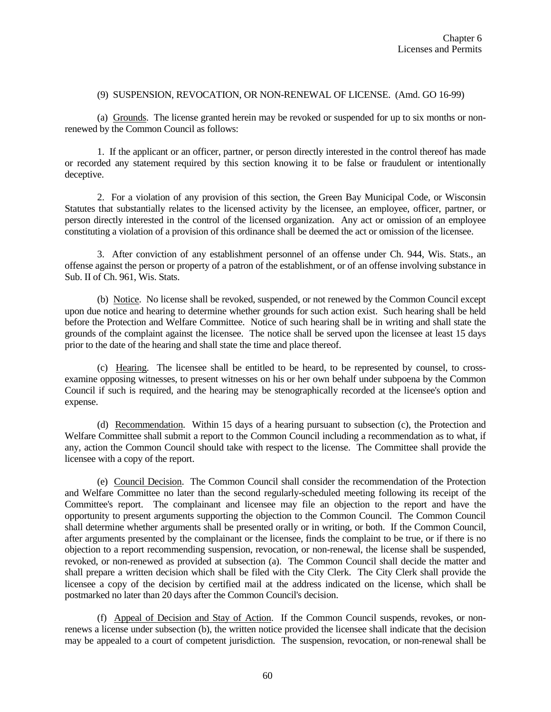#### (9) SUSPENSION, REVOCATION, OR NON-RENEWAL OF LICENSE. (Amd. GO 16-99)

(a) Grounds. The license granted herein may be revoked or suspended for up to six months or nonrenewed by the Common Council as follows:

1. If the applicant or an officer, partner, or person directly interested in the control thereof has made or recorded any statement required by this section knowing it to be false or fraudulent or intentionally deceptive.

2. For a violation of any provision of this section, the Green Bay Municipal Code, or Wisconsin Statutes that substantially relates to the licensed activity by the licensee, an employee, officer, partner, or person directly interested in the control of the licensed organization. Any act or omission of an employee constituting a violation of a provision of this ordinance shall be deemed the act or omission of the licensee.

3. After conviction of any establishment personnel of an offense under Ch. 944, Wis. Stats., an offense against the person or property of a patron of the establishment, or of an offense involving substance in Sub. II of Ch. 961, Wis. Stats.

(b) Notice. No license shall be revoked, suspended, or not renewed by the Common Council except upon due notice and hearing to determine whether grounds for such action exist. Such hearing shall be held before the Protection and Welfare Committee. Notice of such hearing shall be in writing and shall state the grounds of the complaint against the licensee. The notice shall be served upon the licensee at least 15 days prior to the date of the hearing and shall state the time and place thereof.

(c) Hearing. The licensee shall be entitled to be heard, to be represented by counsel, to crossexamine opposing witnesses, to present witnesses on his or her own behalf under subpoena by the Common Council if such is required, and the hearing may be stenographically recorded at the licensee's option and expense.

(d) Recommendation. Within 15 days of a hearing pursuant to subsection (c), the Protection and Welfare Committee shall submit a report to the Common Council including a recommendation as to what, if any, action the Common Council should take with respect to the license. The Committee shall provide the licensee with a copy of the report.

(e) Council Decision. The Common Council shall consider the recommendation of the Protection and Welfare Committee no later than the second regularly-scheduled meeting following its receipt of the Committee's report. The complainant and licensee may file an objection to the report and have the opportunity to present arguments supporting the objection to the Common Council. The Common Council shall determine whether arguments shall be presented orally or in writing, or both. If the Common Council, after arguments presented by the complainant or the licensee, finds the complaint to be true, or if there is no objection to a report recommending suspension, revocation, or non-renewal, the license shall be suspended, revoked, or non-renewed as provided at subsection (a). The Common Council shall decide the matter and shall prepare a written decision which shall be filed with the City Clerk. The City Clerk shall provide the licensee a copy of the decision by certified mail at the address indicated on the license, which shall be postmarked no later than 20 days after the Common Council's decision.

(f) Appeal of Decision and Stay of Action. If the Common Council suspends, revokes, or nonrenews a license under subsection (b), the written notice provided the licensee shall indicate that the decision may be appealed to a court of competent jurisdiction. The suspension, revocation, or non-renewal shall be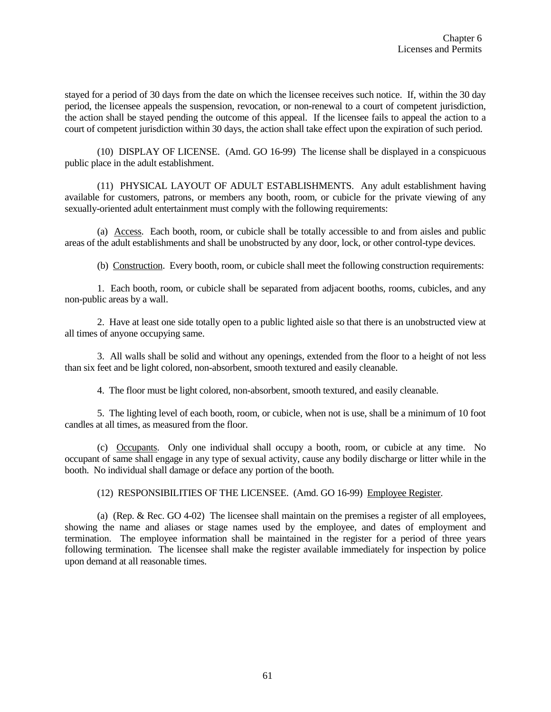stayed for a period of 30 days from the date on which the licensee receives such notice. If, within the 30 day period, the licensee appeals the suspension, revocation, or non-renewal to a court of competent jurisdiction, the action shall be stayed pending the outcome of this appeal. If the licensee fails to appeal the action to a court of competent jurisdiction within 30 days, the action shall take effect upon the expiration of such period.

(10) DISPLAY OF LICENSE. (Amd. GO 16-99) The license shall be displayed in a conspicuous public place in the adult establishment.

(11) PHYSICAL LAYOUT OF ADULT ESTABLISHMENTS. Any adult establishment having available for customers, patrons, or members any booth, room, or cubicle for the private viewing of any sexually-oriented adult entertainment must comply with the following requirements:

(a) Access. Each booth, room, or cubicle shall be totally accessible to and from aisles and public areas of the adult establishments and shall be unobstructed by any door, lock, or other control-type devices.

(b) Construction. Every booth, room, or cubicle shall meet the following construction requirements:

1. Each booth, room, or cubicle shall be separated from adjacent booths, rooms, cubicles, and any non-public areas by a wall.

2. Have at least one side totally open to a public lighted aisle so that there is an unobstructed view at all times of anyone occupying same.

3. All walls shall be solid and without any openings, extended from the floor to a height of not less than six feet and be light colored, non-absorbent, smooth textured and easily cleanable.

4. The floor must be light colored, non-absorbent, smooth textured, and easily cleanable.

5. The lighting level of each booth, room, or cubicle, when not is use, shall be a minimum of 10 foot candles at all times, as measured from the floor.

(c) Occupants. Only one individual shall occupy a booth, room, or cubicle at any time. No occupant of same shall engage in any type of sexual activity, cause any bodily discharge or litter while in the booth. No individual shall damage or deface any portion of the booth.

(12) RESPONSIBILITIES OF THE LICENSEE. (Amd. GO 16-99) Employee Register.

(a) (Rep. & Rec. GO 4-02) The licensee shall maintain on the premises a register of all employees, showing the name and aliases or stage names used by the employee, and dates of employment and termination. The employee information shall be maintained in the register for a period of three years following termination. The licensee shall make the register available immediately for inspection by police upon demand at all reasonable times.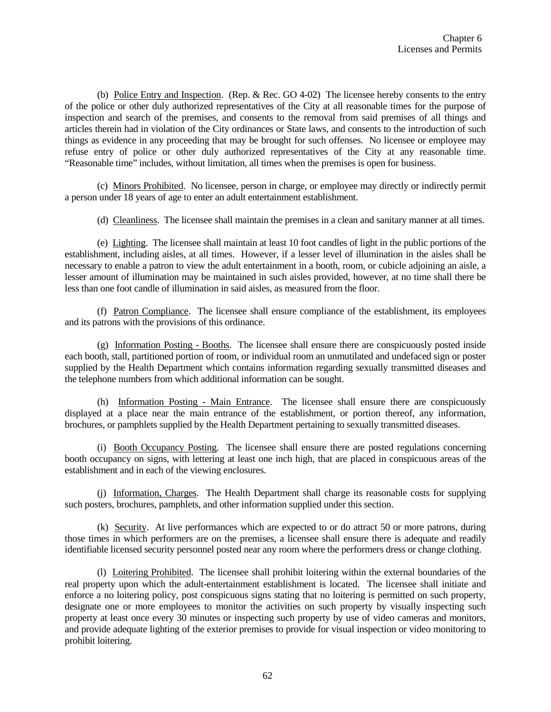(b) Police Entry and Inspection. (Rep. & Rec. GO 4-02) The licensee hereby consents to the entry of the police or other duly authorized representatives of the City at all reasonable times for the purpose of inspection and search of the premises, and consents to the removal from said premises of all things and articles therein had in violation of the City ordinances or State laws, and consents to the introduction of such things as evidence in any proceeding that may be brought for such offenses. No licensee or employee may refuse entry of police or other duly authorized representatives of the City at any reasonable time. "Reasonable time" includes, without limitation, all times when the premises is open for business.

(c) Minors Prohibited. No licensee, person in charge, or employee may directly or indirectly permit a person under 18 years of age to enter an adult entertainment establishment.

(d) Cleanliness. The licensee shall maintain the premises in a clean and sanitary manner at all times.

(e) Lighting. The licensee shall maintain at least 10 foot candles of light in the public portions of the establishment, including aisles, at all times. However, if a lesser level of illumination in the aisles shall be necessary to enable a patron to view the adult entertainment in a booth, room, or cubicle adjoining an aisle, a lesser amount of illumination may be maintained in such aisles provided, however, at no time shall there be less than one foot candle of illumination in said aisles, as measured from the floor.

(f) Patron Compliance. The licensee shall ensure compliance of the establishment, its employees and its patrons with the provisions of this ordinance.

(g) Information Posting - Booths. The licensee shall ensure there are conspicuously posted inside each booth, stall, partitioned portion of room, or individual room an unmutilated and undefaced sign or poster supplied by the Health Department which contains information regarding sexually transmitted diseases and the telephone numbers from which additional information can be sought.

(h) Information Posting - Main Entrance. The licensee shall ensure there are conspicuously displayed at a place near the main entrance of the establishment, or portion thereof, any information, brochures, or pamphlets supplied by the Health Department pertaining to sexually transmitted diseases.

(i) Booth Occupancy Posting. The licensee shall ensure there are posted regulations concerning booth occupancy on signs, with lettering at least one inch high, that are placed in conspicuous areas of the establishment and in each of the viewing enclosures.

(j) Information, Charges. The Health Department shall charge its reasonable costs for supplying such posters, brochures, pamphlets, and other information supplied under this section.

(k) Security. At live performances which are expected to or do attract 50 or more patrons, during those times in which performers are on the premises, a licensee shall ensure there is adequate and readily identifiable licensed security personnel posted near any room where the performers dress or change clothing.

(l) Loitering Prohibited. The licensee shall prohibit loitering within the external boundaries of the real property upon which the adult-entertainment establishment is located. The licensee shall initiate and enforce a no loitering policy, post conspicuous signs stating that no loitering is permitted on such property, designate one or more employees to monitor the activities on such property by visually inspecting such property at least once every 30 minutes or inspecting such property by use of video cameras and monitors, and provide adequate lighting of the exterior premises to provide for visual inspection or video monitoring to prohibit loitering.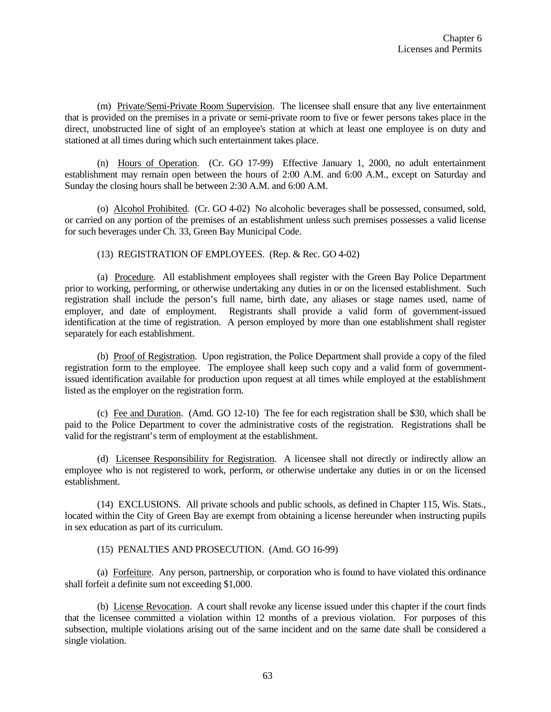(m) Private/Semi-Private Room Supervision. The licensee shall ensure that any live entertainment that is provided on the premises in a private or semi-private room to five or fewer persons takes place in the direct, unobstructed line of sight of an employee's station at which at least one employee is on duty and stationed at all times during which such entertainment takes place.

(n) Hours of Operation. (Cr. GO 17-99) Effective January 1, 2000, no adult entertainment establishment may remain open between the hours of 2:00 A.M. and 6:00 A.M., except on Saturday and Sunday the closing hours shall be between 2:30 A.M. and 6:00 A.M.

(o) Alcohol Prohibited. (Cr. GO 4-02) No alcoholic beverages shall be possessed, consumed, sold, or carried on any portion of the premises of an establishment unless such premises possesses a valid license for such beverages under Ch. 33, Green Bay Municipal Code.

(13) REGISTRATION OF EMPLOYEES. (Rep. & Rec. GO 4-02)

(a) Procedure. All establishment employees shall register with the Green Bay Police Department prior to working, performing, or otherwise undertaking any duties in or on the licensed establishment. Such registration shall include the person's full name, birth date, any aliases or stage names used, name of employer, and date of employment. Registrants shall provide a valid form of government-issued identification at the time of registration. A person employed by more than one establishment shall register separately for each establishment.

(b) Proof of Registration. Upon registration, the Police Department shall provide a copy of the filed registration form to the employee. The employee shall keep such copy and a valid form of governmentissued identification available for production upon request at all times while employed at the establishment listed as the employer on the registration form.

(c) Fee and Duration. (Amd. GO 12-10) The fee for each registration shall be \$30, which shall be paid to the Police Department to cover the administrative costs of the registration. Registrations shall be valid for the registrant's term of employment at the establishment.

(d) Licensee Responsibility for Registration. A licensee shall not directly or indirectly allow an employee who is not registered to work, perform, or otherwise undertake any duties in or on the licensed establishment.

(14) EXCLUSIONS. All private schools and public schools, as defined in Chapter 115, Wis. Stats., located within the City of Green Bay are exempt from obtaining a license hereunder when instructing pupils in sex education as part of its curriculum.

(15) PENALTIES AND PROSECUTION. (Amd. GO 16-99)

(a) Forfeiture. Any person, partnership, or corporation who is found to have violated this ordinance shall forfeit a definite sum not exceeding \$1,000.

(b) License Revocation. A court shall revoke any license issued under this chapter if the court finds that the licensee committed a violation within 12 months of a previous violation. For purposes of this subsection, multiple violations arising out of the same incident and on the same date shall be considered a single violation.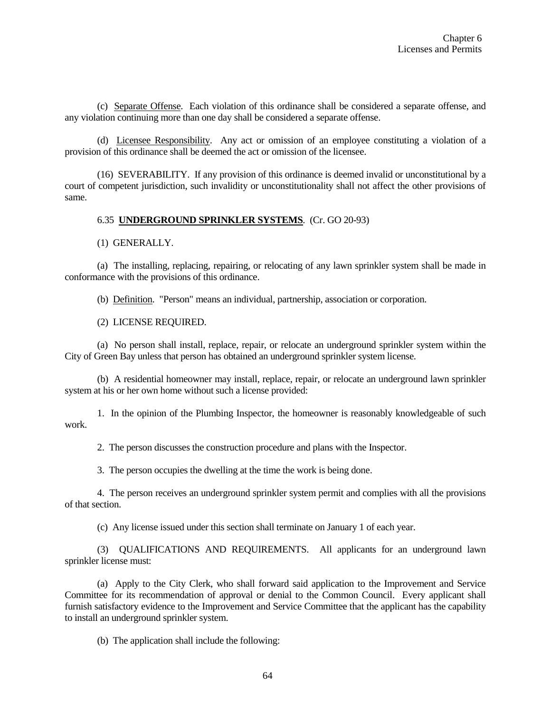(c) Separate Offense. Each violation of this ordinance shall be considered a separate offense, and any violation continuing more than one day shall be considered a separate offense.

(d) Licensee Responsibility. Any act or omission of an employee constituting a violation of a provision of this ordinance shall be deemed the act or omission of the licensee.

(16) SEVERABILITY. If any provision of this ordinance is deemed invalid or unconstitutional by a court of competent jurisdiction, such invalidity or unconstitutionality shall not affect the other provisions of same.

#### 6.35 **UNDERGROUND SPRINKLER SYSTEMS**. (Cr. GO 20-93)

(1) GENERALLY.

(a) The installing, replacing, repairing, or relocating of any lawn sprinkler system shall be made in conformance with the provisions of this ordinance.

(b) Definition. "Person" means an individual, partnership, association or corporation.

(2) LICENSE REQUIRED.

(a) No person shall install, replace, repair, or relocate an underground sprinkler system within the City of Green Bay unless that person has obtained an underground sprinkler system license.

(b) A residential homeowner may install, replace, repair, or relocate an underground lawn sprinkler system at his or her own home without such a license provided:

1. In the opinion of the Plumbing Inspector, the homeowner is reasonably knowledgeable of such work.

2. The person discusses the construction procedure and plans with the Inspector.

3. The person occupies the dwelling at the time the work is being done.

4. The person receives an underground sprinkler system permit and complies with all the provisions of that section.

(c) Any license issued under this section shall terminate on January 1 of each year.

(3) QUALIFICATIONS AND REQUIREMENTS. All applicants for an underground lawn sprinkler license must:

(a) Apply to the City Clerk, who shall forward said application to the Improvement and Service Committee for its recommendation of approval or denial to the Common Council. Every applicant shall furnish satisfactory evidence to the Improvement and Service Committee that the applicant has the capability to install an underground sprinkler system.

(b) The application shall include the following: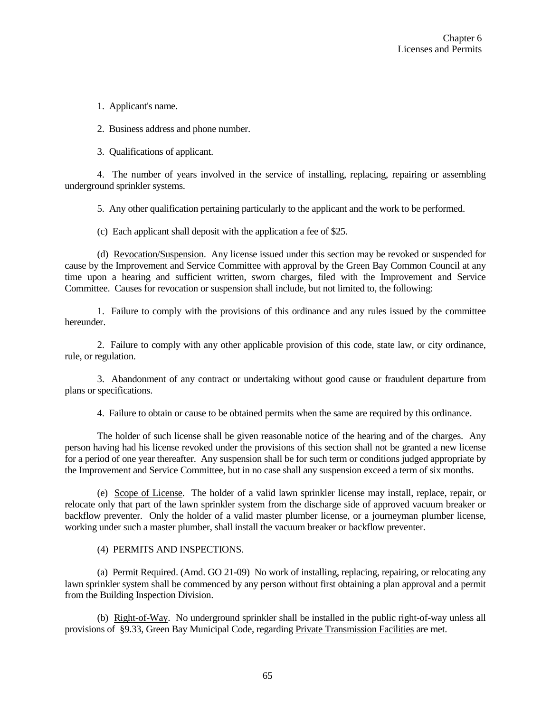1. Applicant's name.

2. Business address and phone number.

3. Qualifications of applicant.

4. The number of years involved in the service of installing, replacing, repairing or assembling underground sprinkler systems.

5. Any other qualification pertaining particularly to the applicant and the work to be performed.

(c) Each applicant shall deposit with the application a fee of \$25.

(d) Revocation/Suspension. Any license issued under this section may be revoked or suspended for cause by the Improvement and Service Committee with approval by the Green Bay Common Council at any time upon a hearing and sufficient written, sworn charges, filed with the Improvement and Service Committee. Causes for revocation or suspension shall include, but not limited to, the following:

1. Failure to comply with the provisions of this ordinance and any rules issued by the committee hereunder.

2. Failure to comply with any other applicable provision of this code, state law, or city ordinance, rule, or regulation.

3. Abandonment of any contract or undertaking without good cause or fraudulent departure from plans or specifications.

4. Failure to obtain or cause to be obtained permits when the same are required by this ordinance.

The holder of such license shall be given reasonable notice of the hearing and of the charges. Any person having had his license revoked under the provisions of this section shall not be granted a new license for a period of one year thereafter. Any suspension shall be for such term or conditions judged appropriate by the Improvement and Service Committee, but in no case shall any suspension exceed a term of six months.

(e) Scope of License. The holder of a valid lawn sprinkler license may install, replace, repair, or relocate only that part of the lawn sprinkler system from the discharge side of approved vacuum breaker or backflow preventer. Only the holder of a valid master plumber license, or a journeyman plumber license, working under such a master plumber, shall install the vacuum breaker or backflow preventer.

(4) PERMITS AND INSPECTIONS.

(a) Permit Required. (Amd. GO 21-09) No work of installing, replacing, repairing, or relocating any lawn sprinkler system shall be commenced by any person without first obtaining a plan approval and a permit from the Building Inspection Division.

(b) Right-of-Way. No underground sprinkler shall be installed in the public right-of-way unless all provisions of §9.33, Green Bay Municipal Code, regarding Private Transmission Facilities are met.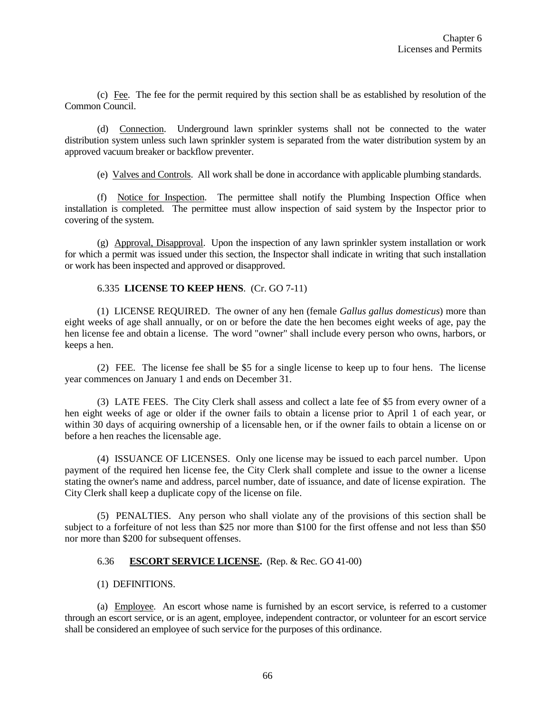(c) Fee. The fee for the permit required by this section shall be as established by resolution of the Common Council.

(d) Connection. Underground lawn sprinkler systems shall not be connected to the water distribution system unless such lawn sprinkler system is separated from the water distribution system by an approved vacuum breaker or backflow preventer.

(e) Valves and Controls. All work shall be done in accordance with applicable plumbing standards.

(f) Notice for Inspection. The permittee shall notify the Plumbing Inspection Office when installation is completed. The permittee must allow inspection of said system by the Inspector prior to covering of the system.

(g) Approval, Disapproval. Upon the inspection of any lawn sprinkler system installation or work for which a permit was issued under this section, the Inspector shall indicate in writing that such installation or work has been inspected and approved or disapproved.

#### 6.335 **LICENSE TO KEEP HENS**. (Cr. GO 7-11)

(1) LICENSE REQUIRED. The owner of any hen (female *Gallus gallus domesticus*) more than eight weeks of age shall annually, or on or before the date the hen becomes eight weeks of age, pay the hen license fee and obtain a license. The word "owner" shall include every person who owns, harbors, or keeps a hen.

(2) FEE. The license fee shall be \$5 for a single license to keep up to four hens. The license year commences on January 1 and ends on December 31.

(3) LATE FEES. The City Clerk shall assess and collect a late fee of \$5 from every owner of a hen eight weeks of age or older if the owner fails to obtain a license prior to April 1 of each year, or within 30 days of acquiring ownership of a licensable hen, or if the owner fails to obtain a license on or before a hen reaches the licensable age.

(4) ISSUANCE OF LICENSES. Only one license may be issued to each parcel number. Upon payment of the required hen license fee, the City Clerk shall complete and issue to the owner a license stating the owner's name and address, parcel number, date of issuance, and date of license expiration. The City Clerk shall keep a duplicate copy of the license on file.

(5) PENALTIES. Any person who shall violate any of the provisions of this section shall be subject to a forfeiture of not less than \$25 nor more than \$100 for the first offense and not less than \$50 nor more than \$200 for subsequent offenses.

## 6.36 **ESCORT SERVICE LICENSE.** (Rep. & Rec. GO 41-00)

## (1) DEFINITIONS.

(a) Employee. An escort whose name is furnished by an escort service, is referred to a customer through an escort service, or is an agent, employee, independent contractor, or volunteer for an escort service shall be considered an employee of such service for the purposes of this ordinance.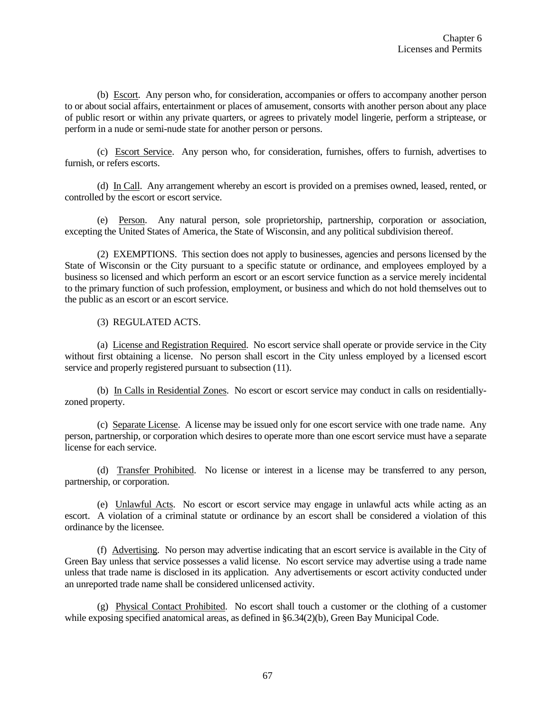(b) Escort. Any person who, for consideration, accompanies or offers to accompany another person to or about social affairs, entertainment or places of amusement, consorts with another person about any place of public resort or within any private quarters, or agrees to privately model lingerie, perform a striptease, or perform in a nude or semi-nude state for another person or persons.

(c) Escort Service. Any person who, for consideration, furnishes, offers to furnish, advertises to furnish, or refers escorts.

(d) In Call. Any arrangement whereby an escort is provided on a premises owned, leased, rented, or controlled by the escort or escort service.

(e) Person. Any natural person, sole proprietorship, partnership, corporation or association, excepting the United States of America, the State of Wisconsin, and any political subdivision thereof.

(2) EXEMPTIONS. This section does not apply to businesses, agencies and persons licensed by the State of Wisconsin or the City pursuant to a specific statute or ordinance, and employees employed by a business so licensed and which perform an escort or an escort service function as a service merely incidental to the primary function of such profession, employment, or business and which do not hold themselves out to the public as an escort or an escort service.

(3) REGULATED ACTS.

(a) License and Registration Required. No escort service shall operate or provide service in the City without first obtaining a license. No person shall escort in the City unless employed by a licensed escort service and properly registered pursuant to subsection (11).

(b) In Calls in Residential Zones. No escort or escort service may conduct in calls on residentiallyzoned property.

(c) Separate License. A license may be issued only for one escort service with one trade name. Any person, partnership, or corporation which desires to operate more than one escort service must have a separate license for each service.

(d) Transfer Prohibited. No license or interest in a license may be transferred to any person, partnership, or corporation.

(e) Unlawful Acts. No escort or escort service may engage in unlawful acts while acting as an escort. A violation of a criminal statute or ordinance by an escort shall be considered a violation of this ordinance by the licensee.

(f) Advertising. No person may advertise indicating that an escort service is available in the City of Green Bay unless that service possesses a valid license. No escort service may advertise using a trade name unless that trade name is disclosed in its application. Any advertisements or escort activity conducted under an unreported trade name shall be considered unlicensed activity.

(g) Physical Contact Prohibited. No escort shall touch a customer or the clothing of a customer while exposing specified anatomical areas, as defined in §6.34(2)(b), Green Bay Municipal Code.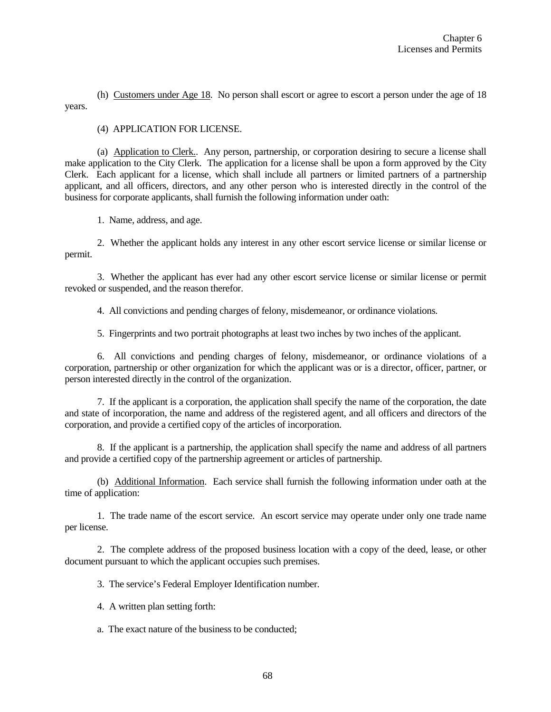(h) Customers under Age 18. No person shall escort or agree to escort a person under the age of 18 years.

## (4) APPLICATION FOR LICENSE.

(a) Application to Clerk.. Any person, partnership, or corporation desiring to secure a license shall make application to the City Clerk. The application for a license shall be upon a form approved by the City Clerk. Each applicant for a license, which shall include all partners or limited partners of a partnership applicant, and all officers, directors, and any other person who is interested directly in the control of the business for corporate applicants, shall furnish the following information under oath:

1. Name, address, and age.

2. Whether the applicant holds any interest in any other escort service license or similar license or permit.

3. Whether the applicant has ever had any other escort service license or similar license or permit revoked or suspended, and the reason therefor.

4. All convictions and pending charges of felony, misdemeanor, or ordinance violations.

5. Fingerprints and two portrait photographs at least two inches by two inches of the applicant.

6. All convictions and pending charges of felony, misdemeanor, or ordinance violations of a corporation, partnership or other organization for which the applicant was or is a director, officer, partner, or person interested directly in the control of the organization.

7. If the applicant is a corporation, the application shall specify the name of the corporation, the date and state of incorporation, the name and address of the registered agent, and all officers and directors of the corporation, and provide a certified copy of the articles of incorporation.

8. If the applicant is a partnership, the application shall specify the name and address of all partners and provide a certified copy of the partnership agreement or articles of partnership.

(b) Additional Information. Each service shall furnish the following information under oath at the time of application:

1. The trade name of the escort service. An escort service may operate under only one trade name per license.

2. The complete address of the proposed business location with a copy of the deed, lease, or other document pursuant to which the applicant occupies such premises.

3. The service's Federal Employer Identification number.

4. A written plan setting forth:

a. The exact nature of the business to be conducted;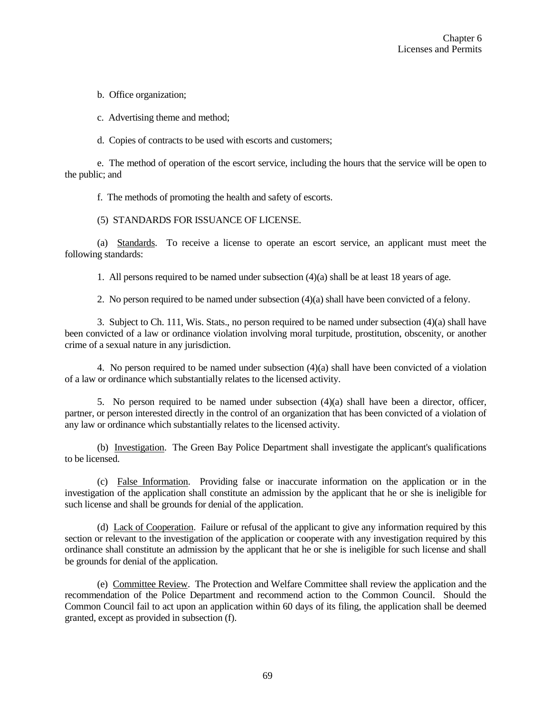b. Office organization;

c. Advertising theme and method;

d. Copies of contracts to be used with escorts and customers;

e. The method of operation of the escort service, including the hours that the service will be open to the public; and

f. The methods of promoting the health and safety of escorts.

#### (5) STANDARDS FOR ISSUANCE OF LICENSE.

(a) Standards. To receive a license to operate an escort service, an applicant must meet the following standards:

1. All persons required to be named under subsection (4)(a) shall be at least 18 years of age.

2. No person required to be named under subsection (4)(a) shall have been convicted of a felony.

3. Subject to Ch. 111, Wis. Stats., no person required to be named under subsection (4)(a) shall have been convicted of a law or ordinance violation involving moral turpitude, prostitution, obscenity, or another crime of a sexual nature in any jurisdiction.

4. No person required to be named under subsection (4)(a) shall have been convicted of a violation of a law or ordinance which substantially relates to the licensed activity.

5. No person required to be named under subsection (4)(a) shall have been a director, officer, partner, or person interested directly in the control of an organization that has been convicted of a violation of any law or ordinance which substantially relates to the licensed activity.

(b) Investigation. The Green Bay Police Department shall investigate the applicant's qualifications to be licensed.

(c) False Information. Providing false or inaccurate information on the application or in the investigation of the application shall constitute an admission by the applicant that he or she is ineligible for such license and shall be grounds for denial of the application.

(d) Lack of Cooperation. Failure or refusal of the applicant to give any information required by this section or relevant to the investigation of the application or cooperate with any investigation required by this ordinance shall constitute an admission by the applicant that he or she is ineligible for such license and shall be grounds for denial of the application.

(e) Committee Review. The Protection and Welfare Committee shall review the application and the recommendation of the Police Department and recommend action to the Common Council. Should the Common Council fail to act upon an application within 60 days of its filing, the application shall be deemed granted, except as provided in subsection (f).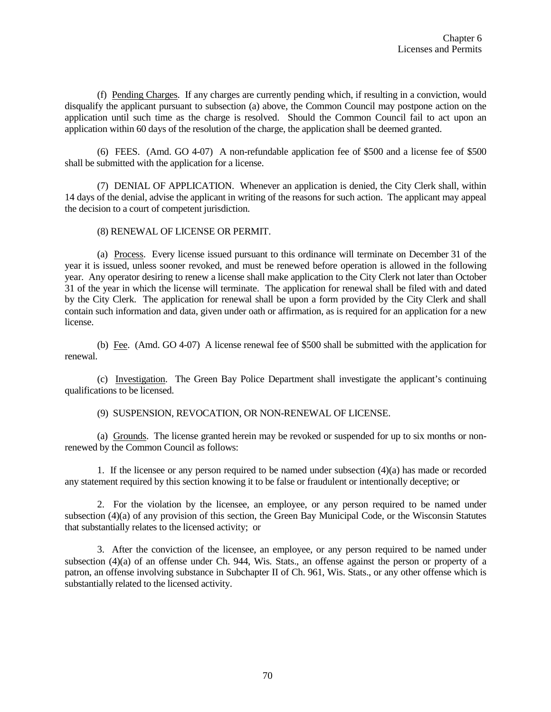(f) Pending Charges. If any charges are currently pending which, if resulting in a conviction, would disqualify the applicant pursuant to subsection (a) above, the Common Council may postpone action on the application until such time as the charge is resolved. Should the Common Council fail to act upon an application within 60 days of the resolution of the charge, the application shall be deemed granted.

(6) FEES. (Amd. GO 4-07) A non-refundable application fee of \$500 and a license fee of \$500 shall be submitted with the application for a license.

(7) DENIAL OF APPLICATION. Whenever an application is denied, the City Clerk shall, within 14 days of the denial, advise the applicant in writing of the reasons for such action. The applicant may appeal the decision to a court of competent jurisdiction.

#### (8) RENEWAL OF LICENSE OR PERMIT.

(a) Process. Every license issued pursuant to this ordinance will terminate on December 31 of the year it is issued, unless sooner revoked, and must be renewed before operation is allowed in the following year. Any operator desiring to renew a license shall make application to the City Clerk not later than October 31 of the year in which the license will terminate. The application for renewal shall be filed with and dated by the City Clerk. The application for renewal shall be upon a form provided by the City Clerk and shall contain such information and data, given under oath or affirmation, as is required for an application for a new license.

(b) Fee. (Amd. GO 4-07) A license renewal fee of \$500 shall be submitted with the application for renewal.

(c) Investigation. The Green Bay Police Department shall investigate the applicant's continuing qualifications to be licensed.

(9) SUSPENSION, REVOCATION, OR NON-RENEWAL OF LICENSE.

(a) Grounds. The license granted herein may be revoked or suspended for up to six months or nonrenewed by the Common Council as follows:

1. If the licensee or any person required to be named under subsection (4)(a) has made or recorded any statement required by this section knowing it to be false or fraudulent or intentionally deceptive; or

2. For the violation by the licensee, an employee, or any person required to be named under subsection (4)(a) of any provision of this section, the Green Bay Municipal Code, or the Wisconsin Statutes that substantially relates to the licensed activity; or

3. After the conviction of the licensee, an employee, or any person required to be named under subsection (4)(a) of an offense under Ch. 944, Wis. Stats., an offense against the person or property of a patron, an offense involving substance in Subchapter II of Ch. 961, Wis. Stats., or any other offense which is substantially related to the licensed activity.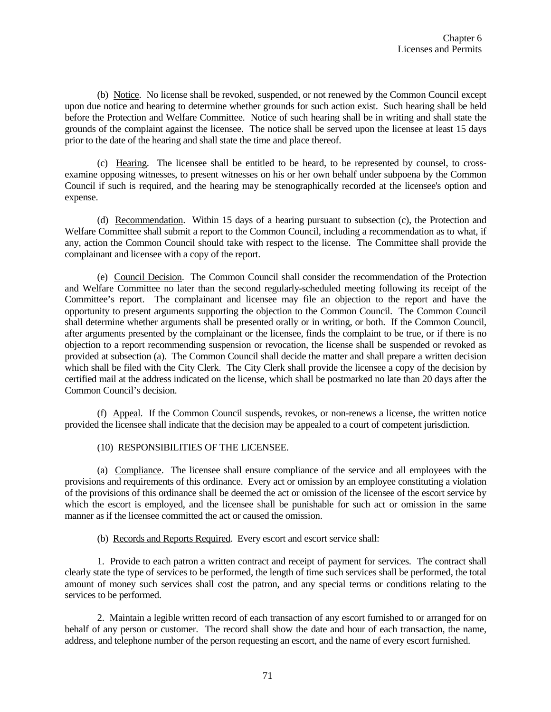(b) Notice. No license shall be revoked, suspended, or not renewed by the Common Council except upon due notice and hearing to determine whether grounds for such action exist. Such hearing shall be held before the Protection and Welfare Committee. Notice of such hearing shall be in writing and shall state the grounds of the complaint against the licensee. The notice shall be served upon the licensee at least 15 days prior to the date of the hearing and shall state the time and place thereof.

(c) Hearing. The licensee shall be entitled to be heard, to be represented by counsel, to crossexamine opposing witnesses, to present witnesses on his or her own behalf under subpoena by the Common Council if such is required, and the hearing may be stenographically recorded at the licensee's option and expense.

(d) Recommendation. Within 15 days of a hearing pursuant to subsection (c), the Protection and Welfare Committee shall submit a report to the Common Council, including a recommendation as to what, if any, action the Common Council should take with respect to the license. The Committee shall provide the complainant and licensee with a copy of the report.

(e) Council Decision. The Common Council shall consider the recommendation of the Protection and Welfare Committee no later than the second regularly-scheduled meeting following its receipt of the Committee's report. The complainant and licensee may file an objection to the report and have the opportunity to present arguments supporting the objection to the Common Council. The Common Council shall determine whether arguments shall be presented orally or in writing, or both. If the Common Council, after arguments presented by the complainant or the licensee, finds the complaint to be true, or if there is no objection to a report recommending suspension or revocation, the license shall be suspended or revoked as provided at subsection (a). The Common Council shall decide the matter and shall prepare a written decision which shall be filed with the City Clerk. The City Clerk shall provide the licensee a copy of the decision by certified mail at the address indicated on the license, which shall be postmarked no late than 20 days after the Common Council's decision.

(f) Appeal. If the Common Council suspends, revokes, or non-renews a license, the written notice provided the licensee shall indicate that the decision may be appealed to a court of competent jurisdiction.

## (10) RESPONSIBILITIES OF THE LICENSEE.

(a) Compliance. The licensee shall ensure compliance of the service and all employees with the provisions and requirements of this ordinance. Every act or omission by an employee constituting a violation of the provisions of this ordinance shall be deemed the act or omission of the licensee of the escort service by which the escort is employed, and the licensee shall be punishable for such act or omission in the same manner as if the licensee committed the act or caused the omission.

(b) Records and Reports Required. Every escort and escort service shall:

1. Provide to each patron a written contract and receipt of payment for services. The contract shall clearly state the type of services to be performed, the length of time such services shall be performed, the total amount of money such services shall cost the patron, and any special terms or conditions relating to the services to be performed.

2. Maintain a legible written record of each transaction of any escort furnished to or arranged for on behalf of any person or customer. The record shall show the date and hour of each transaction, the name, address, and telephone number of the person requesting an escort, and the name of every escort furnished.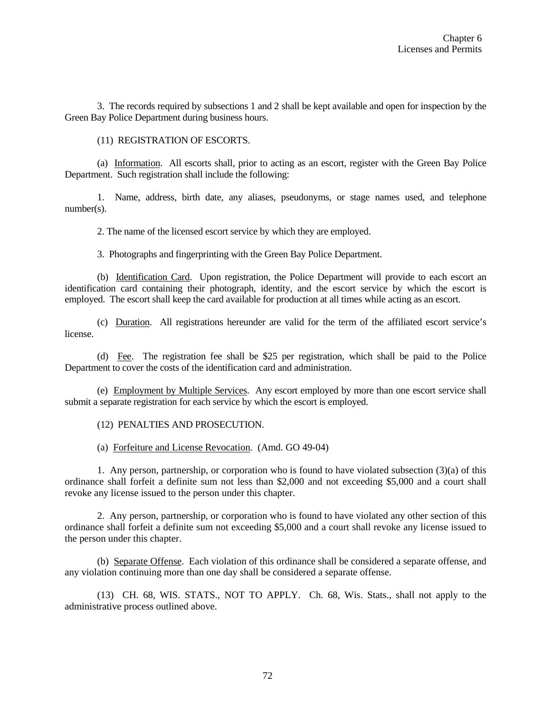3. The records required by subsections 1 and 2 shall be kept available and open for inspection by the Green Bay Police Department during business hours.

(11) REGISTRATION OF ESCORTS.

(a) Information. All escorts shall, prior to acting as an escort, register with the Green Bay Police Department. Such registration shall include the following:

1. Name, address, birth date, any aliases, pseudonyms, or stage names used, and telephone number(s).

2. The name of the licensed escort service by which they are employed.

3. Photographs and fingerprinting with the Green Bay Police Department.

(b) Identification Card. Upon registration, the Police Department will provide to each escort an identification card containing their photograph, identity, and the escort service by which the escort is employed. The escort shall keep the card available for production at all times while acting as an escort.

(c) Duration. All registrations hereunder are valid for the term of the affiliated escort service's license.

(d) Fee. The registration fee shall be \$25 per registration, which shall be paid to the Police Department to cover the costs of the identification card and administration.

(e) Employment by Multiple Services. Any escort employed by more than one escort service shall submit a separate registration for each service by which the escort is employed.

(12) PENALTIES AND PROSECUTION.

(a) Forfeiture and License Revocation. (Amd. GO 49-04)

1. Any person, partnership, or corporation who is found to have violated subsection (3)(a) of this ordinance shall forfeit a definite sum not less than \$2,000 and not exceeding \$5,000 and a court shall revoke any license issued to the person under this chapter.

2. Any person, partnership, or corporation who is found to have violated any other section of this ordinance shall forfeit a definite sum not exceeding \$5,000 and a court shall revoke any license issued to the person under this chapter.

(b) Separate Offense. Each violation of this ordinance shall be considered a separate offense, and any violation continuing more than one day shall be considered a separate offense.

(13) CH. 68, WIS. STATS., NOT TO APPLY. Ch. 68, Wis. Stats., shall not apply to the administrative process outlined above.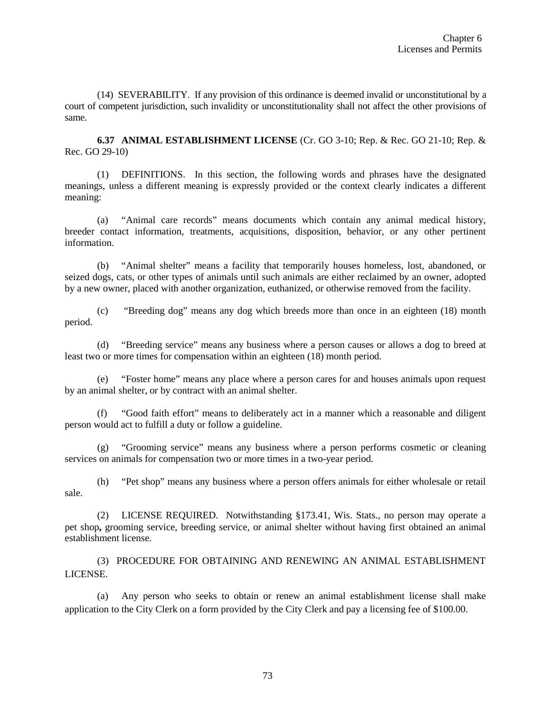(14) SEVERABILITY. If any provision of this ordinance is deemed invalid or unconstitutional by a court of competent jurisdiction, such invalidity or unconstitutionality shall not affect the other provisions of same.

**6.37 ANIMAL ESTABLISHMENT LICENSE** (Cr. GO 3-10; Rep. & Rec. GO 21-10; Rep. & Rec. GO 29-10)

(1) DEFINITIONS. In this section, the following words and phrases have the designated meanings, unless a different meaning is expressly provided or the context clearly indicates a different meaning:

(a) "Animal care records" means documents which contain any animal medical history, breeder contact information, treatments, acquisitions, disposition, behavior, or any other pertinent information.

(b) "Animal shelter" means a facility that temporarily houses homeless, lost, abandoned, or seized dogs, cats, or other types of animals until such animals are either reclaimed by an owner, adopted by a new owner, placed with another organization, euthanized, or otherwise removed from the facility.

(c) "Breeding dog" means any dog which breeds more than once in an eighteen (18) month period.

(d) "Breeding service" means any business where a person causes or allows a dog to breed at least two or more times for compensation within an eighteen (18) month period.

(e) "Foster home" means any place where a person cares for and houses animals upon request by an animal shelter, or by contract with an animal shelter.

(f) "Good faith effort" means to deliberately act in a manner which a reasonable and diligent person would act to fulfill a duty or follow a guideline.

(g) "Grooming service" means any business where a person performs cosmetic or cleaning services on animals for compensation two or more times in a two-year period.

(h) "Pet shop" means any business where a person offers animals for either wholesale or retail sale.

(2) LICENSE REQUIRED. Notwithstanding §173.41, Wis. Stats., no person may operate a pet shop**,** grooming service, breeding service, or animal shelter without having first obtained an animal establishment license.

(3) PROCEDURE FOR OBTAINING AND RENEWING AN ANIMAL ESTABLISHMENT LICENSE.

(a) Any person who seeks to obtain or renew an animal establishment license shall make application to the City Clerk on a form provided by the City Clerk and pay a licensing fee of \$100.00.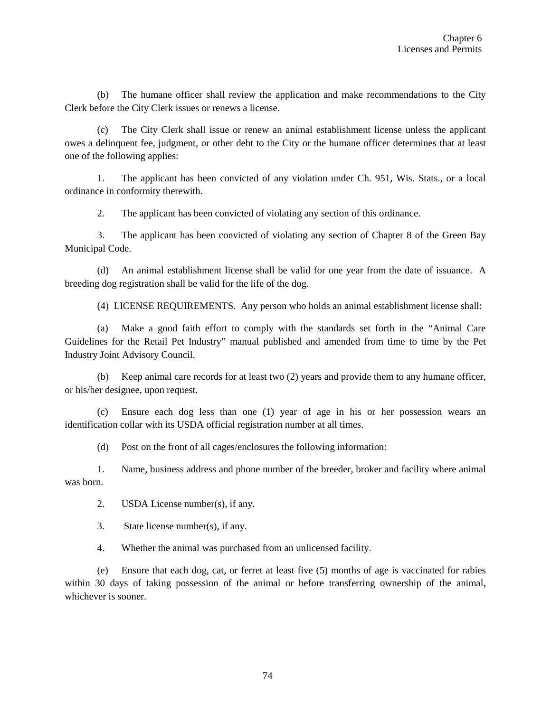(b) The humane officer shall review the application and make recommendations to the City Clerk before the City Clerk issues or renews a license.

(c) The City Clerk shall issue or renew an animal establishment license unless the applicant owes a delinquent fee, judgment, or other debt to the City or the humane officer determines that at least one of the following applies:

1. The applicant has been convicted of any violation under Ch. 951, Wis. Stats., or a local ordinance in conformity therewith.

2. The applicant has been convicted of violating any section of this ordinance.

3. The applicant has been convicted of violating any section of Chapter 8 of the Green Bay Municipal Code.

(d) An animal establishment license shall be valid for one year from the date of issuance. A breeding dog registration shall be valid for the life of the dog.

(4) LICENSE REQUIREMENTS. Any person who holds an animal establishment license shall:

(a) Make a good faith effort to comply with the standards set forth in the "Animal Care Guidelines for the Retail Pet Industry" manual published and amended from time to time by the Pet Industry Joint Advisory Council.

(b) Keep animal care records for at least two (2) years and provide them to any humane officer, or his/her designee, upon request.

(c) Ensure each dog less than one (1) year of age in his or her possession wears an identification collar with its USDA official registration number at all times.

(d) Post on the front of all cages/enclosures the following information:

1. Name, business address and phone number of the breeder, broker and facility where animal was born.

2. USDA License number(s), if any.

3. State license number(s), if any.

4. Whether the animal was purchased from an unlicensed facility.

(e) Ensure that each dog, cat, or ferret at least five (5) months of age is vaccinated for rabies within 30 days of taking possession of the animal or before transferring ownership of the animal, whichever is sooner.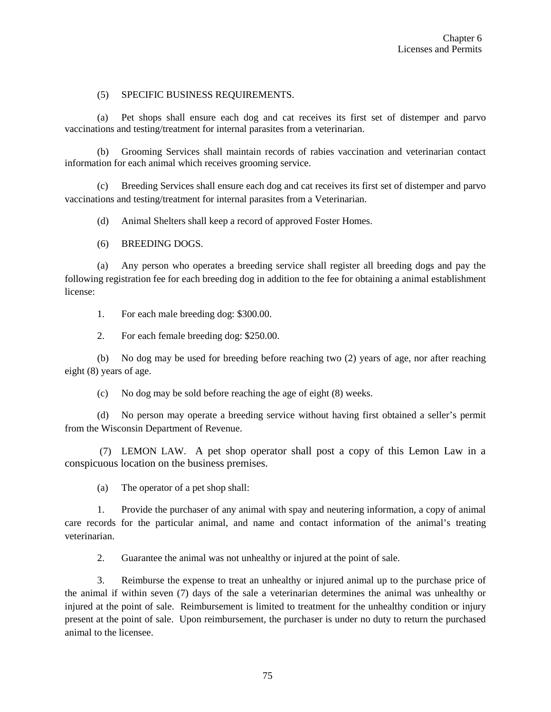### (5) SPECIFIC BUSINESS REQUIREMENTS.

(a) Pet shops shall ensure each dog and cat receives its first set of distemper and parvo vaccinations and testing/treatment for internal parasites from a veterinarian.

(b) Grooming Services shall maintain records of rabies vaccination and veterinarian contact information for each animal which receives grooming service.

(c) Breeding Services shall ensure each dog and cat receives its first set of distemper and parvo vaccinations and testing/treatment for internal parasites from a Veterinarian.

(d) Animal Shelters shall keep a record of approved Foster Homes.

(6) BREEDING DOGS.

(a) Any person who operates a breeding service shall register all breeding dogs and pay the following registration fee for each breeding dog in addition to the fee for obtaining a animal establishment license:

1. For each male breeding dog: \$300.00.

2. For each female breeding dog: \$250.00.

(b) No dog may be used for breeding before reaching two (2) years of age, nor after reaching eight (8) years of age.

(c) No dog may be sold before reaching the age of eight (8) weeks.

(d) No person may operate a breeding service without having first obtained a seller's permit from the Wisconsin Department of Revenue.

(7) LEMON LAW. A pet shop operator shall post a copy of this Lemon Law in a conspicuous location on the business premises.

(a) The operator of a pet shop shall:

1. Provide the purchaser of any animal with spay and neutering information, a copy of animal care records for the particular animal, and name and contact information of the animal's treating veterinarian.

2. Guarantee the animal was not unhealthy or injured at the point of sale.

3. Reimburse the expense to treat an unhealthy or injured animal up to the purchase price of the animal if within seven (7) days of the sale a veterinarian determines the animal was unhealthy or injured at the point of sale. Reimbursement is limited to treatment for the unhealthy condition or injury present at the point of sale. Upon reimbursement, the purchaser is under no duty to return the purchased animal to the licensee.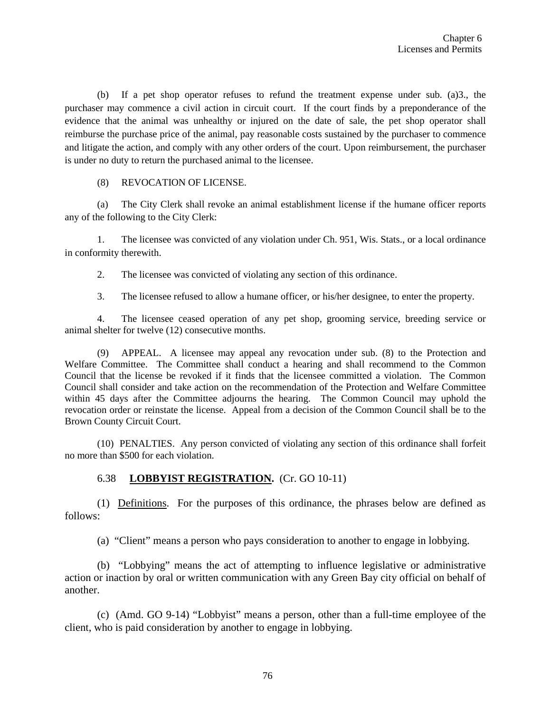(b) If a pet shop operator refuses to refund the treatment expense under sub. (a)3., the purchaser may commence a civil action in circuit court. If the court finds by a preponderance of the evidence that the animal was unhealthy or injured on the date of sale, the pet shop operator shall reimburse the purchase price of the animal, pay reasonable costs sustained by the purchaser to commence and litigate the action, and comply with any other orders of the court. Upon reimbursement, the purchaser is under no duty to return the purchased animal to the licensee.

## (8) REVOCATION OF LICENSE.

(a) The City Clerk shall revoke an animal establishment license if the humane officer reports any of the following to the City Clerk:

1. The licensee was convicted of any violation under Ch. 951, Wis. Stats., or a local ordinance in conformity therewith.

2. The licensee was convicted of violating any section of this ordinance.

3. The licensee refused to allow a humane officer, or his/her designee, to enter the property.

4. The licensee ceased operation of any pet shop, grooming service, breeding service or animal shelter for twelve (12) consecutive months.

(9) APPEAL. A licensee may appeal any revocation under sub. (8) to the Protection and Welfare Committee. The Committee shall conduct a hearing and shall recommend to the Common Council that the license be revoked if it finds that the licensee committed a violation. The Common Council shall consider and take action on the recommendation of the Protection and Welfare Committee within 45 days after the Committee adjourns the hearing. The Common Council may uphold the revocation order or reinstate the license. Appeal from a decision of the Common Council shall be to the Brown County Circuit Court.

(10)PENALTIES. Any person convicted of violating any section of this ordinance shall forfeit no more than \$500 for each violation.

# 6.38 **LOBBYIST REGISTRATION.** (Cr. GO 10-11)

(1) Definitions. For the purposes of this ordinance, the phrases below are defined as follows:

(a) "Client" means a person who pays consideration to another to engage in lobbying.

(b) "Lobbying" means the act of attempting to influence legislative or administrative action or inaction by oral or written communication with any Green Bay city official on behalf of another.

(c) (Amd. GO 9-14) "Lobbyist" means a person, other than a full-time employee of the client, who is paid consideration by another to engage in lobbying.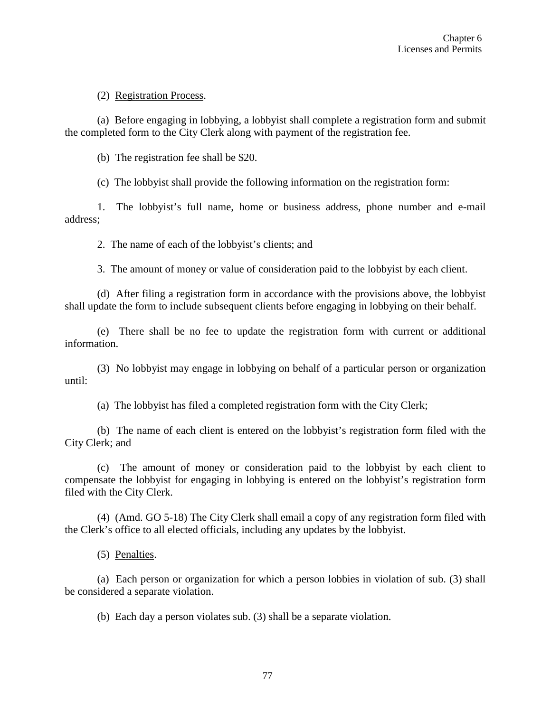## (2) Registration Process.

(a) Before engaging in lobbying, a lobbyist shall complete a registration form and submit the completed form to the City Clerk along with payment of the registration fee.

(b) The registration fee shall be \$20.

(c) The lobbyist shall provide the following information on the registration form:

1. The lobbyist's full name, home or business address, phone number and e-mail address;

2. The name of each of the lobbyist's clients; and

3. The amount of money or value of consideration paid to the lobbyist by each client.

(d) After filing a registration form in accordance with the provisions above, the lobbyist shall update the form to include subsequent clients before engaging in lobbying on their behalf.

(e) There shall be no fee to update the registration form with current or additional information.

(3) No lobbyist may engage in lobbying on behalf of a particular person or organization until:

(a) The lobbyist has filed a completed registration form with the City Clerk;

(b) The name of each client is entered on the lobbyist's registration form filed with the City Clerk; and

(c) The amount of money or consideration paid to the lobbyist by each client to compensate the lobbyist for engaging in lobbying is entered on the lobbyist's registration form filed with the City Clerk.

(4) (Amd. GO 5-18) The City Clerk shall email a copy of any registration form filed with the Clerk's office to all elected officials, including any updates by the lobbyist.

(5) Penalties.

(a) Each person or organization for which a person lobbies in violation of sub. (3) shall be considered a separate violation.

(b) Each day a person violates sub. (3) shall be a separate violation.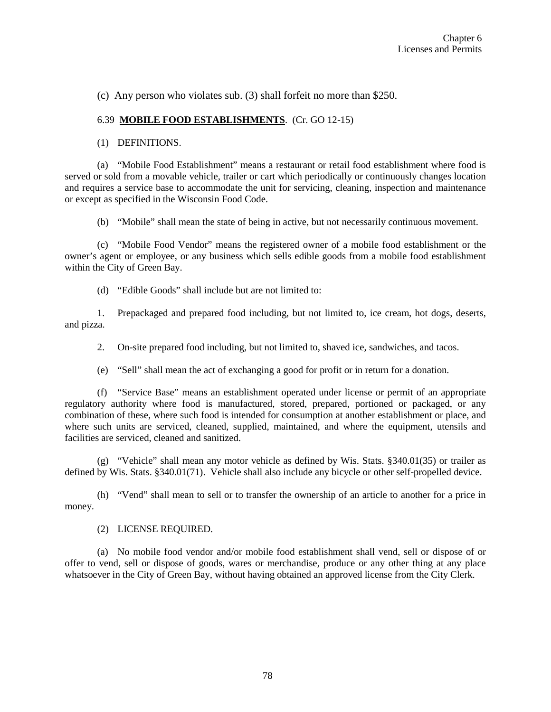(c) Any person who violates sub. (3) shall forfeit no more than \$250.

#### 6.39 **MOBILE FOOD ESTABLISHMENTS**. (Cr. GO 12-15)

#### (1) DEFINITIONS.

(a) "Mobile Food Establishment" means a restaurant or retail food establishment where food is served or sold from a movable vehicle, trailer or cart which periodically or continuously changes location and requires a service base to accommodate the unit for servicing, cleaning, inspection and maintenance or except as specified in the Wisconsin Food Code.

(b) "Mobile" shall mean the state of being in active, but not necessarily continuous movement.

(c) "Mobile Food Vendor" means the registered owner of a mobile food establishment or the owner's agent or employee, or any business which sells edible goods from a mobile food establishment within the City of Green Bay.

(d) "Edible Goods" shall include but are not limited to:

1. Prepackaged and prepared food including, but not limited to, ice cream, hot dogs, deserts, and pizza.

2. On-site prepared food including, but not limited to, shaved ice, sandwiches, and tacos.

(e) "Sell" shall mean the act of exchanging a good for profit or in return for a donation.

(f) "Service Base" means an establishment operated under license or permit of an appropriate regulatory authority where food is manufactured, stored, prepared, portioned or packaged, or any combination of these, where such food is intended for consumption at another establishment or place, and where such units are serviced, cleaned, supplied, maintained, and where the equipment, utensils and facilities are serviced, cleaned and sanitized.

(g) "Vehicle" shall mean any motor vehicle as defined by Wis. Stats. §340.01(35) or trailer as defined by Wis. Stats. §340.01(71). Vehicle shall also include any bicycle or other self-propelled device.

(h) "Vend" shall mean to sell or to transfer the ownership of an article to another for a price in money.

(2) LICENSE REQUIRED.

(a) No mobile food vendor and/or mobile food establishment shall vend, sell or dispose of or offer to vend, sell or dispose of goods, wares or merchandise, produce or any other thing at any place whatsoever in the City of Green Bay, without having obtained an approved license from the City Clerk.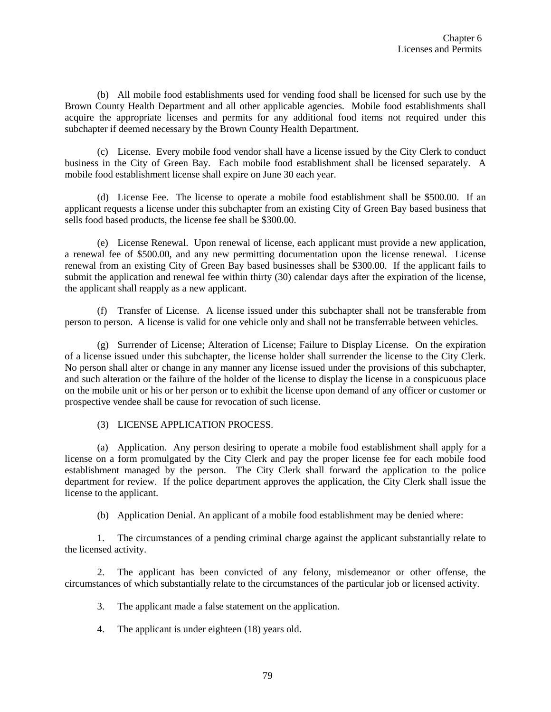(b) All mobile food establishments used for vending food shall be licensed for such use by the Brown County Health Department and all other applicable agencies. Mobile food establishments shall acquire the appropriate licenses and permits for any additional food items not required under this subchapter if deemed necessary by the Brown County Health Department.

(c) License. Every mobile food vendor shall have a license issued by the City Clerk to conduct business in the City of Green Bay. Each mobile food establishment shall be licensed separately. A mobile food establishment license shall expire on June 30 each year.

(d) License Fee. The license to operate a mobile food establishment shall be \$500.00. If an applicant requests a license under this subchapter from an existing City of Green Bay based business that sells food based products, the license fee shall be \$300.00.

(e) License Renewal. Upon renewal of license, each applicant must provide a new application, a renewal fee of \$500.00, and any new permitting documentation upon the license renewal. License renewal from an existing City of Green Bay based businesses shall be \$300.00. If the applicant fails to submit the application and renewal fee within thirty (30) calendar days after the expiration of the license, the applicant shall reapply as a new applicant.

(f) Transfer of License. A license issued under this subchapter shall not be transferable from person to person. A license is valid for one vehicle only and shall not be transferrable between vehicles.

(g) Surrender of License; Alteration of License; Failure to Display License. On the expiration of a license issued under this subchapter, the license holder shall surrender the license to the City Clerk. No person shall alter or change in any manner any license issued under the provisions of this subchapter, and such alteration or the failure of the holder of the license to display the license in a conspicuous place on the mobile unit or his or her person or to exhibit the license upon demand of any officer or customer or prospective vendee shall be cause for revocation of such license.

#### (3) LICENSE APPLICATION PROCESS.

(a) Application. Any person desiring to operate a mobile food establishment shall apply for a license on a form promulgated by the City Clerk and pay the proper license fee for each mobile food establishment managed by the person. The City Clerk shall forward the application to the police department for review. If the police department approves the application, the City Clerk shall issue the license to the applicant.

(b) Application Denial. An applicant of a mobile food establishment may be denied where:

1. The circumstances of a pending criminal charge against the applicant substantially relate to the licensed activity.

2. The applicant has been convicted of any felony, misdemeanor or other offense, the circumstances of which substantially relate to the circumstances of the particular job or licensed activity.

3. The applicant made a false statement on the application.

4. The applicant is under eighteen (18) years old.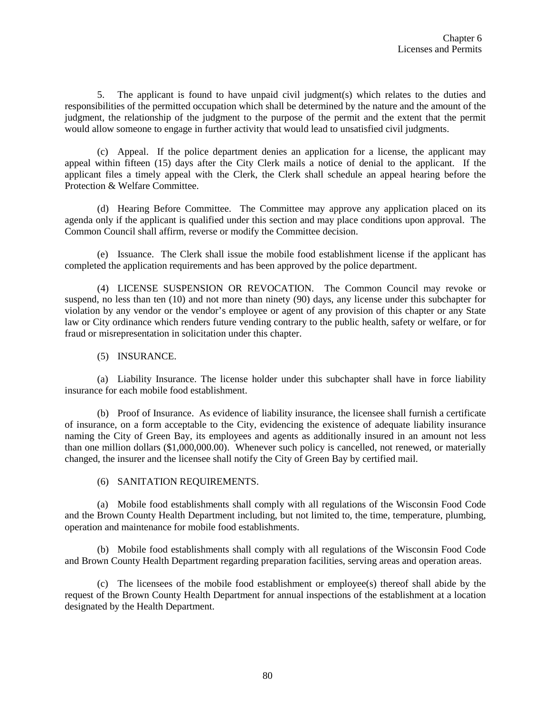5. The applicant is found to have unpaid civil judgment(s) which relates to the duties and responsibilities of the permitted occupation which shall be determined by the nature and the amount of the judgment, the relationship of the judgment to the purpose of the permit and the extent that the permit would allow someone to engage in further activity that would lead to unsatisfied civil judgments.

(c) Appeal. If the police department denies an application for a license, the applicant may appeal within fifteen (15) days after the City Clerk mails a notice of denial to the applicant. If the applicant files a timely appeal with the Clerk, the Clerk shall schedule an appeal hearing before the Protection & Welfare Committee.

(d) Hearing Before Committee. The Committee may approve any application placed on its agenda only if the applicant is qualified under this section and may place conditions upon approval. The Common Council shall affirm, reverse or modify the Committee decision.

(e) Issuance. The Clerk shall issue the mobile food establishment license if the applicant has completed the application requirements and has been approved by the police department.

(4) LICENSE SUSPENSION OR REVOCATION. The Common Council may revoke or suspend, no less than ten (10) and not more than ninety (90) days, any license under this subchapter for violation by any vendor or the vendor's employee or agent of any provision of this chapter or any State law or City ordinance which renders future vending contrary to the public health, safety or welfare, or for fraud or misrepresentation in solicitation under this chapter.

(5) INSURANCE.

(a) Liability Insurance. The license holder under this subchapter shall have in force liability insurance for each mobile food establishment.

(b) Proof of Insurance. As evidence of liability insurance, the licensee shall furnish a certificate of insurance, on a form acceptable to the City, evidencing the existence of adequate liability insurance naming the City of Green Bay, its employees and agents as additionally insured in an amount not less than one million dollars (\$1,000,000.00). Whenever such policy is cancelled, not renewed, or materially changed, the insurer and the licensee shall notify the City of Green Bay by certified mail.

(6) SANITATION REQUIREMENTS.

(a) Mobile food establishments shall comply with all regulations of the Wisconsin Food Code and the Brown County Health Department including, but not limited to, the time, temperature, plumbing, operation and maintenance for mobile food establishments.

(b) Mobile food establishments shall comply with all regulations of the Wisconsin Food Code and Brown County Health Department regarding preparation facilities, serving areas and operation areas.

(c) The licensees of the mobile food establishment or employee(s) thereof shall abide by the request of the Brown County Health Department for annual inspections of the establishment at a location designated by the Health Department.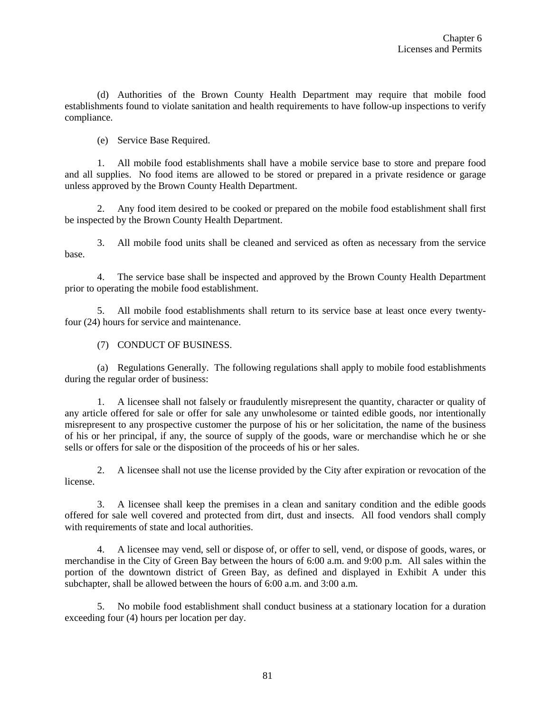(d) Authorities of the Brown County Health Department may require that mobile food establishments found to violate sanitation and health requirements to have follow-up inspections to verify compliance.

(e) Service Base Required.

1. All mobile food establishments shall have a mobile service base to store and prepare food and all supplies. No food items are allowed to be stored or prepared in a private residence or garage unless approved by the Brown County Health Department.

2. Any food item desired to be cooked or prepared on the mobile food establishment shall first be inspected by the Brown County Health Department.

3. All mobile food units shall be cleaned and serviced as often as necessary from the service base.

4. The service base shall be inspected and approved by the Brown County Health Department prior to operating the mobile food establishment.

5. All mobile food establishments shall return to its service base at least once every twentyfour (24) hours for service and maintenance.

(7) CONDUCT OF BUSINESS.

(a) Regulations Generally. The following regulations shall apply to mobile food establishments during the regular order of business:

1. A licensee shall not falsely or fraudulently misrepresent the quantity, character or quality of any article offered for sale or offer for sale any unwholesome or tainted edible goods, nor intentionally misrepresent to any prospective customer the purpose of his or her solicitation, the name of the business of his or her principal, if any, the source of supply of the goods, ware or merchandise which he or she sells or offers for sale or the disposition of the proceeds of his or her sales.

2. A licensee shall not use the license provided by the City after expiration or revocation of the license.

3. A licensee shall keep the premises in a clean and sanitary condition and the edible goods offered for sale well covered and protected from dirt, dust and insects. All food vendors shall comply with requirements of state and local authorities.

4. A licensee may vend, sell or dispose of, or offer to sell, vend, or dispose of goods, wares, or merchandise in the City of Green Bay between the hours of 6:00 a.m. and 9:00 p.m. All sales within the portion of the downtown district of Green Bay, as defined and displayed in Exhibit A under this subchapter, shall be allowed between the hours of 6:00 a.m. and 3:00 a.m.

5. No mobile food establishment shall conduct business at a stationary location for a duration exceeding four (4) hours per location per day.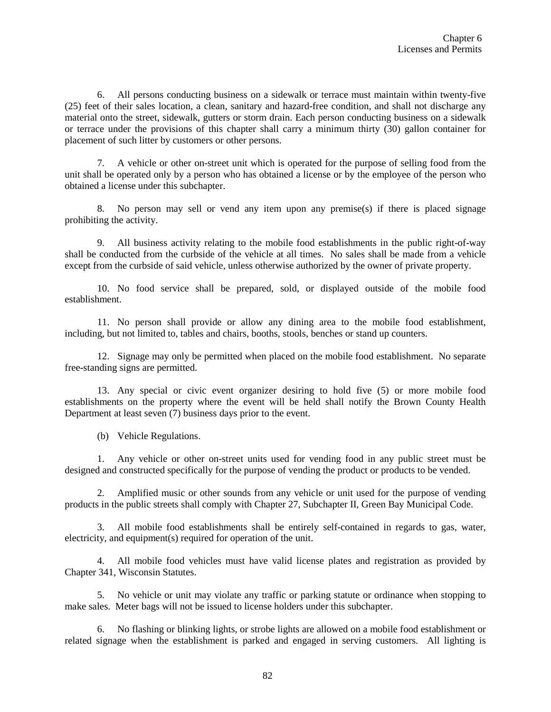6. All persons conducting business on a sidewalk or terrace must maintain within twenty-five (25) feet of their sales location, a clean, sanitary and hazard-free condition, and shall not discharge any material onto the street, sidewalk, gutters or storm drain. Each person conducting business on a sidewalk or terrace under the provisions of this chapter shall carry a minimum thirty (30) gallon container for placement of such litter by customers or other persons.

7. A vehicle or other on-street unit which is operated for the purpose of selling food from the unit shall be operated only by a person who has obtained a license or by the employee of the person who obtained a license under this subchapter.

8. No person may sell or vend any item upon any premise(s) if there is placed signage prohibiting the activity.

9. All business activity relating to the mobile food establishments in the public right-of-way shall be conducted from the curbside of the vehicle at all times. No sales shall be made from a vehicle except from the curbside of said vehicle, unless otherwise authorized by the owner of private property.

10. No food service shall be prepared, sold, or displayed outside of the mobile food establishment.

11. No person shall provide or allow any dining area to the mobile food establishment, including, but not limited to, tables and chairs, booths, stools, benches or stand up counters.

12. Signage may only be permitted when placed on the mobile food establishment. No separate free-standing signs are permitted.

13. Any special or civic event organizer desiring to hold five (5) or more mobile food establishments on the property where the event will be held shall notify the Brown County Health Department at least seven (7) business days prior to the event.

(b) Vehicle Regulations.

1. Any vehicle or other on-street units used for vending food in any public street must be designed and constructed specifically for the purpose of vending the product or products to be vended.

2. Amplified music or other sounds from any vehicle or unit used for the purpose of vending products in the public streets shall comply with Chapter 27, Subchapter II, Green Bay Municipal Code.

3. All mobile food establishments shall be entirely self-contained in regards to gas, water, electricity, and equipment(s) required for operation of the unit.

4. All mobile food vehicles must have valid license plates and registration as provided by Chapter 341, Wisconsin Statutes.

5. No vehicle or unit may violate any traffic or parking statute or ordinance when stopping to make sales. Meter bags will not be issued to license holders under this subchapter.

6. No flashing or blinking lights, or strobe lights are allowed on a mobile food establishment or related signage when the establishment is parked and engaged in serving customers. All lighting is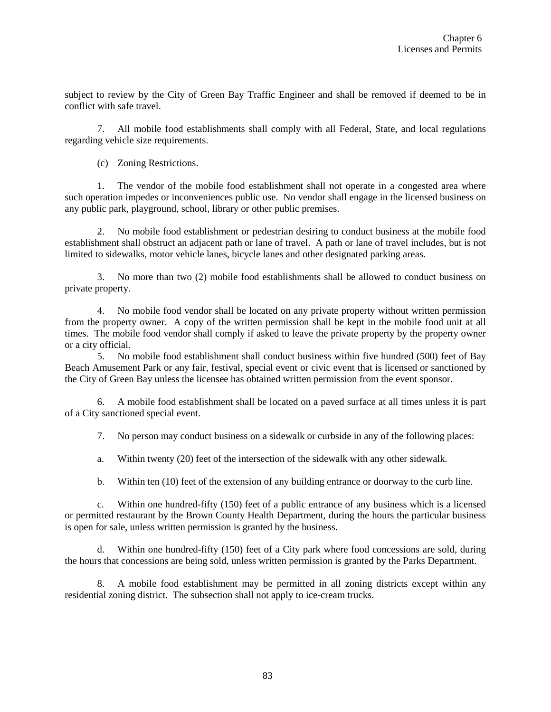subject to review by the City of Green Bay Traffic Engineer and shall be removed if deemed to be in conflict with safe travel.

7. All mobile food establishments shall comply with all Federal, State, and local regulations regarding vehicle size requirements.

(c) Zoning Restrictions.

1. The vendor of the mobile food establishment shall not operate in a congested area where such operation impedes or inconveniences public use. No vendor shall engage in the licensed business on any public park, playground, school, library or other public premises.

2. No mobile food establishment or pedestrian desiring to conduct business at the mobile food establishment shall obstruct an adjacent path or lane of travel. A path or lane of travel includes, but is not limited to sidewalks, motor vehicle lanes, bicycle lanes and other designated parking areas.

3. No more than two (2) mobile food establishments shall be allowed to conduct business on private property.

4. No mobile food vendor shall be located on any private property without written permission from the property owner. A copy of the written permission shall be kept in the mobile food unit at all times. The mobile food vendor shall comply if asked to leave the private property by the property owner or a city official.

5. No mobile food establishment shall conduct business within five hundred (500) feet of Bay Beach Amusement Park or any fair, festival, special event or civic event that is licensed or sanctioned by the City of Green Bay unless the licensee has obtained written permission from the event sponsor.

6. A mobile food establishment shall be located on a paved surface at all times unless it is part of a City sanctioned special event.

7. No person may conduct business on a sidewalk or curbside in any of the following places:

a. Within twenty (20) feet of the intersection of the sidewalk with any other sidewalk.

b. Within ten (10) feet of the extension of any building entrance or doorway to the curb line.

c. Within one hundred-fifty (150) feet of a public entrance of any business which is a licensed or permitted restaurant by the Brown County Health Department, during the hours the particular business is open for sale, unless written permission is granted by the business.

d. Within one hundred-fifty (150) feet of a City park where food concessions are sold, during the hours that concessions are being sold, unless written permission is granted by the Parks Department.

8. A mobile food establishment may be permitted in all zoning districts except within any residential zoning district. The subsection shall not apply to ice-cream trucks.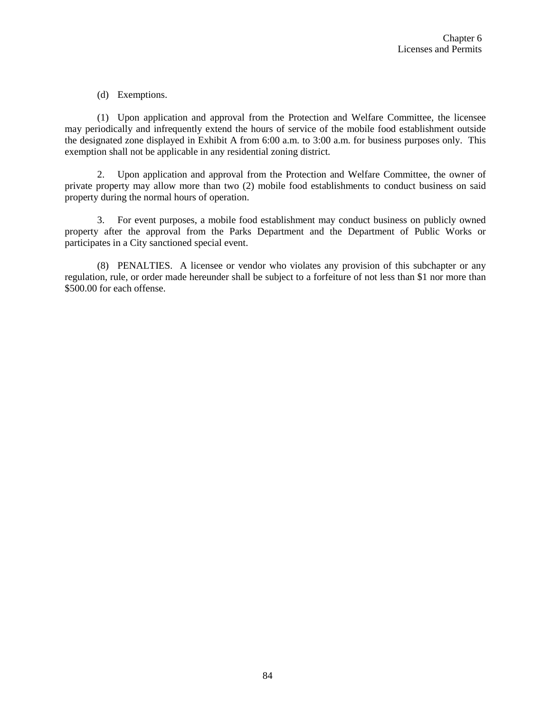## (d) Exemptions.

(1) Upon application and approval from the Protection and Welfare Committee, the licensee may periodically and infrequently extend the hours of service of the mobile food establishment outside the designated zone displayed in Exhibit A from 6:00 a.m. to 3:00 a.m. for business purposes only. This exemption shall not be applicable in any residential zoning district.

2. Upon application and approval from the Protection and Welfare Committee, the owner of private property may allow more than two (2) mobile food establishments to conduct business on said property during the normal hours of operation.

3. For event purposes, a mobile food establishment may conduct business on publicly owned property after the approval from the Parks Department and the Department of Public Works or participates in a City sanctioned special event.

(8) PENALTIES. A licensee or vendor who violates any provision of this subchapter or any regulation, rule, or order made hereunder shall be subject to a forfeiture of not less than \$1 nor more than \$500.00 for each offense.